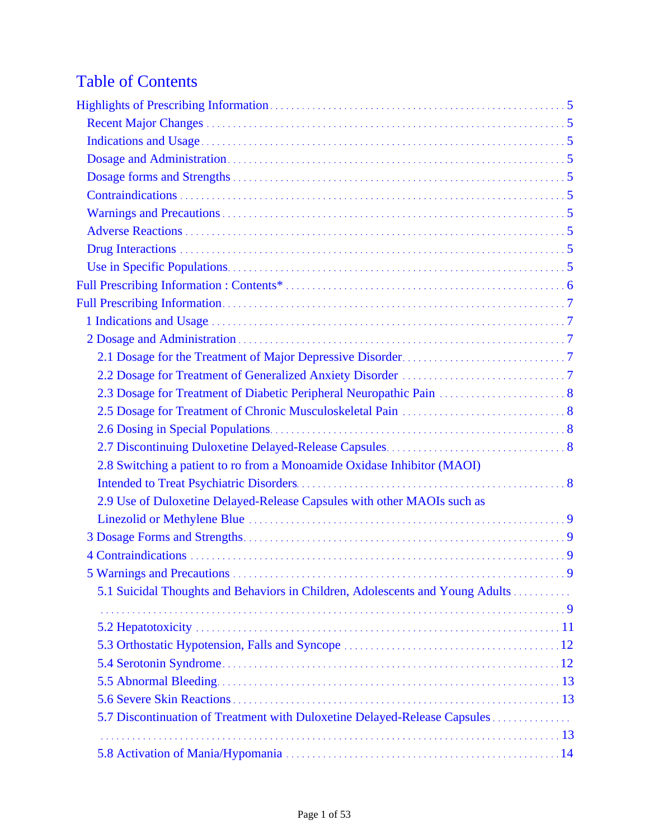# Table of Contents

| 2.8 Switching a patient to ro from a Monoamide Oxidase Inhibitor (MAOI)       |  |
|-------------------------------------------------------------------------------|--|
|                                                                               |  |
| 2.9 Use of Duloxetine Delayed-Release Capsules with other MAOIs such as       |  |
|                                                                               |  |
|                                                                               |  |
|                                                                               |  |
|                                                                               |  |
| 5.1 Suicidal Thoughts and Behaviors in Children, Adolescents and Young Adults |  |
|                                                                               |  |
|                                                                               |  |
|                                                                               |  |
|                                                                               |  |
|                                                                               |  |
|                                                                               |  |
| 5.7 Discontinuation of Treatment with Duloxetine Delayed-Release Capsules     |  |
|                                                                               |  |
|                                                                               |  |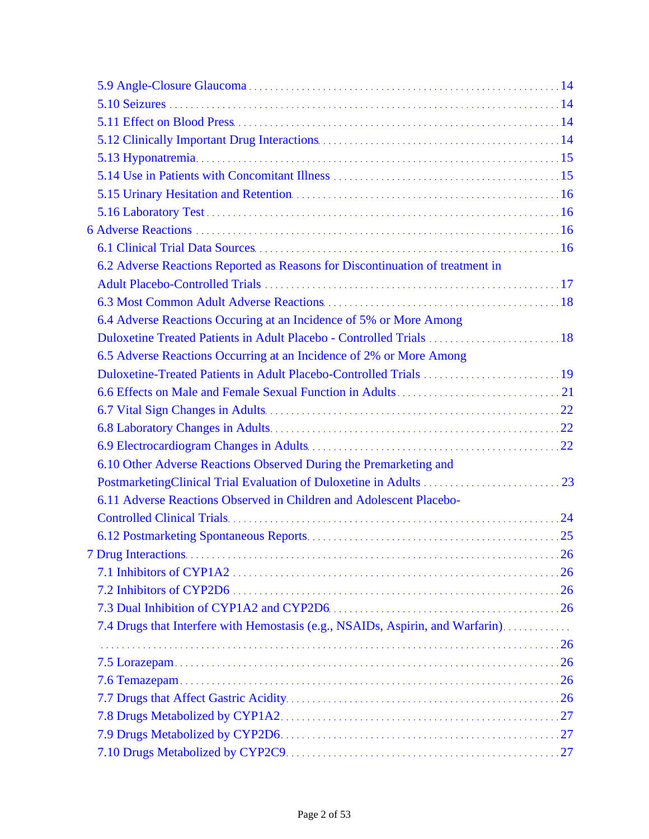| 6.2 Adverse Reactions Reported as Reasons for Discontinuation of treatment in  |  |
|--------------------------------------------------------------------------------|--|
|                                                                                |  |
|                                                                                |  |
| 6.4 Adverse Reactions Occuring at an Incidence of 5% or More Among             |  |
| Duloxetine Treated Patients in Adult Placebo - Controlled Trials  18           |  |
| 6.5 Adverse Reactions Occurring at an Incidence of 2% or More Among            |  |
|                                                                                |  |
|                                                                                |  |
|                                                                                |  |
|                                                                                |  |
|                                                                                |  |
| 6.10 Other Adverse Reactions Observed During the Premarketing and              |  |
|                                                                                |  |
| 6.11 Adverse Reactions Observed in Children and Adolescent Placebo-            |  |
|                                                                                |  |
|                                                                                |  |
|                                                                                |  |
|                                                                                |  |
|                                                                                |  |
|                                                                                |  |
| 7.4 Drugs that Interfere with Hemostasis (e.g., NSAIDs, Aspirin, and Warfarin) |  |
|                                                                                |  |
|                                                                                |  |
|                                                                                |  |
|                                                                                |  |
|                                                                                |  |
|                                                                                |  |
|                                                                                |  |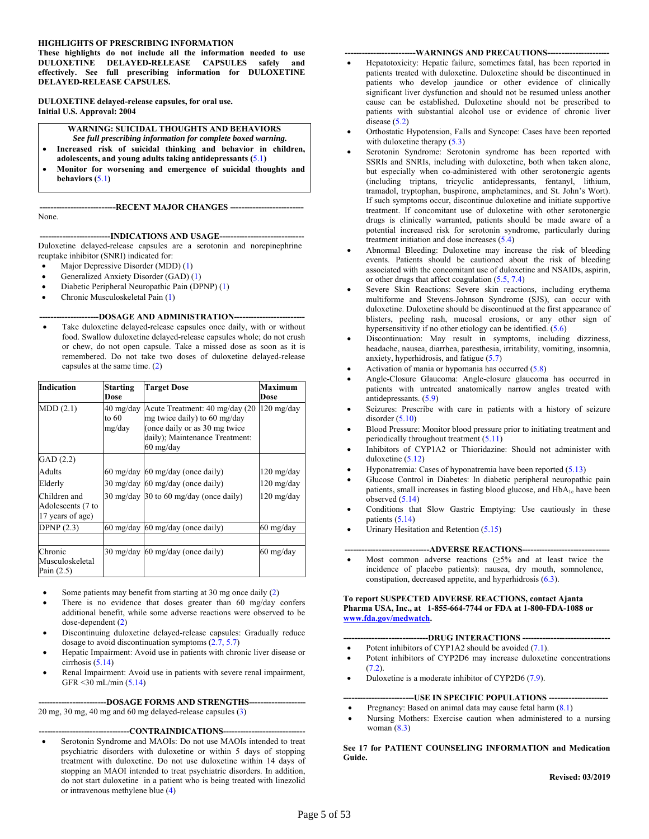#### <span id="page-4-4"></span><span id="page-4-0"></span>**HIGHLIGHTS OF PRESCRIBING INFORMATION**

**These highlights do not include all the information needed to use DULOXETINE DELAYED-RELEASE CAPSULES safely and effectively. See full prescribing information for DULOXETINE DELAYED-RELEASE CAPSULES.** 

**DULOXETINE delayed-release capsules, for oral use. Initial U.S. Approval: 2004** 

#### **WARNING: SUICIDAL THOUGHTS AND BEHAVIORS** *See full prescribing information for complete boxed warning.*

- <span id="page-4-1"></span> **Increased risk of suicidal thinking and behavior in children, adolescents, and young adults taking antidepressants (**[5.1](#page-8-2)**)**
- **Monitor for worsening and emergence of suicidal thoughts and behaviors (**[5.1](#page-8-2)**)**

**---------------------------RECENT MAJOR CHANGES --------------------------** 

None.

# **-------------------------INDICATIONS AND USAGE------------------------------**

Duloxetine delayed-release capsules are a serotonin and norepinephrine reuptake inhibitor (SNRI) indicated for:

- Major Depressive Disorder (MDD) [\(1\)](#page-6-1)
- <span id="page-4-2"></span>Generalized Anxiety Disorder (GAD) [\(1\)](#page-6-3)
- Diabetic Peripheral Neuropathic Pain (DPNP) [\(1\)](#page-6-3)
- Chronic Musculoskeletal Pain [\(1\)](#page-6-3)

#### **---------------------DOSAGE AND ADMINISTRATION-------------------------**

 Take duloxetine delayed-release capsules once daily, with or without food. Swallow duloxetine delayed-release capsules whole; do not crush or chew, do not open capsule. Take a missed dose as soon as it is remembered. Do not take two doses of duloxetine delayed-release capsules at the same time. [\(2\)](#page-6-3) 

<span id="page-4-5"></span><span id="page-4-3"></span>

| <b>Indication</b>                                     | <b>Starting</b><br>Dose      | <b>Target Dose</b>                                                                                                                                               | <b>Maximum</b><br>Dose            |
|-------------------------------------------------------|------------------------------|------------------------------------------------------------------------------------------------------------------------------------------------------------------|-----------------------------------|
| MDD(2.1)                                              | 40 mg/day<br>to 60<br>mg/day | Acute Treatment: 40 mg/day (20)<br>mg twice daily) to 60 mg/day<br>(once daily or as 30 mg twice<br>daily); Maintenance Treatment:<br>$60 \text{ mg}/\text{day}$ | $120 \text{ mg/day}$              |
| GAD(2.2)                                              |                              |                                                                                                                                                                  |                                   |
| Adults                                                |                              | 60 mg/day 60 mg/day (once daily)                                                                                                                                 | $120 \text{ mg/day}$              |
| Elderly                                               |                              | 30 mg/day 60 mg/day (once daily)                                                                                                                                 | $120 \text{ mg/day}$              |
| Children and<br>Adolescents (7 to<br>17 years of age) |                              | 30 mg/day $ 30 \text{ to } 60 \text{ mg/day}$ (once daily)                                                                                                       | 120 mg/day                        |
| DPNP (2.3)                                            |                              | 60 mg/day 60 mg/day (once daily)                                                                                                                                 | $60 \frac{\text{mg}}{\text{day}}$ |
|                                                       |                              |                                                                                                                                                                  |                                   |
| Chronic<br>Musculoskeletal<br>Pain $(2.5)$            |                              | 30 mg/day 60 mg/day (once daily)                                                                                                                                 | $60 \text{ mg/day}$               |

- Some patients may benefit from starting at 30 mg once daily [\(2\)](#page-6-3)
- There is no evidence that doses greater than 60 mg/day confers additional benefit, while some adverse reactions were observed to be dose-dependent [\(2\)](#page-6-3)
- Discontinuing duloxetine delayed-release capsules: Gradually reduce dosage to avoid discontinuation symptoms [\(2.7,](#page-7-3) [5.7\)](#page-12-3)
- Hepatic Impairment: Avoid use in patients with chronic liver disease or cirrhosis  $(5.14)$
- Renal Impairment: Avoid use in patients with severe renal impairment, GFR <30 mL/min [\(5.14\)](#page-14-2)

**------------------------DOSAGE FORMS AND STRENGTHS--------------------** 20 mg, 30 mg, 40 mg and 60 mg delayed-release c[apsu](#page-8-3)les (3)

#### **--------------------------------CONTRAINDICATIONS-----------------------------**

 Serotonin Syndrome and MAOIs: Do not use MAOIs intended to treat psychiatric disorders with duloxetine or within 5 days of stopping treatment with duloxetine. Do not use duloxetine within 14 days of stopping an MAOI intended to treat psychiatric disorders. In addition, do not start duloxetine in a patient who is being treated with linezolid or intravenous methylene blue [\(4\)](#page-8-4) 

#### **-------------------------WARNINGS AND PRECAUTIONS----------------------**

- Hepatotoxicity: Hepatic failure, sometimes fatal, has been reported in patients treated with duloxetine. Duloxetine should be discontinued in patients who develop jaundice or other evidence of clinically significant liver dysfunction and should not be resumed unless another cause can be established. Duloxetine should not be prescribed to patients with substantial alcohol use or evidence of chronic liver disease [\(5.2\)](#page-10-1)
- Orthostatic Hypotension, Falls and Syncope: Cases have been reported with duloxetine therapy  $(5.3)$
- Serotonin Syndrome: Serotonin syndrome has been reported with SSRIs and SNRIs, including with duloxetine, both when taken alone, but especially when co-administered with other serotonergic agents (including triptans, tricyclic antidepressants, fentanyl, lithium, tramadol, tryptophan, buspirone, amphetamines, and St. John's Wort). If such symptoms occur, discontinue duloxetine and initiate supportive treatment. If concomitant use of duloxetine with other serotonergic drugs is clinically warranted, patients should be made aware of a potential increased risk for serotonin syndrome, particularly during treatment initiation and dose increases [\(5.4\)](#page-11-3)
- Abnormal Bleeding: Duloxetine may increase the risk of bleeding events. Patients should be cautioned about the risk of bleeding associated with the concomitant use of duloxetine and NSAIDs, aspirin, or other drugs that affect coagulation [\(5.5,](#page-12-4) [7.4\)](#page-25-4)
- Severe Skin Reactions: Severe skin reactions, including erythema multiforme and Stevens-Johnson Syndrome (SJS), can occur with duloxetine. Duloxetine should be discontinued at the first appearance of blisters, peeling rash, mucosal erosions, or any other sign of hypersensitivity if no other etiology can be identified. (5.6)
- Discontinuation: May result in symptoms, including dizziness, headache, nausea, diarrhea, paresthesia, irritability, vomiting, insomnia, anxiety, hyperhidrosis, and fatigue [\(5.7\)](#page-12-3)
- Activation of mania or hypomania has occurred [\(5.8\)](#page-13-4)
- Angle-Closure Glaucoma: Angle-closure glaucoma has occurred in patients with untreated anatomically narrow angles treated with antidepressants. [\(5.9\)](#page-13-5)
- Seizures: Prescribe with care in patients with a history of seizure disorder [\(5.10\)](#page-13-5)
- Blood Pressure: Monitor blood pressure prior to initiating treatment and periodically throughout treatment [\(5.11\)](#page-13-6)
- Inhibitors of CYP1A2 or Thioridazine: Should not administer with duloxetine  $(5.12)$
- Hyponatremia: Cases of hyponatremia have been reported [\(5.13\)](#page-14-3)
- Glucose Control in Diabetes: In diabetic peripheral neuropathic pain patients, small increases in fasting blood glucose, and HbA<sub>1c</sub> have been observed  $(5.14)$
- Conditions that Slow Gastric Emptying: Use cautiously in these patients  $(5.14)$
- Urinary Hesitation and Retention [\(5.15\)](#page-15-4) 
	- **------------------------------ADVERSE REACTIONS-------------------------------** Most common adverse reactions (≥5% and at least twice the
- incidence of placebo patients): nausea, dry mouth, somnolence, constipation, decreased appetite, and hyperhidrosis [\(6.3\).](#page-17-2)

#### **To report SUSPECTED ADVERSE REACTIONS, contact Ajanta Pharma USA, Inc., at 1-855-664-7744 or FDA at 1-800-FDA-1088 or www.fda.gov/medwatch.**

#### **------------------------------DRUG INTERACTIONS -------------------------------**

- Potent inhibitors of CYP1A2 should be avoided [\(7.1\).](#page-25-5)
- Potent inhibitors of CYP2D6 may increase duloxetine concentrations [\(7.2\).](#page-25-5)
- Duloxetine is a moderate inhibitor of CYP2D6 [\(7.9\).](#page-26-6)

#### **-------------------------USE IN SPECIFIC POPULATIONS ---------------------**

- Pregnancy: Based on animal data may cause fetal harm  $(8.1)$
- Nursing Mothers: Exercise caution when administered to a nursing woman  $(8.3)$

**See 17 for PATIENT COUNSELING INFORMATION and Medication Guide.** 

**Revised: 03/2019**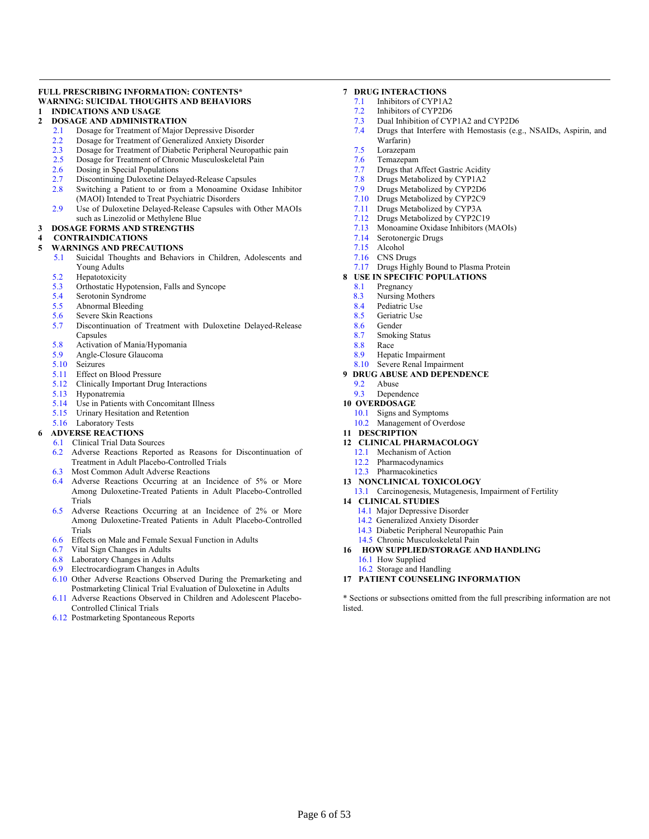#### <span id="page-5-0"></span>**FULL PRESCRIBING INFORMATION: CONTENTS\* WARNING: SUICIDAL THOUGHTS AND BEHAVIORS**

- **[1](#page-6-3) INDICATIONS AND USAGE**
- **[2](#page-6-3) DOSAGE AND ADMINISTRATION** 
	-
	- [2.1](#page-6-4) Dosage for Treatment of Major Depressive Disorder<br>2.2 Dosage for Treatment of Generalized Anxiety Disord [2.2](#page-6-4) Dosage for Treatment of Generalized Anxiety Disorder
	- [2.3](#page-7-4) Dosage for Treatment of Diabetic Peripheral Neuropathic pain
	- [2.5](#page-7-5) Dosage for Treatment of Chronic Musculoskeletal Pain
	-
	- [2.6](#page-7-3) Dosing in Special Populations<br>2.7 Discontinuing Duloxetine Dela Discontinuing Duloxetine Delayed-Release Capsules
	- [2.8](#page-7-3) Switching a Patient to or from a Monoamine Oxidase Inhibitor (MAOI) Intended to Treat Psychiatric Disorders
	- [2.9](#page-8-5) Use of Duloxetine Delayed-Release Capsules with Other MAOIs such as Linezolid or Methylene Blue
- **[3](#page-8-3) DOSAGE FORMS AND STRENGTHS**

#### **[4](#page-8-4) CONTRAINDICATIONS**

#### **[5](#page-8-6) WARNINGS AND PRECAUTIONS**

- [5.1](#page-8-4) Suicidal Thoughts and Behaviors in Children, Adolescents and Young Adults
- [5.2](#page-10-1) Hepatotoxicity<br>5.3 Orthostatic Hyper
- [5.3](#page-11-2) Orthostatic Hypotension, Falls and Syncope
- [5.4](#page-11-3) Serotonin Syndrome
- [5.5](#page-12-4) Abnormal Bleeding
- [5.6](#page-12-5) Severe Skin Reactions<br>5.7 Discontinuation of Tr
- [5.7](#page-12-3) Discontinuation of Treatment with Duloxetine Delayed-Release Capsules
- [5.8](#page-13-4) Activation of Mania/Hypomania
- [5.9](#page-13-5) Angle-Closure Glaucoma<br>5.10 Seizures
- **Seizures**
- [5.11](#page-13-6) Effect on Blood Pressure
- [5.12](#page-13-7) Clinically Important Drug Interactions
- [5.13](#page-14-3) Hyponatremia
- [5.14](#page-14-2) Use in Patients with Concomitant Illness
- [5.15](#page-15-4) Urinary Hesitation and Retention
- [5.16](#page-15-5) Laboratory Tests
- **[6](#page-15-6) ADVERSE REACTIONS**
- [6.1](#page-15-7) Clinical Trial Data Sources [6.2](#page-16-1) Adverse Reactions Reported as Reasons for Discontinuation of
- Treatment in Adult Placebo-Controlled Trials
- [6.3](#page-17-2) Most Common Adult Adverse Reactions
- [6.4](#page-17-3) Adverse Reactions Occurring at an Incidence of 5% or More Among Duloxetine-Treated Patients in Adult Placebo-Controlled Trials
- [6.5](#page-18-1) Adverse Reactions Occurring at an Incidence of 2% or More Among Duloxetine-Treated Patients in Adult Placebo-Controlled Trials
- [6.6](#page-20-1) Effects on Male and Female Sexual Function in Adults
- [6.7](#page-21-2) Vital Sign Changes in Adults
- [6.8](#page-21-3) Laboratory Changes in Adults
- [6.9](#page-21-3) Electrocardiogram Changes in Adults
- [6.10](#page-22-1) Other Adverse Reactions Observed During the Premarketing and Postmarketing Clinical Trial Evaluation of Duloxetine in Adults
- [6.11](#page-23-1) Adverse Reactions Observed in Children and Adolescent Placebo-Controlled Clinical Trials
- [6.12](#page-24-1) Postmarketing Spontaneous Reports

#### **[7](#page-25-5) DRUG INTERACTIONS**

- [7.1](#page-25-5) Inhibitors of CYP1A2
- [7.2](#page-25-5) Inhibitors of CYP2D6<br>7.3 Dual Inhibition of CYI
- Dual Inhibition of CYP1A2 and CYP2D6
- [7.4](#page-25-4) Drugs that Interfere with Hemostasis (e.g., NSAIDs, Aspirin, and Warfarin)
- [7.5](#page-25-7) Lorazepam
- [7.6](#page-25-7) Temazepam
- [7.7](#page-25-7) Drugs that Affect Gastric Acidity<br>7.8 Drugs Metabolized by CYP1A2
- Drugs Metabolized by CYP1A2
- [7.9](#page-26-6) Drugs Metabolized by CYP2D6
- [7.10](#page-26-8) Drugs Metabolized by CYP2C9
- [7.11](#page-26-9) Drugs Metabolized by CYP3A
- [7.12](#page-26-10) Drugs Metabolized by CYP2C19
- [7.13](#page-26-11) Monoamine Oxidase Inhibitors (MAOIs)
- [7.14](#page-26-11) Serotonergic Drugs
- [7.15](#page-26-11) Alcohol
- [7.16](#page-27-3) CNS Drugs
- [7.17](#page-27-3) Drugs Highly Bound to Plasma Protein
- **[8](#page-27-2) USE IN SPECIFIC POPULATIONS** 
	- [8.1](#page-27-2) Pregnancy
	- [8.3](#page-28-2) Nursing Mothers
	- [8.4](#page-28-3) Pediatric Use
	- [8.5](#page-29-2) Geriatric Use<br>8.6 Gender
	- [8.6](#page-29-3) Gender
	- [8.7](#page-29-3) Smoking Status
	- [8.8](#page-29-3) Race
	- [8.9](#page-29-3) Hepatic Impairment
	- [8.10](#page-29-3) Severe Renal Impairment
- **[9](#page-30-2) DRUG ABUSE AND DEPENDENCE** 
	- [9.2](#page-30-2) Abuse
	- [9.3](#page-30-2) Dependence
- **[10](#page-30-3) OVERDOSAGE** 
	- [10.1](#page-30-3) Signs and Symptoms
	- [10.2](#page-30-3) Management of Overdose
- **[11](#page-31-2) DESCRIPTION**
- **[12](#page-31-3) CLINICAL PHARMACOLOGY** 
	- [12.1](#page-31-3) Mechanism of Action
	- [12.2](#page-32-2) Pharmacodynamics
	- [12.3](#page-32-3) Pharmacokinetics

#### **[13](#page-33-3) NONCLINICAL TOXICOLOGY**

- [13.1](#page-33-3) Carcinogenesis, Mutagenesis, Impairment of Fertility
- **[14](#page-33-4) CLINICAL STUDIES** 
	- [14.1](#page-33-5) Major Depressive Disorder
	- [14.2](#page-35-1) Generalized Anxiety Disorder
	- [14.3](#page-37-1) Diabetic Peripheral Neuropathic Pain
	- [14.5](#page-38-1) Chronic Musculoskeletal Pain
- **[16](#page-42-2) HOW SUPPLIED/STORAGE AND HANDLING** 
	- [16.1](#page-42-2) How Supplied
	- [16.2](#page-42-2) Storage and Handling
- **[17](#page-42-3) PATIENT COUNSELING INFORMATION**

\* Sections or subsections omitted from the full prescribing information are not listed.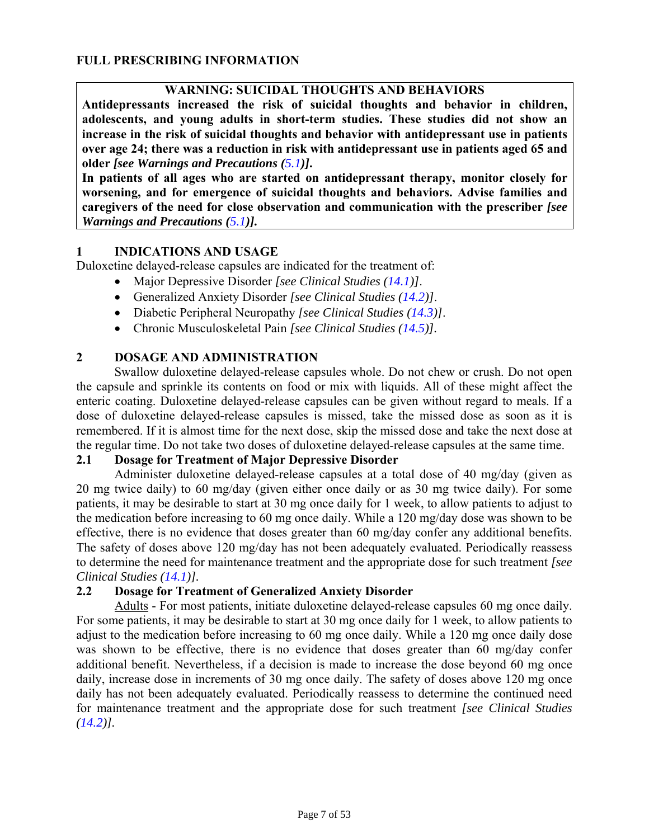# **WARNING: SUICIDAL THOUGHTS AND BEHAVIORS**

<span id="page-6-0"></span>**Antidepressants increased the risk of suicidal thoughts and behavior in children, adolescents, and young adults in short-term studies. These studies did not show an increase in the risk of suicidal thoughts and behavior with antidepressant use in patients over age 24; there was a reduction in risk with antidepressant use in patients aged 65 and older** *[see Warnings and Precautions ([5.1](#page-8-2))]***.** 

**In patients of all ages who are started on antidepressant therapy, monitor closely for worsening, and for emergence of suicidal thoughts and behaviors. Advise families and caregivers of the need for close observation and communication with the prescriber** *[see Warnings and Precautions ([5.1](#page-8-2))].* 

# <span id="page-6-3"></span><span id="page-6-1"></span>**1 INDICATIONS AND USAGE**

Duloxetine delayed-release capsules are indicated for the treatment of:

- Major Depressive Disorder *[see Clinical Studies [\(14.1](#page-33-2))]*.
- Generalized Anxiety Disorder *[see Clinical Studies ([14.2\)](#page-35-0)]*.
- Diabetic Peripheral Neuropathy *[see Clinical Studies ([14.3\)](#page-37-0)]*.
- Chronic Musculoskeletal Pain *[see Clinical Studies ([14.5\)](#page-38-0)].*

# **2 DOSAGE AND ADMINISTRATION**

Swallow duloxetine delayed-release capsules whole. Do not chew or crush. Do not open the capsule and sprinkle its contents on food or mix with liquids. All of these might affect the enteric coating. Duloxetine delayed-release capsules can be given without regard to meals. If a dose of duloxetine delayed-release capsules is missed, take the missed dose as soon as it is remembered. If it is almost time for the next dose, skip the missed dose and take the next dose at the regular time. Do not take two doses of duloxetine delayed-release capsules at the same time.

### <span id="page-6-4"></span><span id="page-6-2"></span>**2.1 Dosage for Treatment of Major Depressive Disorder**

Administer duloxetine delayed-release capsules at a total dose of 40 mg/day (given as 20 mg twice daily) to 60 mg/day (given either once daily or as 30 mg twice daily). For some patients, it may be desirable to start at 30 mg once daily for 1 week, to allow patients to adjust to the medication before increasing to 60 mg once daily. While a 120 mg/day dose was shown to be effective, there is no evidence that doses greater than 60 mg/day confer any additional benefits. The safety of doses above 120 mg/day has not been adequately evaluated. Periodically reassess to determine the need for maintenance treatment and the appropriate dose for such treatment *[see Clinical Studies [\(14.1](#page-33-2))].*

### **2.2 Dosage for Treatment of Generalized Anxiety Disorder**

Adults - For most patients, initiate duloxetine delayed-release capsules 60 mg once daily. For some patients, it may be desirable to start at 30 mg once daily for 1 week, to allow patients to adjust to the medication before increasing to 60 mg once daily. While a 120 mg once daily dose was shown to be effective, there is no evidence that doses greater than 60 mg/day confer additional benefit. Nevertheless, if a decision is made to increase the dose beyond 60 mg once daily, increase dose in increments of 30 mg once daily. The safety of doses above 120 mg once daily has not been adequately evaluated. Periodically reassess to determine the continued need for maintenance treatment and the appropriate dose for such treatment *[see Clinical Studies ([14.2](#page-35-0))].*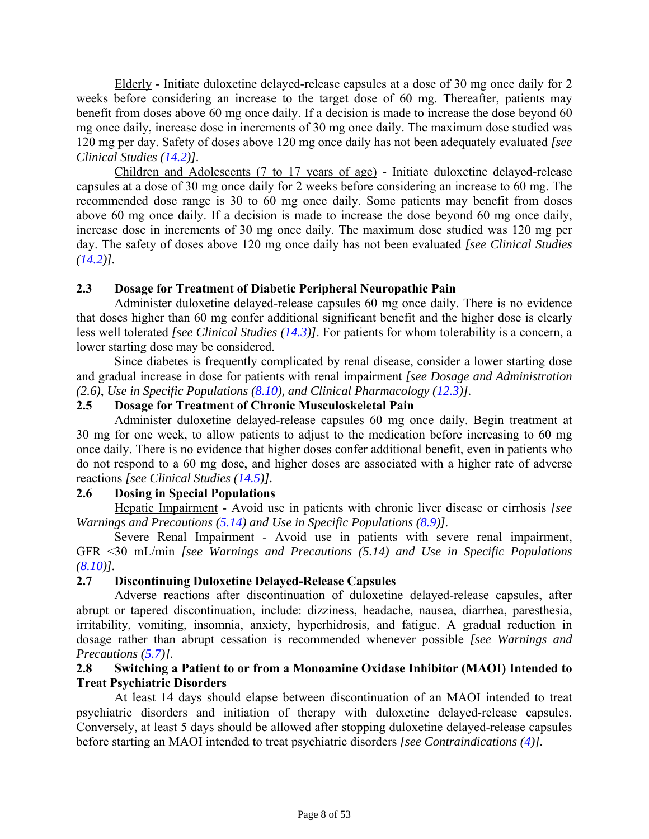Elderly - Initiate duloxetine delayed-release capsules at a dose of 30 mg once daily for 2 weeks before considering an increase to the target dose of 60 mg. Thereafter, patients may benefit from doses above 60 mg once daily. If a decision is made to increase the dose beyond 60 mg once daily, increase dose in increments of 30 mg once daily. The maximum dose studied was 120 mg per day. Safety of doses above 120 mg once daily has not been adequately evaluated *[see Clinical Studies [\(14.2](#page-35-0))].* 

Children and Adolescents (7 to 17 years of age) - Initiate duloxetine delayed-release capsules at a dose of 30 mg once daily for 2 weeks before considering an increase to 60 mg. The recommended dose range is 30 to 60 mg once daily. Some patients may benefit from doses above 60 mg once daily. If a decision is made to increase the dose beyond 60 mg once daily, increase dose in increments of 30 mg once daily. The maximum dose studied was 120 mg per day. The safety of doses above 120 mg once daily has not been evaluated *[see Clinical Studies ([14.2](#page-35-0))].* 

#### <span id="page-7-4"></span><span id="page-7-0"></span>**2.3 Dosage for Treatment of Diabetic Peripheral Neuropathic Pain**

Administer duloxetine delayed-release capsules 60 mg once daily. There is no evidence that doses higher than 60 mg confer additional significant benefit and the higher dose is clearly less well tolerated *[see Clinical Studies ([14.3\)](#page-37-0)]*. For patients for whom tolerability is a concern, a lower starting dose may be considered.

<span id="page-7-5"></span><span id="page-7-1"></span>Since diabetes is frequently complicated by renal disease, consider a lower starting dose and gradual increase in dose for patients with renal impairment *[see Dosage and Administration (2.6)*, *Use in Specific Populations [\(8.10](#page-29-1)), and Clinical Pharmacology [\(12.3](#page-32-1))].*

# **2.5 Dosage for Treatment of Chronic Musculoskeletal Pain**

<span id="page-7-3"></span><span id="page-7-2"></span>Administer duloxetine delayed-release capsules 60 mg once daily. Begin treatment at 30 mg for one week, to allow patients to adjust to the medication before increasing to 60 mg once daily. There is no evidence that higher doses confer additional benefit, even in patients who do not respond to a 60 mg dose, and higher doses are associated with a higher rate of adverse reactions *[see Clinical Studies ([14.5\)](#page-38-0)].* 

#### **2.6 Dosing in Special Populations**

Hepatic Impairment - Avoid use in patients with chronic liver disease or cirrhosis *[see Warnings and Precautions ([5.14\)](#page-14-1) and Use in Specific Populations [\(8.9\)](#page-29-1)].*

Severe Renal Impairment - Avoid use in patients with severe renal impairment, GFR <30 mL/min *[see Warnings and Precautions (5.14) and Use in Specific Populations ([8.10](#page-29-1))].* 

#### **2.7 Discontinuing Duloxetine Delayed-Release Capsules**

Adverse reactions after discontinuation of duloxetine delayed-release capsules, after abrupt or tapered discontinuation, include: dizziness, headache, nausea, diarrhea, paresthesia, irritability, vomiting, insomnia, anxiety, hyperhidrosis, and fatigue. A gradual reduction in dosage rather than abrupt cessation is recommended whenever possible *[see Warnings and Precautions ([5.7\)\]](#page-12-2).*

#### **2.8 Switching a Patient to or from a Monoamine Oxidase Inhibitor (MAOI) Intended to Treat Psychiatric Disorders**

At least 14 days should elapse between discontinuation of an MAOI intended to treat psychiatric disorders and initiation of therapy with duloxetine delayed-release capsules. Conversely, at least 5 days should be allowed after stopping duloxetine delayed-release capsules before starting an MAOI intended to treat psychiatric disorders *[see Contraindications [\(4\)](#page-8-2)].*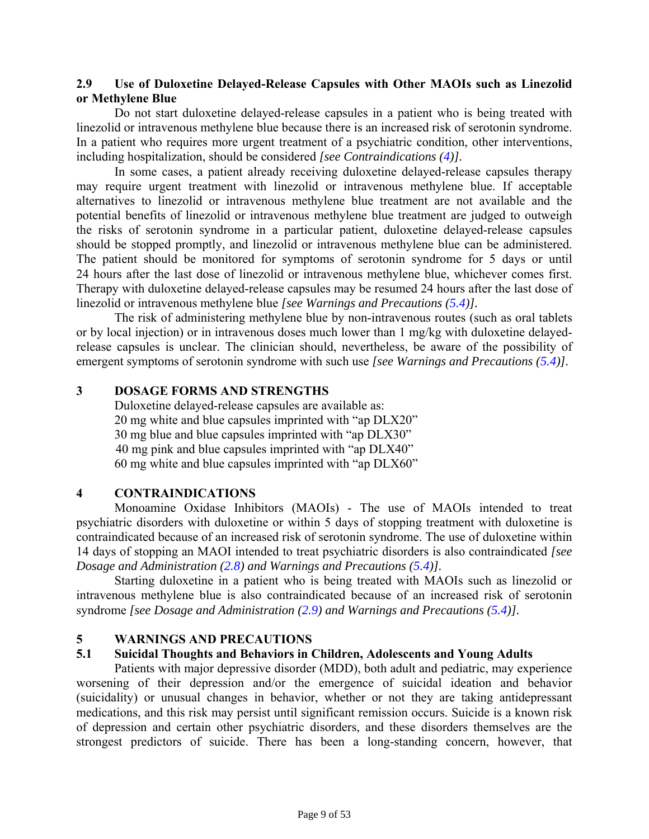#### <span id="page-8-5"></span><span id="page-8-0"></span>**2.9 Use of Duloxetine Delayed-Release Capsules with Other MAOIs such as Linezolid or Methylene Blue**

Do not start duloxetine delayed-release capsules in a patient who is being treated with linezolid or intravenous methylene blue because there is an increased risk of serotonin syndrome. In a patient who requires more urgent treatment of a psychiatric condition, other interventions, including hospitalization, should be considered *[see Contraindications ([4\)](#page-8-2)].* 

In some cases, a patient already receiving duloxetine delayed-release capsules therapy may require urgent treatment with linezolid or intravenous methylene blue. If acceptable alternatives to linezolid or intravenous methylene blue treatment are not available and the potential benefits of linezolid or intravenous methylene blue treatment are judged to outweigh the risks of serotonin syndrome in a particular patient, duloxetine delayed-release capsules should be stopped promptly, and linezolid or intravenous methylene blue can be administered. The patient should be monitored for symptoms of serotonin syndrome for 5 days or until 24 hours after the last dose of linezolid or intravenous methylene blue, whichever comes first. Therapy with duloxetine delayed-release capsules may be resumed 24 hours after the last dose of linezolid or intravenous methylene blue *[see Warnings and Precautions [\(5.4](#page-11-1))].*

The risk of administering methylene blue by non-intravenous routes (such as oral tablets or by local injection) or in intravenous doses much lower than 1 mg/kg with duloxetine delayedrelease capsules is unclear. The clinician should, nevertheless, be aware of the possibility of emergent symptoms of serotonin syndrome with such use *[see Warnings and Precautions ([5.4\)\]](#page-11-1).* 

# <span id="page-8-3"></span><span id="page-8-1"></span>**3 DOSAGE FORMS AND STRENGTHS**

Duloxetine delayed-release capsules are available as: 20 mg white and blue capsules imprinted with "ap DLX20" 30 mg blue and blue capsules imprinted with "ap DLX30" 40 mg pink and blue capsules imprinted with "ap DLX40" 60 mg white and blue capsules imprinted with "ap DLX60"

#### <span id="page-8-6"></span><span id="page-8-4"></span><span id="page-8-2"></span>**4 CONTRAINDICATIONS**

Monoamine Oxidase Inhibitors (MAOIs) - The use of MAOIs intended to treat psychiatric disorders with duloxetine or within 5 days of stopping treatment with duloxetine is contraindicated because of an increased risk of serotonin syndrome. The use of duloxetine within 14 days of stopping an MAOI intended to treat psychiatric disorders is also contraindicated *[see Dosage and Administration [\(2.8\)](#page-7-2) and Warnings and Precautions ([5.4\)](#page-11-1)].*

Starting duloxetine in a patient who is being treated with MAOIs such as linezolid or intravenous methylene blue is also contraindicated because of an increased risk of serotonin syndrome *[see Dosage and Administration [\(2.9](#page-8-0)) and Warnings and Precautions ([5.4\)](#page-11-1)].* 

#### **5 WARNINGS AND PRECAUTIONS**

#### **5.1 Suicidal Thoughts and Behaviors in Children, Adolescents and Young Adults**

Patients with major depressive disorder (MDD), both adult and pediatric, may experience worsening of their depression and/or the emergence of suicidal ideation and behavior (suicidality) or unusual changes in behavior, whether or not they are taking antidepressant medications, and this risk may persist until significant remission occurs. Suicide is a known risk of depression and certain other psychiatric disorders, and these disorders themselves are the strongest predictors of suicide. There has been a long-standing concern, however, that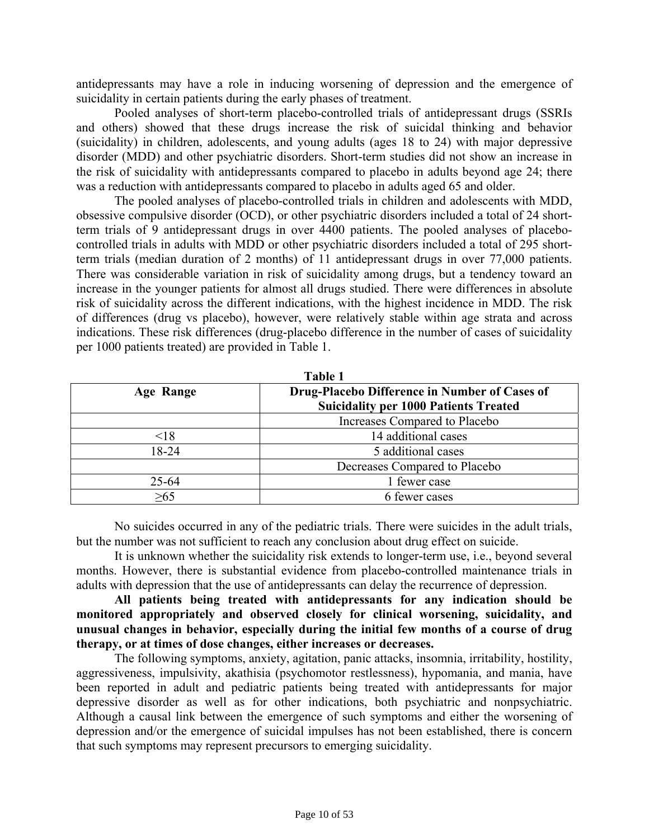antidepressants may have a role in inducing worsening of depression and the emergence of suicidality in certain patients during the early phases of treatment.

Pooled analyses of short-term placebo-controlled trials of antidepressant drugs (SSRIs and others) showed that these drugs increase the risk of suicidal thinking and behavior (suicidality) in children, adolescents, and young adults (ages 18 to 24) with major depressive disorder (MDD) and other psychiatric disorders. Short-term studies did not show an increase in the risk of suicidality with antidepressants compared to placebo in adults beyond age 24; there was a reduction with antidepressants compared to placebo in adults aged 65 and older.

The pooled analyses of placebo-controlled trials in children and adolescents with MDD, obsessive compulsive disorder (OCD), or other psychiatric disorders included a total of 24 shortterm trials of 9 antidepressant drugs in over 4400 patients. The pooled analyses of placebocontrolled trials in adults with MDD or other psychiatric disorders included a total of 295 shortterm trials (median duration of 2 months) of 11 antidepressant drugs in over 77,000 patients. There was considerable variation in risk of suicidality among drugs, but a tendency toward an increase in the younger patients for almost all drugs studied. There were differences in absolute risk of suicidality across the different indications, with the highest incidence in MDD. The risk of differences (drug vs placebo), however, were relatively stable within age strata and across indications. These risk differences (drug-placebo difference in the number of cases of suicidality per 1000 patients treated) are provided in Table 1.

| <b>Table 1</b>                                             |                                              |  |
|------------------------------------------------------------|----------------------------------------------|--|
| Drug-Placebo Difference in Number of Cases of<br>Age Range |                                              |  |
|                                                            | <b>Suicidality per 1000 Patients Treated</b> |  |
|                                                            | Increases Compared to Placebo                |  |
| < 18                                                       | 14 additional cases                          |  |
| 18-24                                                      | 5 additional cases                           |  |
|                                                            | Decreases Compared to Placebo                |  |
| $25 - 64$                                                  | 1 fewer case                                 |  |
| >65                                                        | 6 fewer cases                                |  |

No suicides occurred in any of the pediatric trials. There were suicides in the adult trials, but the number was not sufficient to reach any conclusion about drug effect on suicide.

It is unknown whether the suicidality risk extends to longer-term use, i.e., beyond several months. However, there is substantial evidence from placebo-controlled maintenance trials in adults with depression that the use of antidepressants can delay the recurrence of depression.

**All patients being treated with antidepressants for any indication should be monitored appropriately and observed closely for clinical worsening, suicidality, and unusual changes in behavior, especially during the initial few months of a course of drug therapy, or at times of dose changes, either increases or decreases.** 

The following symptoms, anxiety, agitation, panic attacks, insomnia, irritability, hostility, aggressiveness, impulsivity, akathisia (psychomotor restlessness), hypomania, and mania, have been reported in adult and pediatric patients being treated with antidepressants for major depressive disorder as well as for other indications, both psychiatric and nonpsychiatric. Although a causal link between the emergence of such symptoms and either the worsening of depression and/or the emergence of suicidal impulses has not been established, there is concern that such symptoms may represent precursors to emerging suicidality.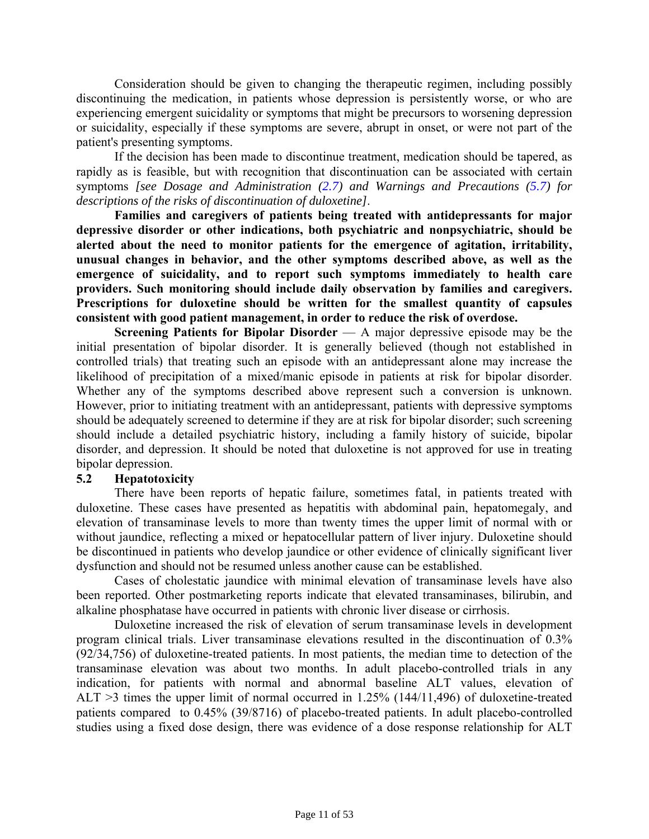Consideration should be given to changing the therapeutic regimen, including possibly discontinuing the medication, in patients whose depression is persistently worse, or who are experiencing emergent suicidality or symptoms that might be precursors to worsening depression or suicidality, especially if these symptoms are severe, abrupt in onset, or were not part of the patient's presenting symptoms.

If the decision has been made to discontinue treatment, medication should be tapered, as rapidly as is feasible, but with recognition that discontinuation can be associated with certain symptoms *[see Dosage and Administration [\(2.7](#page-7-2)) and Warnings and Precautions [\(5.7](#page-12-2)) for descriptions of the risks of discontinuation of duloxetine]*.

**Families and caregivers of patients being treated with antidepressants for major depressive disorder or other indications, both psychiatric and nonpsychiatric, should be alerted about the need to monitor patients for the emergence of agitation, irritability, unusual changes in behavior, and the other symptoms described above, as well as the emergence of suicidality, and to report such symptoms immediately to health care providers. Such monitoring should include daily observation by families and caregivers. Prescriptions for duloxetine should be written for the smallest quantity of capsules consistent with good patient management, in order to reduce the risk of overdose.** 

**Screening Patients for Bipolar Disorder** — A major depressive episode may be the initial presentation of bipolar disorder. It is generally believed (though not established in controlled trials) that treating such an episode with an antidepressant alone may increase the likelihood of precipitation of a mixed/manic episode in patients at risk for bipolar disorder. Whether any of the symptoms described above represent such a conversion is unknown. However, prior to initiating treatment with an antidepressant, patients with depressive symptoms should be adequately screened to determine if they are at risk for bipolar disorder; such screening should include a detailed psychiatric history, including a family history of suicide, bipolar disorder, and depression. It should be noted that duloxetine is not approved for use in treating bipolar depression.

# <span id="page-10-1"></span><span id="page-10-0"></span>**5.2 Hepatotoxicity**

There have been reports of hepatic failure, sometimes fatal, in patients treated with duloxetine. These cases have presented as hepatitis with abdominal pain, hepatomegaly, and elevation of transaminase levels to more than twenty times the upper limit of normal with or without jaundice, reflecting a mixed or hepatocellular pattern of liver injury. Duloxetine should be discontinued in patients who develop jaundice or other evidence of clinically significant liver dysfunction and should not be resumed unless another cause can be established.

Cases of cholestatic jaundice with minimal elevation of transaminase levels have also been reported. Other postmarketing reports indicate that elevated transaminases, bilirubin, and alkaline phosphatase have occurred in patients with chronic liver disease or cirrhosis.

Duloxetine increased the risk of elevation of serum transaminase levels in development program clinical trials. Liver transaminase elevations resulted in the discontinuation of 0.3% (92/34,756) of duloxetine-treated patients. In most patients, the median time to detection of the transaminase elevation was about two months. In adult placebo-controlled trials in any indication, for patients with normal and abnormal baseline ALT values, elevation of ALT >3 times the upper limit of normal occurred in 1.25% (144/11,496) of duloxetine-treated patients compared to 0.45% (39/8716) of placebo-treated patients. In adult placebo-controlled studies using a fixed dose design, there was evidence of a dose response relationship for ALT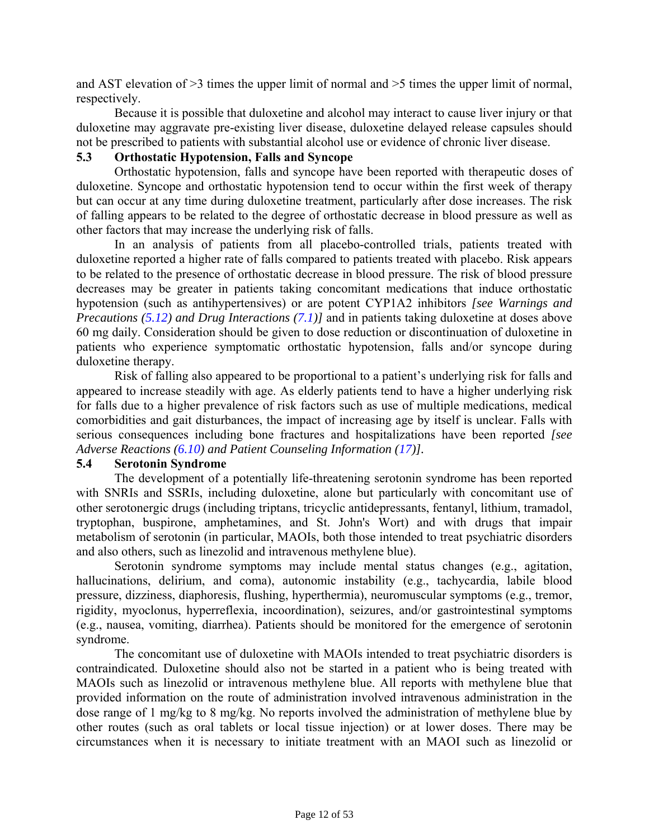and AST elevation of >3 times the upper limit of normal and >5 times the upper limit of normal, respectively.

Because it is possible that duloxetine and alcohol may interact to cause liver injury or that duloxetine may aggravate pre-existing liver disease, duloxetine delayed release capsules should not be prescribed to patients with substantial alcohol use or evidence of chronic liver disease.

# <span id="page-11-2"></span><span id="page-11-0"></span>**5.3 Orthostatic Hypotension, Falls and Syncope**

Orthostatic hypotension, falls and syncope have been reported with therapeutic doses of duloxetine. Syncope and orthostatic hypotension tend to occur within the first week of therapy but can occur at any time during duloxetine treatment, particularly after dose increases. The risk of falling appears to be related to the degree of orthostatic decrease in blood pressure as well as other factors that may increase the underlying risk of falls.

In an analysis of patients from all placebo-controlled trials, patients treated with duloxetine reported a higher rate of falls compared to patients treated with placebo. Risk appears to be related to the presence of orthostatic decrease in blood pressure. The risk of blood pressure decreases may be greater in patients taking concomitant medications that induce orthostatic hypotension (such as antihypertensives) or are potent CYP1A2 inhibitors *[see Warnings and Precautions [\(5.12](#page-13-3)) and Drug Interactions [\(7.1\)\]](#page-25-0)* and in patients taking duloxetine at doses above 60 mg daily. Consideration should be given to dose reduction or discontinuation of duloxetine in patients who experience symptomatic orthostatic hypotension, falls and/or syncope during duloxetine therapy.

Risk of falling also appeared to be proportional to a patient's underlying risk for falls and appeared to increase steadily with age. As elderly patients tend to have a higher underlying risk for falls due to a higher prevalence of risk factors such as use of multiple medications, medical comorbidities and gait disturbances, the impact of increasing age by itself is unclear. Falls with serious consequences including bone fractures and hospitalizations have been reported *[see Adverse Reactions [\(6.10](#page-22-0)) and Patient Counseling Information ([17\)](#page-42-1)].* 

# <span id="page-11-3"></span><span id="page-11-1"></span>**5.4 Serotonin Syndrome**

The development of a potentially life-threatening serotonin syndrome has been reported with SNRIs and SSRIs, including duloxetine, alone but particularly with concomitant use of other serotonergic drugs (including triptans, tricyclic antidepressants, fentanyl, lithium, tramadol, tryptophan, buspirone, amphetamines, and St. John's Wort) and with drugs that impair metabolism of serotonin (in particular, MAOIs, both those intended to treat psychiatric disorders and also others, such as linezolid and intravenous methylene blue).

Serotonin syndrome symptoms may include mental status changes (e.g., agitation, hallucinations, delirium, and coma), autonomic instability (e.g., tachycardia, labile blood pressure, dizziness, diaphoresis, flushing, hyperthermia), neuromuscular symptoms (e.g., tremor, rigidity, myoclonus, hyperreflexia, incoordination), seizures, and/or gastrointestinal symptoms (e.g., nausea, vomiting, diarrhea). Patients should be monitored for the emergence of serotonin syndrome.

The concomitant use of duloxetine with MAOIs intended to treat psychiatric disorders is contraindicated. Duloxetine should also not be started in a patient who is being treated with MAOIs such as linezolid or intravenous methylene blue. All reports with methylene blue that provided information on the route of administration involved intravenous administration in the dose range of 1 mg/kg to 8 mg/kg. No reports involved the administration of methylene blue by other routes (such as oral tablets or local tissue injection) or at lower doses. There may be circumstances when it is necessary to initiate treatment with an MAOI such as linezolid or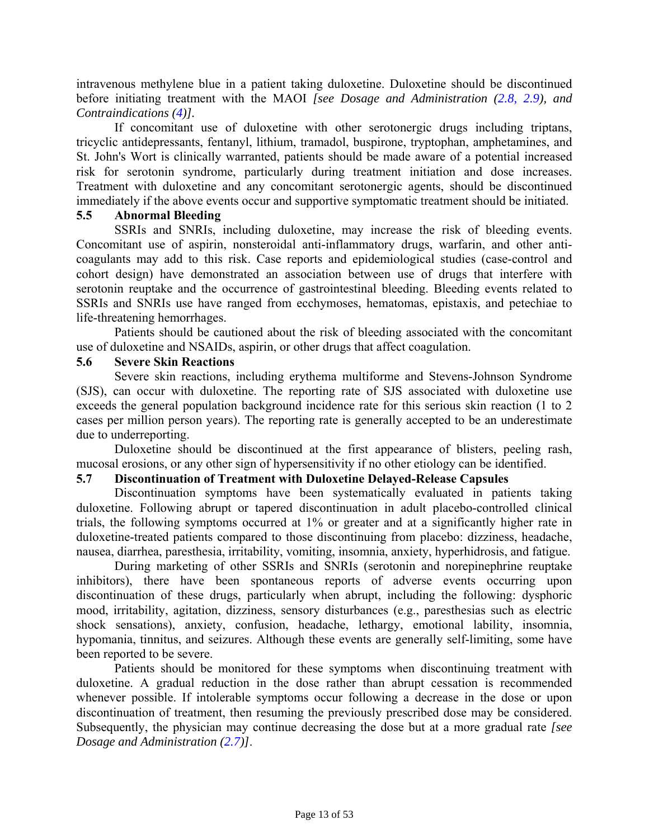intravenous methylene blue in a patient taking duloxetine. Duloxetine should be discontinued before initiating treatment with the MAOI *[see Dosage and Administration [\(2.8](#page-7-2), [2.9](#page-8-0)), and Contraindications [\(4\)](#page-8-2)].*

If concomitant use of duloxetine with other serotonergic drugs including triptans, tricyclic antidepressants, fentanyl, lithium, tramadol, buspirone, tryptophan, amphetamines, and St. John's Wort is clinically warranted, patients should be made aware of a potential increased risk for serotonin syndrome, particularly during treatment initiation and dose increases. Treatment with duloxetine and any concomitant serotonergic agents, should be discontinued immediately if the above events occur and supportive symptomatic treatment should be initiated.

# <span id="page-12-4"></span><span id="page-12-0"></span>**5.5 Abnormal Bleeding**

SSRIs and SNRIs, including duloxetine, may increase the risk of bleeding events. Concomitant use of aspirin, nonsteroidal anti-inflammatory drugs, warfarin, and other anticoagulants may add to this risk. Case reports and epidemiological studies (case-control and cohort design) have demonstrated an association between use of drugs that interfere with serotonin reuptake and the occurrence of gastrointestinal bleeding. Bleeding events related to SSRIs and SNRIs use have ranged from ecchymoses, hematomas, epistaxis, and petechiae to life-threatening hemorrhages.

<span id="page-12-5"></span><span id="page-12-1"></span>Patients should be cautioned about the risk of bleeding associated with the concomitant use of duloxetine and NSAIDs, aspirin, or other drugs that affect coagulation.

# **5.6 Severe Skin Reactions**

Severe skin reactions, including erythema multiforme and Stevens-Johnson Syndrome (SJS), can occur with duloxetine. The reporting rate of SJS associated with duloxetine use exceeds the general population background incidence rate for this serious skin reaction (1 to 2 cases per million person years). The reporting rate is generally accepted to be an underestimate due to underreporting.

<span id="page-12-3"></span><span id="page-12-2"></span>Duloxetine should be discontinued at the first appearance of blisters, peeling rash, mucosal erosions, or any other sign of hypersensitivity if no other etiology can be identified.

# **5.7 Discontinuation of Treatment with Duloxetine Delayed-Release Capsules**

Discontinuation symptoms have been systematically evaluated in patients taking duloxetine. Following abrupt or tapered discontinuation in adult placebo-controlled clinical trials, the following symptoms occurred at 1% or greater and at a significantly higher rate in duloxetine-treated patients compared to those discontinuing from placebo: dizziness, headache, nausea, diarrhea, paresthesia, irritability, vomiting, insomnia, anxiety, hyperhidrosis, and fatigue.

During marketing of other SSRIs and SNRIs (serotonin and norepinephrine reuptake inhibitors), there have been spontaneous reports of adverse events occurring upon discontinuation of these drugs, particularly when abrupt, including the following: dysphoric mood, irritability, agitation, dizziness, sensory disturbances (e.g., paresthesias such as electric shock sensations), anxiety, confusion, headache, lethargy, emotional lability, insomnia, hypomania, tinnitus, and seizures. Although these events are generally self-limiting, some have been reported to be severe.

Patients should be monitored for these symptoms when discontinuing treatment with duloxetine. A gradual reduction in the dose rather than abrupt cessation is recommended whenever possible. If intolerable symptoms occur following a decrease in the dose or upon discontinuation of treatment, then resuming the previously prescribed dose may be considered. Subsequently, the physician may continue decreasing the dose but at a more gradual rate *[see Dosage and Administration ([2.7\)](#page-7-2)]*.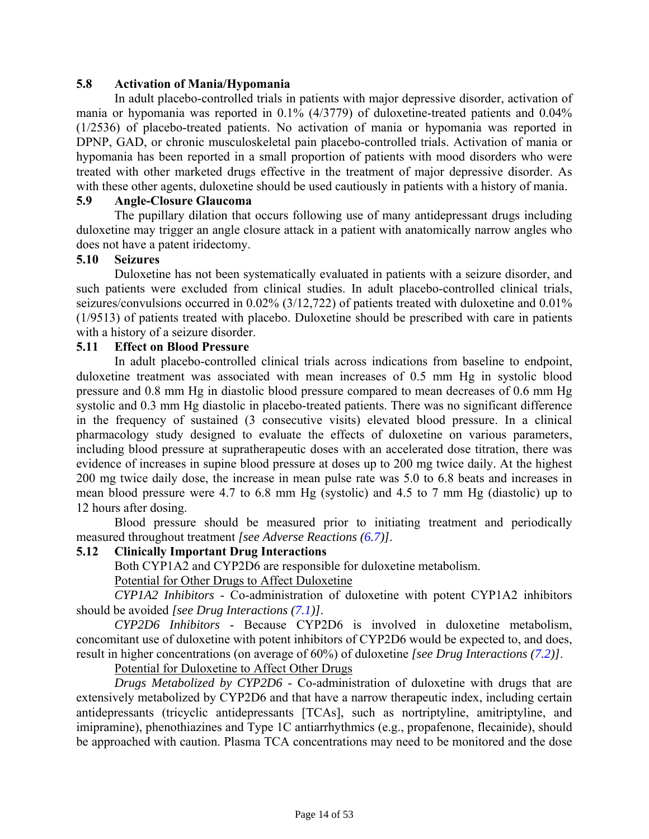# <span id="page-13-4"></span><span id="page-13-0"></span>**5.8 Activation of Mania/Hypomania**

In adult placebo-controlled trials in patients with major depressive disorder, activation of mania or hypomania was reported in 0.1% (4/3779) of duloxetine-treated patients and 0.04% (1/2536) of placebo-treated patients. No activation of mania or hypomania was reported in DPNP, GAD, or chronic musculoskeletal pain placebo-controlled trials. Activation of mania or hypomania has been reported in a small proportion of patients with mood disorders who were treated with other marketed drugs effective in the treatment of major depressive disorder. As with these other agents, duloxetine should be used cautiously in patients with a history of mania.

#### <span id="page-13-5"></span><span id="page-13-1"></span>**5.9 Angle-Closure Glaucoma**

The pupillary dilation that occurs following use of many antidepressant drugs including duloxetine may trigger an angle closure attack in a patient with anatomically narrow angles who does not have a patent iridectomy.

#### **5.10 Seizures**

Duloxetine has not been systematically evaluated in patients with a seizure disorder, and such patients were excluded from clinical studies. In adult placebo-controlled clinical trials, seizures/convulsions occurred in 0.02% (3/12,722) of patients treated with duloxetine and 0.01% (1/9513) of patients treated with placebo. Duloxetine should be prescribed with care in patients with a history of a seizure disorder.

#### <span id="page-13-6"></span><span id="page-13-2"></span>**5.11 Effect on Blood Pressure**

In adult placebo-controlled clinical trials across indications from baseline to endpoint, duloxetine treatment was associated with mean increases of 0.5 mm Hg in systolic blood pressure and 0.8 mm Hg in diastolic blood pressure compared to mean decreases of 0.6 mm Hg systolic and 0.3 mm Hg diastolic in placebo-treated patients. There was no significant difference in the frequency of sustained (3 consecutive visits) elevated blood pressure. In a clinical pharmacology study designed to evaluate the effects of duloxetine on various parameters, including blood pressure at supratherapeutic doses with an accelerated dose titration, there was evidence of increases in supine blood pressure at doses up to 200 mg twice daily. At the highest 200 mg twice daily dose, the increase in mean pulse rate was 5.0 to 6.8 beats and increases in mean blood pressure were 4.7 to 6.8 mm Hg (systolic) and 4.5 to 7 mm Hg (diastolic) up to 12 hours after dosing.

<span id="page-13-7"></span><span id="page-13-3"></span>Blood pressure should be measured prior to initiating treatment and periodically measured throughout treatment *[see Adverse Reactions ([6.7\)](#page-21-0)]*.

#### **5.12 Clinically Important Drug Interactions**

Both CYP1A2 and CYP2D6 are responsible for duloxetine metabolism.

Potential for Other Drugs to Affect Duloxetine

*CYP1A2 Inhibitors* - Co-administration of duloxetine with potent CYP1A2 inhibitors should be avoided *[see Drug Interactions ([7.1\)](#page-25-0)]*.

*CYP2D6 Inhibitors* - Because CYP2D6 is involved in duloxetine metabolism, concomitant use of duloxetine with potent inhibitors of CYP2D6 would be expected to, and does, result in higher concentrations (on average of 60%) of duloxetine *[see Drug Interactions [\(7.2\)\]](#page-25-0)*.

Potential for Duloxetine to Affect Other Drugs

*Drugs Metabolized by CYP2D6* - Co-administration of duloxetine with drugs that are extensively metabolized by CYP2D6 and that have a narrow therapeutic index, including certain antidepressants (tricyclic antidepressants [TCAs], such as nortriptyline, amitriptyline, and imipramine), phenothiazines and Type 1C antiarrhythmics (e.g., propafenone, flecainide), should be approached with caution. Plasma TCA concentrations may need to be monitored and the dose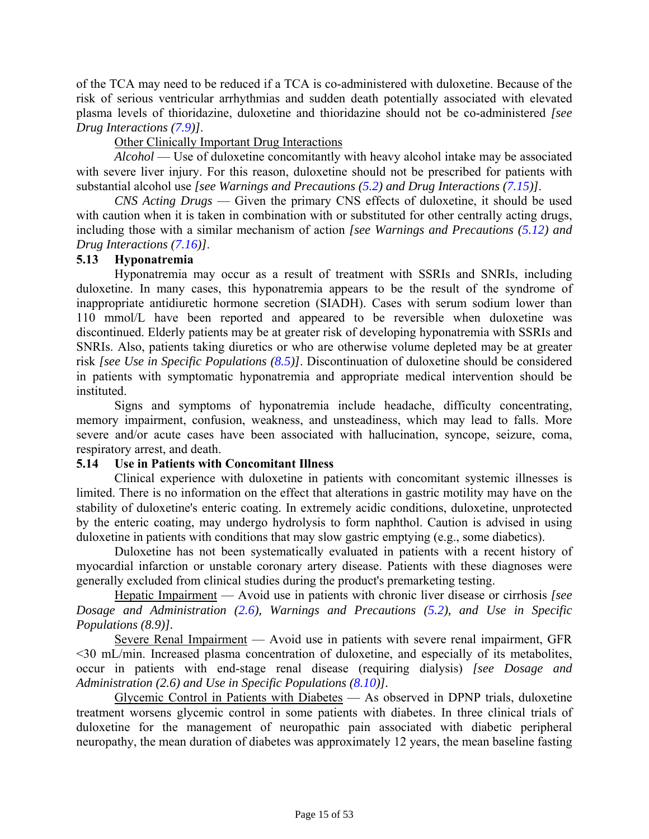of the TCA may need to be reduced if a TCA is co-administered with duloxetine. Because of the risk of serious ventricular arrhythmias and sudden death potentially associated with elevated plasma levels of thioridazine, duloxetine and thioridazine should not be co-administered *[see Drug Interactions [\(7.9\)](#page-26-1)]*.

Other Clinically Important Drug Interactions

*Alcohol* — Use of duloxetine concomitantly with heavy alcohol intake may be associated with severe liver injury. For this reason, duloxetine should not be prescribed for patients with substantial alcohol use *[see Warnings and Precautions [\(5.2](#page-10-0)) and Drug Interactions ([7.15\)](#page-26-5)]*.

*CNS Acting Drugs* — Given the primary CNS effects of duloxetine, it should be used with caution when it is taken in combination with or substituted for other centrally acting drugs, including those with a similar mechanism of action *[see Warnings and Precautions [\(5.12\)](#page-13-3) and Drug Interactions [\(7.16](#page-27-0))]*.

# <span id="page-14-3"></span><span id="page-14-0"></span>**5.13 Hyponatremia**

Hyponatremia may occur as a result of treatment with SSRIs and SNRIs, including duloxetine. In many cases, this hyponatremia appears to be the result of the syndrome of inappropriate antidiuretic hormone secretion (SIADH). Cases with serum sodium lower than 110 mmol/L have been reported and appeared to be reversible when duloxetine was discontinued. Elderly patients may be at greater risk of developing hyponatremia with SSRIs and SNRIs. Also, patients taking diuretics or who are otherwise volume depleted may be at greater risk *[see Use in Specific Populations [\(8.5\)](#page-29-0)]*. Discontinuation of duloxetine should be considered in patients with symptomatic hyponatremia and appropriate medical intervention should be instituted.

Signs and symptoms of hyponatremia include headache, difficulty concentrating, memory impairment, confusion, weakness, and unsteadiness, which may lead to falls. More severe and/or acute cases have been associated with hallucination, syncope, seizure, coma, respiratory arrest, and death.

# <span id="page-14-2"></span><span id="page-14-1"></span>**5.14 Use in Patients with Concomitant Illness**

Clinical experience with duloxetine in patients with concomitant systemic illnesses is limited. There is no information on the effect that alterations in gastric motility may have on the stability of duloxetine's enteric coating. In extremely acidic conditions, duloxetine, unprotected by the enteric coating, may undergo hydrolysis to form naphthol. Caution is advised in using duloxetine in patients with conditions that may slow gastric emptying (e.g., some diabetics).

Duloxetine has not been systematically evaluated in patients with a recent history of myocardial infarction or unstable coronary artery disease. Patients with these diagnoses were generally excluded from clinical studies during the product's premarketing testing.

Hepatic Impairment — Avoid use in patients with chronic liver disease or cirrhosis *[see Dosage and Administration [\(2.6](#page-7-2)), Warnings and Precautions ([5.2\)](#page-10-0), and Use in Specific Populations (8.9)].* 

Severe Renal Impairment — Avoid use in patients with severe renal impairment, GFR <30 mL/min. Increased plasma concentration of duloxetine, and especially of its metabolites, occur in patients with end-stage renal disease (requiring dialysis) *[see Dosage and Administration (2.6) and Use in Specific Populations [\(8.10\)\]](#page-29-1).* 

Glycemic Control in Patients with Diabetes — As observed in DPNP trials, duloxetine treatment worsens glycemic control in some patients with diabetes. In three clinical trials of duloxetine for the management of neuropathic pain associated with diabetic peripheral neuropathy, the mean duration of diabetes was approximately 12 years, the mean baseline fasting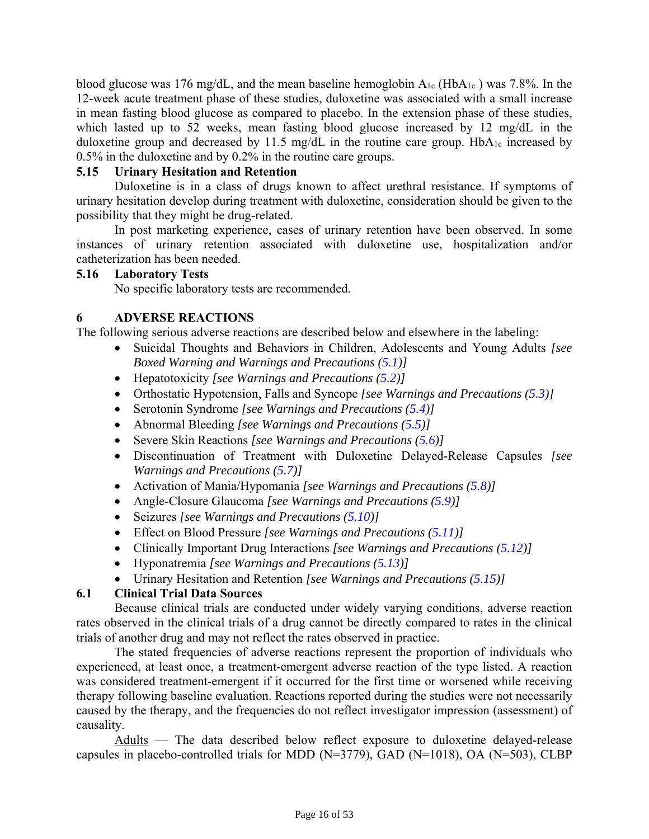blood glucose was 176 mg/dL, and the mean baseline hemoglobin  $A_{1c}$  (Hb $A_{1c}$ ) was 7.8%. In the 12-week acute treatment phase of these studies, duloxetine was associated with a small increase in mean fasting blood glucose as compared to placebo. In the extension phase of these studies, which lasted up to 52 weeks, mean fasting blood glucose increased by 12 mg/dL in the duloxetine group and decreased by 11.5 mg/dL in the routine care group.  $HbA_1c$  increased by 0.5% in the duloxetine and by 0.2% in the routine care groups.

# <span id="page-15-4"></span><span id="page-15-0"></span>**5.15 Urinary Hesitation and Retention**

Duloxetine is in a class of drugs known to affect urethral resistance. If symptoms of urinary hesitation develop during treatment with duloxetine, consideration should be given to the possibility that they might be drug-related.

In post marketing experience, cases of urinary retention have been observed. In some instances of urinary retention associated with duloxetine use, hospitalization and/or catheterization has been needed.

# <span id="page-15-6"></span><span id="page-15-5"></span><span id="page-15-2"></span><span id="page-15-1"></span>**5.16 Laboratory Tests**

No specific laboratory tests are recommended.

#### **6 ADVERSE REACTIONS**

The following serious adverse reactions are described below and elsewhere in the labeling:

- Suicidal Thoughts and Behaviors in Children, Adolescents and Young Adults *[see Boxed Warning and Warnings and Precautions ([5.1\)](#page-8-2)]*
- Hepatotoxicity *[see Warnings and Precautions [\(5.2](#page-10-0))]*
- Orthostatic Hypotension, Falls and Syncope *[see Warnings and Precautions [\(5.3](#page-11-0))]*
- Serotonin Syndrome *[see Warnings and Precautions ([5.4\)](#page-11-1)]*
- Abnormal Bleeding *[see Warnings and Precautions ([5.5\)](#page-12-0)]*
- Severe Skin Reactions *[see Warnings and Precautions ([5.6\)](#page-12-1)]*
- Discontinuation of Treatment with Duloxetine Delayed-Release Capsules *[see Warnings and Precautions ([5.7\)\]](#page-12-2)*
- Activation of Mania/Hypomania *[see Warnings and Precautions [\(5.8](#page-13-0))]*
- <span id="page-15-7"></span><span id="page-15-3"></span>Angle-Closure Glaucoma *[see Warnings and Precautions ([5.9\)](#page-13-1)]*
- Seizures *[see Warnings and Precautions [\(5.10](#page-13-1))]*
- Effect on Blood Pressure *[see Warnings and Precautions [\(5.11](#page-13-2))]*
- Clinically Important Drug Interactions *[see Warnings and Precautions ([5.12\)](#page-13-3)]*
- Hyponatremia *[see Warnings and Precautions [\(5.13](#page-14-0))]*
- Urinary Hesitation and Retention *[see Warnings and Precautions [\(5.15\)](#page-15-0)]*

# **6.1 Clinical Trial Data Sources**

Because clinical trials are conducted under widely varying conditions, adverse reaction rates observed in the clinical trials of a drug cannot be directly compared to rates in the clinical trials of another drug and may not reflect the rates observed in practice.

The stated frequencies of adverse reactions represent the proportion of individuals who experienced, at least once, a treatment-emergent adverse reaction of the type listed. A reaction was considered treatment-emergent if it occurred for the first time or worsened while receiving therapy following baseline evaluation. Reactions reported during the studies were not necessarily caused by the therapy, and the frequencies do not reflect investigator impression (assessment) of causality.

Adults — The data described below reflect exposure to duloxetine delayed-release capsules in placebo-controlled trials for MDD (N=3779), GAD (N=1018), OA (N=503), CLBP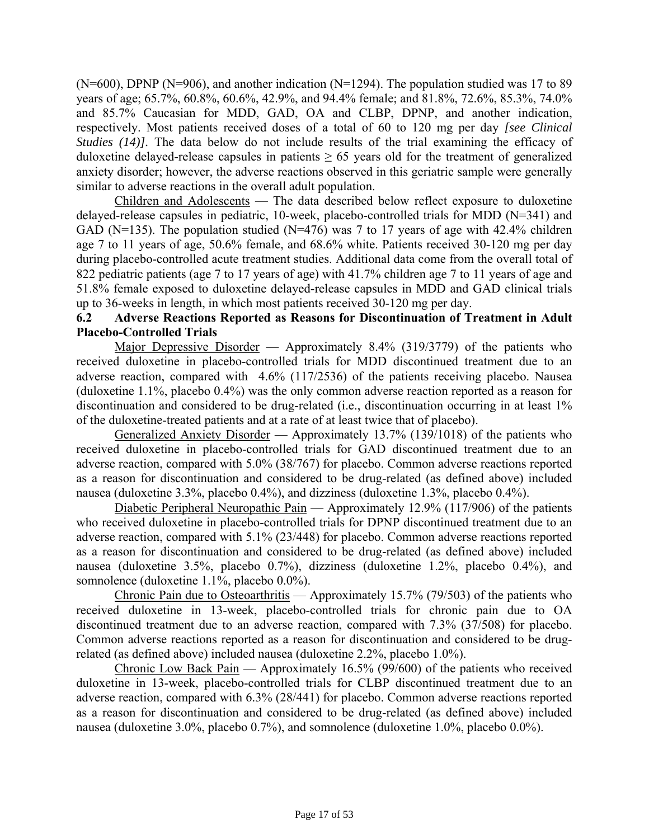(N=600), DPNP (N=906), and another indication (N=1294). The population studied was 17 to 89 years of age; 65.7%, 60.8%, 60.6%, 42.9%, and 94.4% female; and 81.8%, 72.6%, 85.3%, 74.0% and 85.7% Caucasian for MDD, GAD, OA and CLBP, DPNP, and another indication, respectively. Most patients received doses of a total of 60 to 120 mg per day *[see Clinical Studies (14)]*. The data below do not include results of the trial examining the efficacy of duloxetine delayed-release capsules in patients  $\geq 65$  years old for the treatment of generalized anxiety disorder; however, the adverse reactions observed in this geriatric sample were generally similar to adverse reactions in the overall adult population.

Children and Adolescents — The data described below reflect exposure to duloxetine delayed-release capsules in pediatric, 10-week, placebo-controlled trials for MDD (N=341) and GAD ( $N=135$ ). The population studied ( $N=476$ ) was 7 to 17 years of age with 42.4% children age 7 to 11 years of age, 50.6% female, and 68.6% white. Patients received 30-120 mg per day during placebo-controlled acute treatment studies. Additional data come from the overall total of 822 pediatric patients (age 7 to 17 years of age) with 41.7% children age 7 to 11 years of age and 51.8% female exposed to duloxetine delayed-release capsules in MDD and GAD clinical trials up to 36-weeks in length, in which most patients received 30-120 mg per day.

# <span id="page-16-1"></span><span id="page-16-0"></span>**6.2 Adverse Reactions Reported as Reasons for Discontinuation of Treatment in Adult Placebo-Controlled Trials**

Major Depressive Disorder — Approximately 8.4% (319/3779) of the patients who received duloxetine in placebo-controlled trials for MDD discontinued treatment due to an adverse reaction, compared with 4.6% (117/2536) of the patients receiving placebo. Nausea (duloxetine 1.1%, placebo 0.4%) was the only common adverse reaction reported as a reason for discontinuation and considered to be drug-related (i.e., discontinuation occurring in at least 1% of the duloxetine-treated patients and at a rate of at least twice that of placebo).

Generalized Anxiety Disorder — Approximately 13.7% (139/1018) of the patients who received duloxetine in placebo-controlled trials for GAD discontinued treatment due to an adverse reaction, compared with 5.0% (38/767) for placebo. Common adverse reactions reported as a reason for discontinuation and considered to be drug-related (as defined above) included nausea (duloxetine 3.3%, placebo 0.4%), and dizziness (duloxetine 1.3%, placebo 0.4%).

Diabetic Peripheral Neuropathic Pain — Approximately 12.9% (117/906) of the patients who received duloxetine in placebo-controlled trials for DPNP discontinued treatment due to an adverse reaction, compared with 5.1% (23/448) for placebo. Common adverse reactions reported as a reason for discontinuation and considered to be drug-related (as defined above) included nausea (duloxetine 3.5%, placebo 0.7%), dizziness (duloxetine 1.2%, placebo 0.4%), and somnolence (duloxetine 1.1%, placebo 0.0%).

Chronic Pain due to Osteoarthritis — Approximately 15.7% (79/503) of the patients who received duloxetine in 13-week, placebo-controlled trials for chronic pain due to OA discontinued treatment due to an adverse reaction, compared with 7.3% (37/508) for placebo. Common adverse reactions reported as a reason for discontinuation and considered to be drugrelated (as defined above) included nausea (duloxetine 2.2%, placebo 1.0%).

Chronic Low Back Pain — Approximately 16.5% (99/600) of the patients who received duloxetine in 13-week, placebo-controlled trials for CLBP discontinued treatment due to an adverse reaction, compared with 6.3% (28/441) for placebo. Common adverse reactions reported as a reason for discontinuation and considered to be drug-related (as defined above) included nausea (duloxetine 3.0%, placebo 0.7%), and somnolence (duloxetine 1.0%, placebo 0.0%).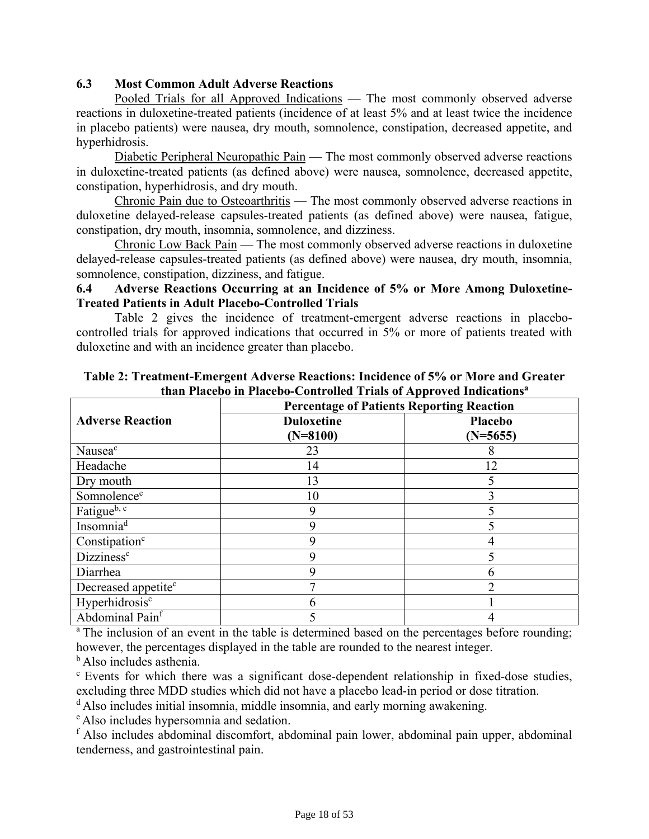# <span id="page-17-2"></span><span id="page-17-0"></span>**6.3 Most Common Adult Adverse Reactions**

Pooled Trials for all Approved Indications — The most commonly observed adverse reactions in duloxetine-treated patients (incidence of at least 5% and at least twice the incidence in placebo patients) were nausea, dry mouth, somnolence, constipation, decreased appetite, and hyperhidrosis.

Diabetic Peripheral Neuropathic Pain — The most commonly observed adverse reactions in duloxetine-treated patients (as defined above) were nausea, somnolence, decreased appetite, constipation, hyperhidrosis, and dry mouth.

Chronic Pain due to Osteoarthritis — The most commonly observed adverse reactions in duloxetine delayed-release capsules-treated patients (as defined above) were nausea, fatigue, constipation, dry mouth, insomnia, somnolence, and dizziness.

<span id="page-17-3"></span><span id="page-17-1"></span>Chronic Low Back Pain — The most commonly observed adverse reactions in duloxetine delayed-release capsules-treated patients (as defined above) were nausea, dry mouth, insomnia, somnolence, constipation, dizziness, and fatigue.

**6.4 Adverse Reactions Occurring at an Incidence of 5% or More Among Duloxetine-Treated Patients in Adult Placebo-Controlled Trials** 

Table 2 gives the incidence of treatment-emergent adverse reactions in placebocontrolled trials for approved indications that occurred in 5% or more of patients treated with duloxetine and with an incidence greater than placebo.

|                                 |                                 | <b>Percentage of Patients Reporting Reaction</b> |  |  |
|---------------------------------|---------------------------------|--------------------------------------------------|--|--|
| <b>Adverse Reaction</b>         | <b>Duloxetine</b><br>$(N=8100)$ | Placebo<br>$(N=5655)$                            |  |  |
| Nausea <sup>c</sup>             | 23                              |                                                  |  |  |
| Headache                        | 14                              | 12                                               |  |  |
| Dry mouth                       | 13                              |                                                  |  |  |
| Somnolence <sup>e</sup>         | 10                              |                                                  |  |  |
| Fatigue <sup>b, c</sup>         | Q                               |                                                  |  |  |
| Insomnia <sup>d</sup>           | 9                               |                                                  |  |  |
| Constipation <sup>c</sup>       | Q                               |                                                  |  |  |
| Dizziness <sup>c</sup>          | Q                               |                                                  |  |  |
| Diarrhea                        |                                 |                                                  |  |  |
| Decreased appetite <sup>c</sup> |                                 |                                                  |  |  |
| Hyperhidrosis <sup>c</sup>      |                                 |                                                  |  |  |
| Abdominal Painf                 |                                 |                                                  |  |  |

**Table 2: Treatment-Emergent Adverse Reactions: Incidence of 5% or More and Greater than Placebo in Placebo-Controlled Trials of Approved Indicationsa**

<sup>a</sup> The inclusion of an event in the table is determined based on the percentages before rounding; however, the percentages displayed in the table are rounded to the nearest integer.

<sup>b</sup> Also includes asthenia.

c Events for which there was a significant dose-dependent relationship in fixed-dose studies, excluding three MDD studies which did not have a placebo lead-in period or dose titration.

<sup>d</sup> Also includes initial insomnia, middle insomnia, and early morning awakening. e Also includes hypersomnia and sedation.

f Also includes abdominal discomfort, abdominal pain lower, abdominal pain upper, abdominal tenderness, and gastrointestinal pain.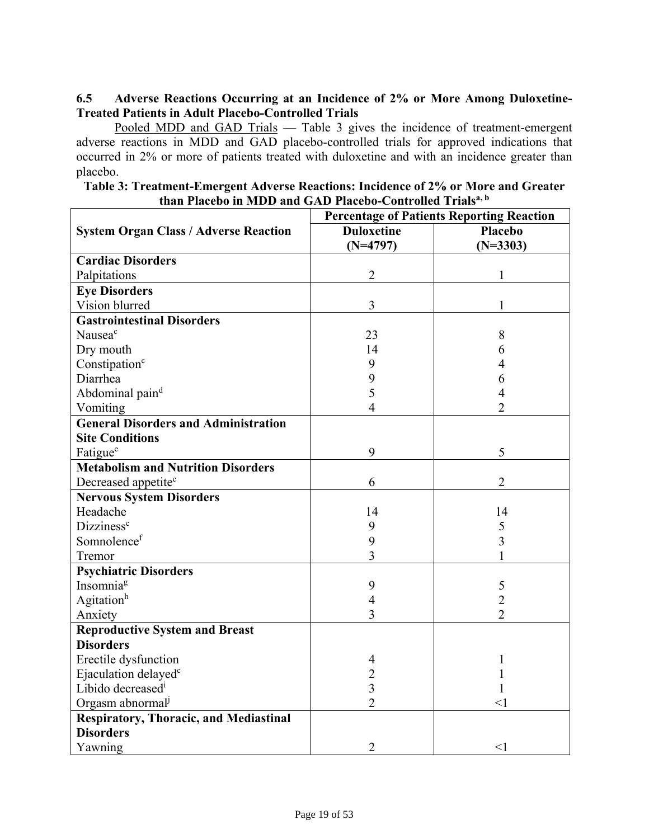# <span id="page-18-1"></span><span id="page-18-0"></span>**6.5 Adverse Reactions Occurring at an Incidence of 2% or More Among Duloxetine-Treated Patients in Adult Placebo-Controlled Trials**

Pooled MDD and GAD Trials - Table 3 gives the incidence of treatment-emergent adverse reactions in MDD and GAD placebo-controlled trials for approved indications that occurred in 2% or more of patients treated with duloxetine and with an incidence greater than placebo.

| Table 3: Treatment-Emergent Adverse Reactions: Incidence of 2% or More and Greater |
|------------------------------------------------------------------------------------|
| than Placebo in MDD and GAD Placebo-Controlled Trials <sup>a, b</sup>              |

|                                               | <b>Percentage of Patients Reporting Reaction</b> |                |
|-----------------------------------------------|--------------------------------------------------|----------------|
| <b>System Organ Class / Adverse Reaction</b>  | <b>Duloxetine</b>                                | <b>Placebo</b> |
|                                               | $(N=4797)$                                       | $(N=3303)$     |
| <b>Cardiac Disorders</b>                      |                                                  |                |
| Palpitations                                  | $\overline{2}$                                   | 1              |
| <b>Eye Disorders</b>                          |                                                  |                |
| Vision blurred                                | 3                                                | $\mathbf{1}$   |
| <b>Gastrointestinal Disorders</b>             |                                                  |                |
| Nausea <sup>c</sup>                           | 23                                               | 8              |
| Dry mouth                                     | 14                                               | 6              |
| Constipation <sup>c</sup>                     | 9                                                | 4              |
| Diarrhea                                      | 9                                                | 6              |
| Abdominal pain <sup>d</sup>                   | 5                                                | 4              |
| Vomiting                                      | $\overline{4}$                                   | $\overline{2}$ |
| <b>General Disorders and Administration</b>   |                                                  |                |
| <b>Site Conditions</b>                        |                                                  |                |
| Fatigue <sup>e</sup>                          | 9                                                | 5              |
| <b>Metabolism and Nutrition Disorders</b>     |                                                  |                |
| Decreased appetite <sup>c</sup>               | 6                                                | $\overline{2}$ |
| <b>Nervous System Disorders</b>               |                                                  |                |
| Headache                                      | 14                                               | 14             |
| Dizziness <sup>c</sup>                        | 9                                                | 5              |
| Somnolencef                                   | 9                                                | 3              |
| Tremor                                        | 3                                                | 1              |
| <b>Psychiatric Disorders</b>                  |                                                  |                |
| Insomnia <sup>g</sup>                         | 9                                                | 5              |
| Agitation <sup>h</sup>                        | $\overline{4}$                                   | $\overline{2}$ |
| Anxiety                                       | 3                                                | $\overline{2}$ |
| <b>Reproductive System and Breast</b>         |                                                  |                |
| <b>Disorders</b>                              |                                                  |                |
| Erectile dysfunction                          | 4                                                | 1              |
| Ejaculation delayed <sup>c</sup>              | $\overline{2}$                                   | 1              |
| Libido decreased <sup>i</sup>                 | 3                                                | 1              |
| Orgasm abnormal <sup>j</sup>                  | $\overline{2}$                                   | $\leq$ 1       |
| <b>Respiratory, Thoracic, and Mediastinal</b> |                                                  |                |
| <b>Disorders</b>                              |                                                  |                |
| Yawning                                       | $\overline{2}$                                   | $\leq$ 1       |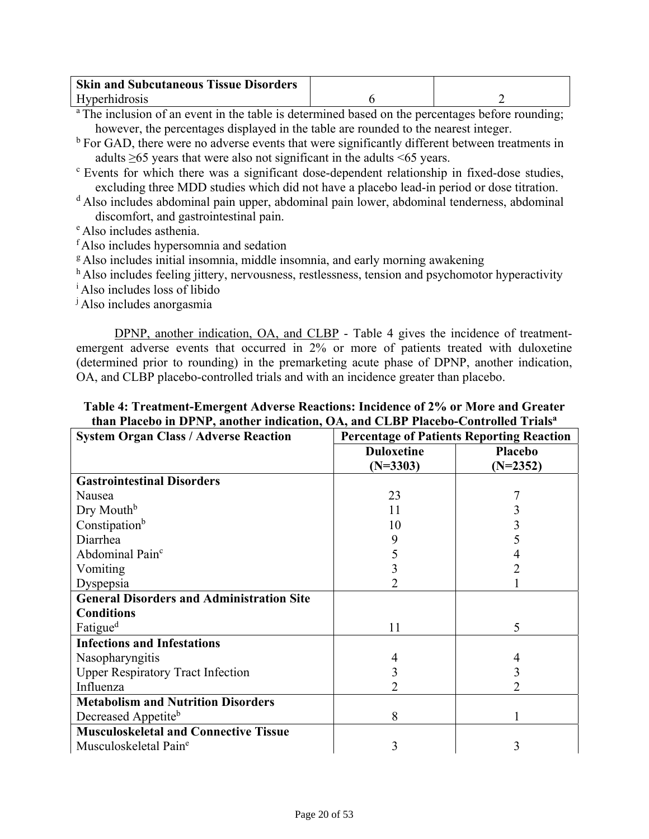| <b>Skin and Subcutaneous Tissue Disorders</b> |  |
|-----------------------------------------------|--|
| Hyperhidrosis                                 |  |
| 0.751                                         |  |

<sup>a</sup> The inclusion of an event in the table is determined based on the percentages before rounding; however, the percentages displayed in the table are rounded to the nearest integer.

- <sup>b</sup> For GAD, there were no adverse events that were significantly different between treatments in adults ≥65 years that were also not significant in the adults <65 years.
- c Events for which there was a significant dose-dependent relationship in fixed-dose studies, excluding three MDD studies which did not have a placebo lead-in period or dose titration.
- <sup>d</sup> Also includes abdominal pain upper, abdominal pain lower, abdominal tenderness, abdominal discomfort, and gastrointestinal pain.<br>
<sup>e</sup> Also includes asthenia.
- 
- f Also includes hypersomnia and sedation
- <sup>g</sup> Also includes initial insomnia, middle insomnia, and early morning awakening
- h Also includes feeling jittery, nervousness, restlessness, tension and psychomotor hyperactivity
- i Also includes loss of libido
- j Also includes anorgasmia

DPNP, another indication, OA, and CLBP - Table 4 gives the incidence of treatmentemergent adverse events that occurred in 2% or more of patients treated with duloxetine (determined prior to rounding) in the premarketing acute phase of DPNP, another indication, OA, and CLBP placebo-controlled trials and with an incidence greater than placebo.

# **Table 4: Treatment-Emergent Adverse Reactions: Incidence of 2% or More and Greater than Placebo in DPNP, another indication, OA, and CLBP Placebo-Controlled Trialsa**

| <b>System Organ Class / Adverse Reaction</b>     | <b>Percentage of Patients Reporting Reaction</b> |                |
|--------------------------------------------------|--------------------------------------------------|----------------|
|                                                  | <b>Duloxetine</b>                                | <b>Placebo</b> |
|                                                  | $(N=3303)$                                       | $(N=2352)$     |
| <b>Gastrointestinal Disorders</b>                |                                                  |                |
| Nausea                                           | 23                                               |                |
| Dry Mouth <sup>b</sup>                           | 11                                               |                |
| Constipation <sup>b</sup>                        | 10                                               |                |
| Diarrhea                                         | 9                                                |                |
| Abdominal Pain <sup>c</sup>                      | 5                                                |                |
| Vomiting                                         | 3                                                |                |
| Dyspepsia                                        |                                                  |                |
| <b>General Disorders and Administration Site</b> |                                                  |                |
| <b>Conditions</b>                                |                                                  |                |
| Fatigue <sup>d</sup>                             | 11                                               | 5              |
| <b>Infections and Infestations</b>               |                                                  |                |
| Nasopharyngitis                                  |                                                  |                |
| <b>Upper Respiratory Tract Infection</b>         |                                                  |                |
| Influenza                                        |                                                  |                |
| <b>Metabolism and Nutrition Disorders</b>        |                                                  |                |
| Decreased Appetite <sup>b</sup>                  | 8                                                |                |
| <b>Musculoskeletal and Connective Tissue</b>     |                                                  |                |
| Musculoskeletal Paine                            | 3                                                |                |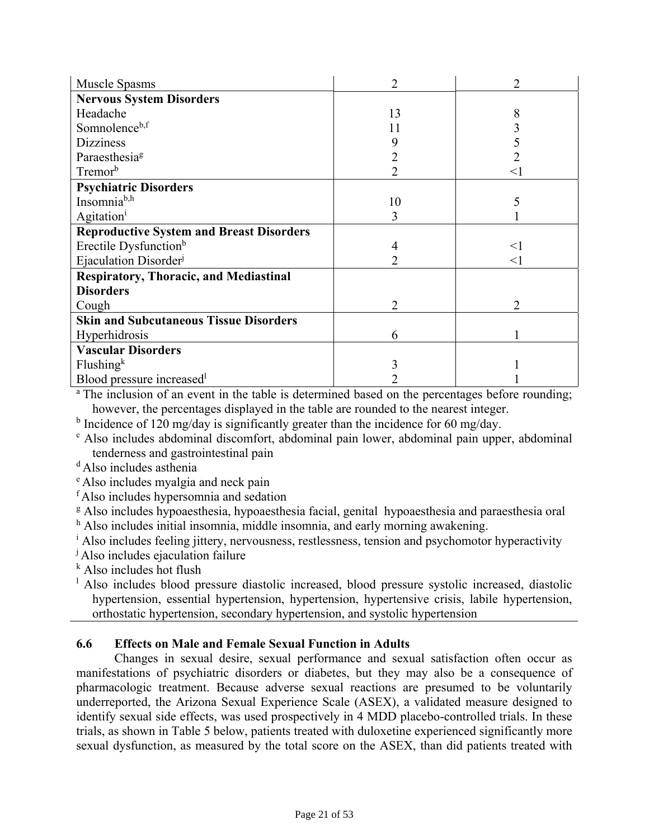| Muscle Spasms                                   | $\overline{2}$              | $\overline{2}$ |
|-------------------------------------------------|-----------------------------|----------------|
| <b>Nervous System Disorders</b>                 |                             |                |
| Headache                                        | 13                          |                |
| Somnolenceb,f                                   |                             |                |
| <b>Dizziness</b>                                |                             |                |
| Paraesthesia <sup>g</sup>                       |                             |                |
| Tremorb                                         |                             | $<$ 1          |
| <b>Psychiatric Disorders</b>                    |                             |                |
| Insomnia <sup>b,h</sup>                         | 10                          |                |
| Agitation <sup>1</sup>                          |                             |                |
| <b>Reproductive System and Breast Disorders</b> |                             |                |
| Erectile Dysfunction <sup>b</sup>               |                             | $<$ l          |
| Ejaculation Disorder <sup>j</sup>               | $\mathcal{D}_{\mathcal{L}}$ | $<$ 1          |
| <b>Respiratory, Thoracic, and Mediastinal</b>   |                             |                |
| <b>Disorders</b>                                |                             |                |
| Cough                                           | $\overline{2}$              | $\overline{2}$ |
| <b>Skin and Subcutaneous Tissue Disorders</b>   |                             |                |
| Hyperhidrosis                                   | 6                           |                |
| <b>Vascular Disorders</b>                       |                             |                |
| Flushing <sup>k</sup>                           |                             |                |
| Blood pressure increased <sup>1</sup>           |                             |                |

<sup>a</sup> The inclusion of an event in the table is determined based on the percentages before rounding; however, the percentages displayed in the table are rounded to the nearest integer.

<sup>b</sup> Incidence of 120 mg/day is significantly greater than the incidence for 60 mg/day.<br><sup>c</sup> Also includes abdominal discomfort, abdominal pain lower, abdominal pain uppe

 Also includes abdominal discomfort, abdominal pain lower, abdominal pain upper, abdominal tenderness and gastrointestinal pain

<span id="page-20-1"></span><span id="page-20-0"></span><sup>d</sup> Also includes asthenia

e Also includes myalgia and neck pain

f Also includes hypersomnia and sedation

<sup>g</sup> Also includes hypoaesthesia, hypoaesthesia facial, genital hypoaesthesia and paraesthesia oral

<sup>h</sup> Also includes initial insomnia, middle insomnia, and early morning awakening.

<sup>i</sup> Also includes feeling jittery, nervousness, restlessness, tension and psychomotor hyperactivity

 $\mu$  Also includes ejaculation failure

k Also includes hot flush

<sup>1</sup> Also includes blood pressure diastolic increased, blood pressure systolic increased, diastolic hypertension, essential hypertension, hypertension, hypertensive crisis, labile hypertension, orthostatic hypertension, secondary hypertension, and systolic hypertension

# **6.6 Effects on Male and Female Sexual Function in Adults**

Changes in sexual desire, sexual performance and sexual satisfaction often occur as manifestations of psychiatric disorders or diabetes, but they may also be a consequence of pharmacologic treatment. Because adverse sexual reactions are presumed to be voluntarily underreported, the Arizona Sexual Experience Scale (ASEX), a validated measure designed to identify sexual side effects, was used prospectively in 4 MDD placebo-controlled trials. In these trials, as shown in Table 5 below, patients treated with duloxetine experienced significantly more sexual dysfunction, as measured by the total score on the ASEX, than did patients treated with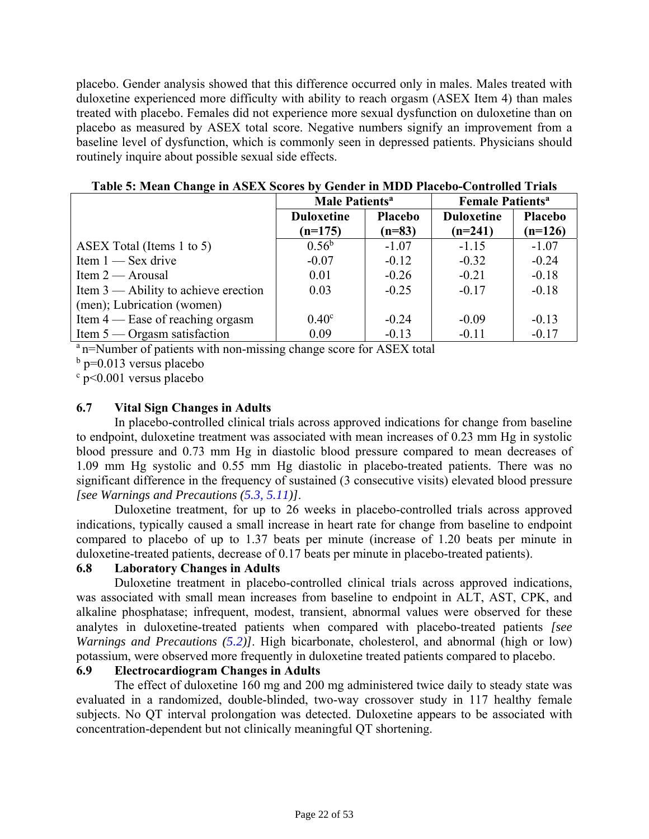placebo. Gender analysis showed that this difference occurred only in males. Males treated with duloxetine experienced more difficulty with ability to reach orgasm (ASEX Item 4) than males treated with placebo. Females did not experience more sexual dysfunction on duloxetine than on placebo as measured by ASEX total score. Negative numbers signify an improvement from a baseline level of dysfunction, which is commonly seen in depressed patients. Physicians should routinely inquire about possible sexual side effects.

|                                        | <b>Male Patients<sup>a</sup></b> |          | <b>Female Patients<sup>a</sup></b> |           |
|----------------------------------------|----------------------------------|----------|------------------------------------|-----------|
|                                        | <b>Duloxetine</b>                | Placebo  | <b>Duloxetine</b>                  | Placebo   |
|                                        | $(n=175)$                        | $(n=83)$ | $(n=241)$                          | $(n=126)$ |
| ASEX Total (Items 1 to 5)              | $0.56^{\rm b}$                   | $-1.07$  | $-1.15$                            | $-1.07$   |
| Item $1$ — Sex drive                   | $-0.07$                          | $-0.12$  | $-0.32$                            | $-0.24$   |
| Item $2 -$ Arousal                     | 0.01                             | $-0.26$  | $-0.21$                            | $-0.18$   |
| Item $3$ — Ability to achieve erection | 0.03                             | $-0.25$  | $-0.17$                            | $-0.18$   |
| (men); Lubrication (women)             |                                  |          |                                    |           |
| Item $4$ — Ease of reaching orgasm     | 0.40 <sup>c</sup>                | $-0.24$  | $-0.09$                            | $-0.13$   |
| Item $5$ — Orgasm satisfaction         | 0.09                             | $-0.13$  | $-0.11$                            | $-0.17$   |

**Table 5: Mean Change in ASEX Scores by Gender in MDD Placebo-Controlled Trials** 

 $a$  n=Number of patients with non-missing change score for ASEX total

<sup>b</sup> p=0.013 versus placebo

<span id="page-21-2"></span><span id="page-21-0"></span>c p<0.001 versus placebo

# **6.7 Vital Sign Changes in Adults**

<span id="page-21-3"></span><span id="page-21-1"></span>In placebo-controlled clinical trials across approved indications for change from baseline to endpoint, duloxetine treatment was associated with mean increases of 0.23 mm Hg in systolic blood pressure and 0.73 mm Hg in diastolic blood pressure compared to mean decreases of 1.09 mm Hg systolic and 0.55 mm Hg diastolic in placebo-treated patients. There was no significant difference in the frequency of sustained (3 consecutive visits) elevated blood pressure *[see Warnings and Precautions ([5.3,](#page-11-0) [5.11\)\]](#page-13-2)*.

Duloxetine treatment, for up to 26 weeks in placebo-controlled trials across approved indications, typically caused a small increase in heart rate for change from baseline to endpoint compared to placebo of up to 1.37 beats per minute (increase of 1.20 beats per minute in duloxetine-treated patients, decrease of 0.17 beats per minute in placebo-treated patients).

#### **6.8 Laboratory Changes in Adults**

Duloxetine treatment in placebo-controlled clinical trials across approved indications, was associated with small mean increases from baseline to endpoint in ALT, AST, CPK, and alkaline phosphatase; infrequent, modest, transient, abnormal values were observed for these analytes in duloxetine-treated patients when compared with placebo-treated patients *[see Warnings and Precautions ([5.2](#page-10-0))]*. High bicarbonate, cholesterol, and abnormal (high or low) potassium, were observed more frequently in duloxetine treated patients compared to placebo.

# **6.9 Electrocardiogram Changes in Adults**

The effect of duloxetine 160 mg and 200 mg administered twice daily to steady state was evaluated in a randomized, double-blinded, two-way crossover study in 117 healthy female subjects. No QT interval prolongation was detected. Duloxetine appears to be associated with concentration-dependent but not clinically meaningful QT shortening.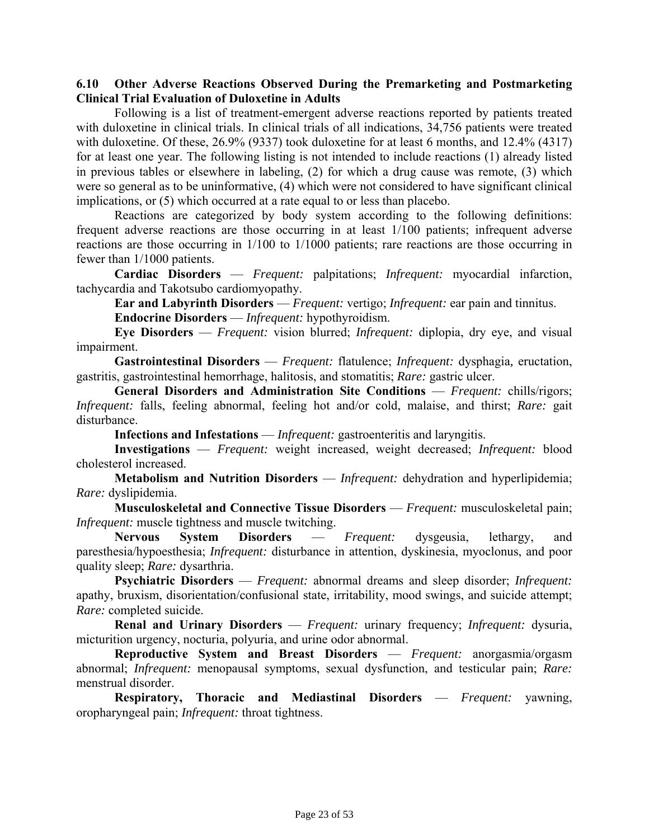#### <span id="page-22-1"></span><span id="page-22-0"></span>**6.10 Other Adverse Reactions Observed During the Premarketing and Postmarketing Clinical Trial Evaluation of Duloxetine in Adults**

Following is a list of treatment-emergent adverse reactions reported by patients treated with duloxetine in clinical trials. In clinical trials of all indications, 34,756 patients were treated with duloxetine. Of these, 26.9% (9337) took duloxetine for at least 6 months, and 12.4% (4317) for at least one year. The following listing is not intended to include reactions (1) already listed in previous tables or elsewhere in labeling, (2) for which a drug cause was remote, (3) which were so general as to be uninformative, (4) which were not considered to have significant clinical implications, or (5) which occurred at a rate equal to or less than placebo.

Reactions are categorized by body system according to the following definitions: frequent adverse reactions are those occurring in at least 1/100 patients; infrequent adverse reactions are those occurring in 1/100 to 1/1000 patients; rare reactions are those occurring in fewer than 1/1000 patients.

**Cardiac Disorders** — *Frequent:* palpitations; *Infrequent:* myocardial infarction, tachycardia and Takotsubo cardiomyopathy.

**Ear and Labyrinth Disorders** — *Frequent:* vertigo; *Infrequent:* ear pain and tinnitus.

**Endocrine Disorders** — *Infrequent:* hypothyroidism.

**Eye Disorders** — *Frequent:* vision blurred; *Infrequent:* diplopia, dry eye, and visual impairment.

**Gastrointestinal Disorders** — *Frequent:* flatulence; *Infrequent:* dysphagia*,* eructation, gastritis, gastrointestinal hemorrhage, halitosis, and stomatitis; *Rare:* gastric ulcer.

**General Disorders and Administration Site Conditions** — *Frequent:* chills/rigors; *Infrequent:* falls, feeling abnormal, feeling hot and/or cold, malaise, and thirst; *Rare:* gait disturbance.

**Infections and Infestations** — *Infrequent:* gastroenteritis and laryngitis.

**Investigations** — *Frequent:* weight increased, weight decreased; *Infrequent:* blood cholesterol increased.

**Metabolism and Nutrition Disorders** — *Infrequent:* dehydration and hyperlipidemia; *Rare:* dyslipidemia.

**Musculoskeletal and Connective Tissue Disorders** — *Frequent:* musculoskeletal pain; *Infrequent:* muscle tightness and muscle twitching.

**Nervous System Disorders** — *Frequent:* dysgeusia, lethargy, and paresthesia/hypoesthesia; *Infrequent:* disturbance in attention, dyskinesia, myoclonus, and poor quality sleep; *Rare:* dysarthria.

**Psychiatric Disorders** — *Frequent:* abnormal dreams and sleep disorder; *Infrequent:*  apathy, bruxism, disorientation/confusional state, irritability, mood swings, and suicide attempt; *Rare:* completed suicide.

**Renal and Urinary Disorders** — *Frequent:* urinary frequency; *Infrequent:* dysuria, micturition urgency, nocturia, polyuria, and urine odor abnormal.

**Reproductive System and Breast Disorders** — *Frequent:* anorgasmia/orgasm abnormal; *Infrequent:* menopausal symptoms, sexual dysfunction, and testicular pain; *Rare:* menstrual disorder.

**Respiratory, Thoracic and Mediastinal Disorders** — *Frequent:* yawning, oropharyngeal pain; *Infrequent:* throat tightness.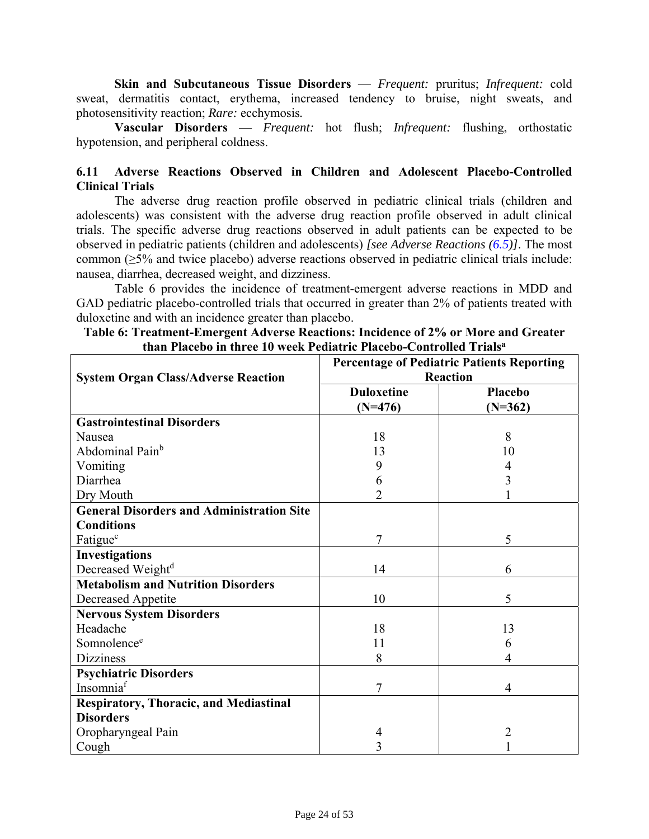**Skin and Subcutaneous Tissue Disorders** — *Frequent:* pruritus; *Infrequent:* cold sweat, dermatitis contact, erythema, increased tendency to bruise, night sweats, and photosensitivity reaction; *Rare:* ecchymosis*.* 

**Vascular Disorders** — *Frequent:* hot flush; *Infrequent:* flushing, orthostatic hypotension, and peripheral coldness.

# <span id="page-23-1"></span><span id="page-23-0"></span>**6.11 Adverse Reactions Observed in Children and Adolescent Placebo-Controlled Clinical Trials**

The adverse drug reaction profile observed in pediatric clinical trials (children and adolescents) was consistent with the adverse drug reaction profile observed in adult clinical trials. The specific adverse drug reactions observed in adult patients can be expected to be observed in pediatric patients (children and adolescents) *[see Adverse Reactions [\(6.5\)\]](#page-18-0)*. The most common (≥5% and twice placebo) adverse reactions observed in pediatric clinical trials include: nausea, diarrhea, decreased weight, and dizziness.

Table 6 provides the incidence of treatment-emergent adverse reactions in MDD and GAD pediatric placebo-controlled trials that occurred in greater than 2% of patients treated with duloxetine and with an incidence greater than placebo.

|                                                  | <b>Percentage of Pediatric Patients Reporting</b> |           |  |  |
|--------------------------------------------------|---------------------------------------------------|-----------|--|--|
| <b>System Organ Class/Adverse Reaction</b>       | <b>Reaction</b>                                   |           |  |  |
|                                                  | <b>Duloxetine</b>                                 | Placebo   |  |  |
|                                                  | $(N=476)$                                         | $(N=362)$ |  |  |
| <b>Gastrointestinal Disorders</b>                |                                                   |           |  |  |
| Nausea                                           | 18                                                | 8         |  |  |
| Abdominal Pain <sup>b</sup>                      | 13                                                | 10        |  |  |
| Vomiting                                         | 9                                                 | 4         |  |  |
| Diarrhea                                         | 6                                                 | 3         |  |  |
| Dry Mouth                                        | $\overline{2}$                                    |           |  |  |
| <b>General Disorders and Administration Site</b> |                                                   |           |  |  |
| <b>Conditions</b>                                |                                                   |           |  |  |
| Fatigue <sup>c</sup>                             | 7                                                 | 5         |  |  |
| <b>Investigations</b>                            |                                                   |           |  |  |
| Decreased Weight <sup>d</sup>                    | 14                                                | 6         |  |  |
| <b>Metabolism and Nutrition Disorders</b>        |                                                   |           |  |  |
| Decreased Appetite                               | 10                                                | 5         |  |  |
| <b>Nervous System Disorders</b>                  |                                                   |           |  |  |
| Headache                                         | 18                                                | 13        |  |  |
| Somnolence <sup>e</sup>                          | 11                                                | 6         |  |  |
| <b>Dizziness</b>                                 | 8                                                 | 4         |  |  |
| <b>Psychiatric Disorders</b>                     |                                                   |           |  |  |
| Insomniaf                                        | 7                                                 | 4         |  |  |
| <b>Respiratory, Thoracic, and Mediastinal</b>    |                                                   |           |  |  |
| <b>Disorders</b>                                 |                                                   |           |  |  |
| Oropharyngeal Pain                               | 4                                                 | 2         |  |  |
| Cough                                            | 3                                                 |           |  |  |

**Table 6: Treatment-Emergent Adverse Reactions: Incidence of 2% or More and Greater than Placebo in three 10 week Pediatric Placebo-Controlled Trialsa**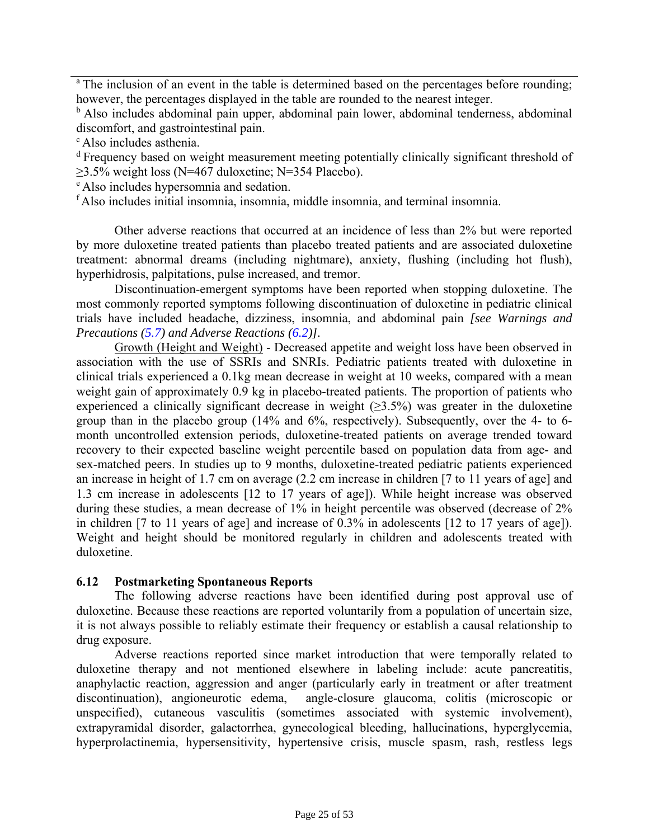<sup>a</sup> The inclusion of an event in the table is determined based on the percentages before rounding; however, the percentages displayed in the table are rounded to the nearest integer.

<sup>b</sup> Also includes abdominal pain upper, abdominal pain lower, abdominal tenderness, abdominal discomfort, and gastrointestinal pain.<br><sup>c</sup> Also includes asthenia.

d Frequency based on weight measurement meeting potentially clinically significant threshold of  $\geq$ 3.5% weight loss (N=467 duloxetine; N=354 Placebo).

e Also includes hypersomnia and sedation.

f Also includes initial insomnia, insomnia, middle insomnia, and terminal insomnia.

Other adverse reactions that occurred at an incidence of less than 2% but were reported by more duloxetine treated patients than placebo treated patients and are associated duloxetine treatment: abnormal dreams (including nightmare), anxiety, flushing (including hot flush), hyperhidrosis, palpitations, pulse increased, and tremor.

Discontinuation-emergent symptoms have been reported when stopping duloxetine. The most commonly reported symptoms following discontinuation of duloxetine in pediatric clinical trials have included headache, dizziness, insomnia, and abdominal pain *[see Warnings and Precautions ([5.7\)](#page-12-2) and Adverse Reactions ([6.2\)](#page-16-0)].* 

<span id="page-24-1"></span><span id="page-24-0"></span>Growth (Height and Weight) - Decreased appetite and weight loss have been observed in association with the use of SSRIs and SNRIs. Pediatric patients treated with duloxetine in clinical trials experienced a 0.1kg mean decrease in weight at 10 weeks, compared with a mean weight gain of approximately 0.9 kg in placebo-treated patients. The proportion of patients who experienced a clinically significant decrease in weight  $(\geq 3.5\%)$  was greater in the duloxetine group than in the placebo group (14% and 6%, respectively). Subsequently, over the 4- to 6 month uncontrolled extension periods, duloxetine-treated patients on average trended toward recovery to their expected baseline weight percentile based on population data from age- and sex-matched peers. In studies up to 9 months, duloxetine-treated pediatric patients experienced an increase in height of 1.7 cm on average (2.2 cm increase in children [7 to 11 years of age] and 1.3 cm increase in adolescents [12 to 17 years of age]). While height increase was observed during these studies, a mean decrease of 1% in height percentile was observed (decrease of 2% in children [7 to 11 years of age] and increase of 0.3% in adolescents [12 to 17 years of age]). Weight and height should be monitored regularly in children and adolescents treated with duloxetine.

#### **6.12 Postmarketing Spontaneous Reports**

The following adverse reactions have been identified during post approval use of duloxetine. Because these reactions are reported voluntarily from a population of uncertain size, it is not always possible to reliably estimate their frequency or establish a causal relationship to drug exposure.

Adverse reactions reported since market introduction that were temporally related to duloxetine therapy and not mentioned elsewhere in labeling include: acute pancreatitis, anaphylactic reaction, aggression and anger (particularly early in treatment or after treatment discontinuation), angioneurotic edema, angle-closure glaucoma, colitis (microscopic or unspecified), cutaneous vasculitis (sometimes associated with systemic involvement), extrapyramidal disorder, galactorrhea, gynecological bleeding, hallucinations, hyperglycemia, hyperprolactinemia, hypersensitivity, hypertensive crisis, muscle spasm, rash, restless legs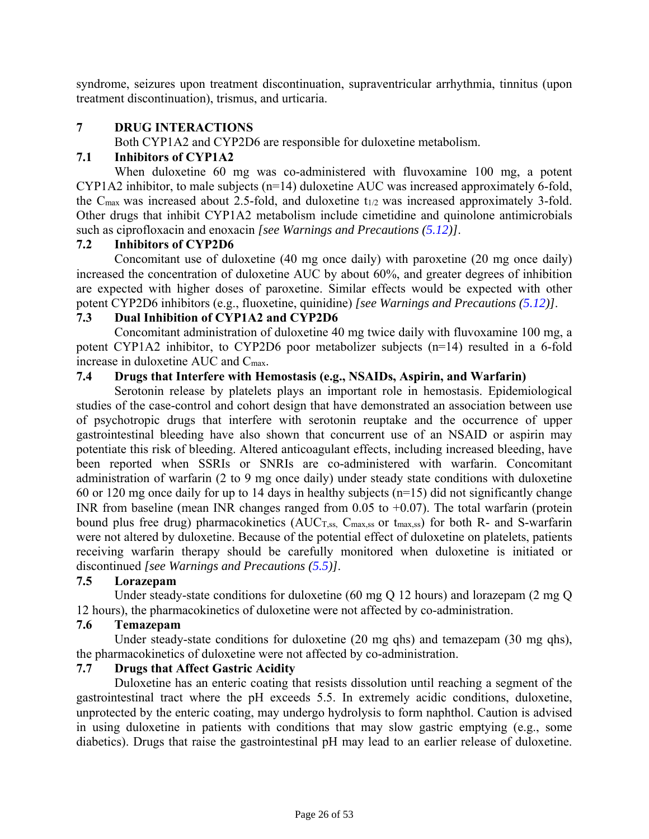<span id="page-25-5"></span><span id="page-25-0"></span>syndrome, seizures upon treatment discontinuation, supraventricular arrhythmia, tinnitus (upon treatment discontinuation), trismus, and urticaria.

# **7 DRUG INTERACTIONS**

Both CYP1A2 and CYP2D6 are responsible for duloxetine metabolism.

# **7.1 Inhibitors of CYP1A2**

When duloxetine 60 mg was co-administered with fluvoxamine 100 mg, a potent CYP1A2 inhibitor, to male subjects (n=14) duloxetine AUC was increased approximately 6-fold, the  $C_{\text{max}}$  was increased about 2.5-fold, and duloxetine t<sub>1/2</sub> was increased approximately 3-fold. Other drugs that inhibit CYP1A2 metabolism include cimetidine and quinolone antimicrobials such as ciprofloxacin and enoxacin *[see Warnings and Precautions [\(5.12\)](#page-13-3)]*.

### **7.2 Inhibitors of CYP2D6**

Concomitant use of duloxetine (40 mg once daily) with paroxetine (20 mg once daily) increased the concentration of duloxetine AUC by about 60%, and greater degrees of inhibition are expected with higher doses of paroxetine. Similar effects would be expected with other potent CYP2D6 inhibitors (e.g., fluoxetine, quinidine) *[see Warnings and Precautions [\(5.12\)\]](#page-13-3)*.

### <span id="page-25-6"></span><span id="page-25-1"></span>**7.3 Dual Inhibition of CYP1A2 and CYP2D6**

Concomitant administration of duloxetine 40 mg twice daily with fluvoxamine 100 mg, a potent CYP1A2 inhibitor, to CYP2D6 poor metabolizer subjects (n=14) resulted in a 6-fold increase in duloxetine AUC and Cmax.

#### <span id="page-25-4"></span><span id="page-25-2"></span>**7.4 Drugs that Interfere with Hemostasis (e.g., NSAIDs, Aspirin, and Warfarin)**

Serotonin release by platelets plays an important role in hemostasis. Epidemiological studies of the case-control and cohort design that have demonstrated an association between use of psychotropic drugs that interfere with serotonin reuptake and the occurrence of upper gastrointestinal bleeding have also shown that concurrent use of an NSAID or aspirin may potentiate this risk of bleeding. Altered anticoagulant effects, including increased bleeding, have been reported when SSRIs or SNRIs are co-administered with warfarin. Concomitant administration of warfarin (2 to 9 mg once daily) under steady state conditions with duloxetine 60 or 120 mg once daily for up to 14 days in healthy subjects (n=15) did not significantly change INR from baseline (mean INR changes ranged from  $0.05$  to  $+0.07$ ). The total warfarin (protein bound plus free drug) pharmacokinetics  $(AUC_{T,ss}$ ,  $C_{max,ss}$  or  $t_{max,ss}$  for both R- and S-warfarin were not altered by duloxetine. Because of the potential effect of duloxetine on platelets, patients receiving warfarin therapy should be carefully monitored when duloxetine is initiated or discontinued *[see Warnings and Precautions [\(5.5\)\]](#page-12-0)*.

#### <span id="page-25-7"></span><span id="page-25-3"></span>**7.5 Lorazepam**

Under steady-state conditions for duloxetine (60 mg Q 12 hours) and lorazepam (2 mg Q 12 hours), the pharmacokinetics of duloxetine were not affected by co-administration.

# **7.6 Temazepam**

Under steady-state conditions for duloxetine (20 mg qhs) and temazepam (30 mg qhs), the pharmacokinetics of duloxetine were not affected by co-administration.

#### **7.7 Drugs that Affect Gastric Acidity**

Duloxetine has an enteric coating that resists dissolution until reaching a segment of the gastrointestinal tract where the pH exceeds 5.5. In extremely acidic conditions, duloxetine, unprotected by the enteric coating, may undergo hydrolysis to form naphthol. Caution is advised in using duloxetine in patients with conditions that may slow gastric emptying (e.g., some diabetics). Drugs that raise the gastrointestinal pH may lead to an earlier release of duloxetine.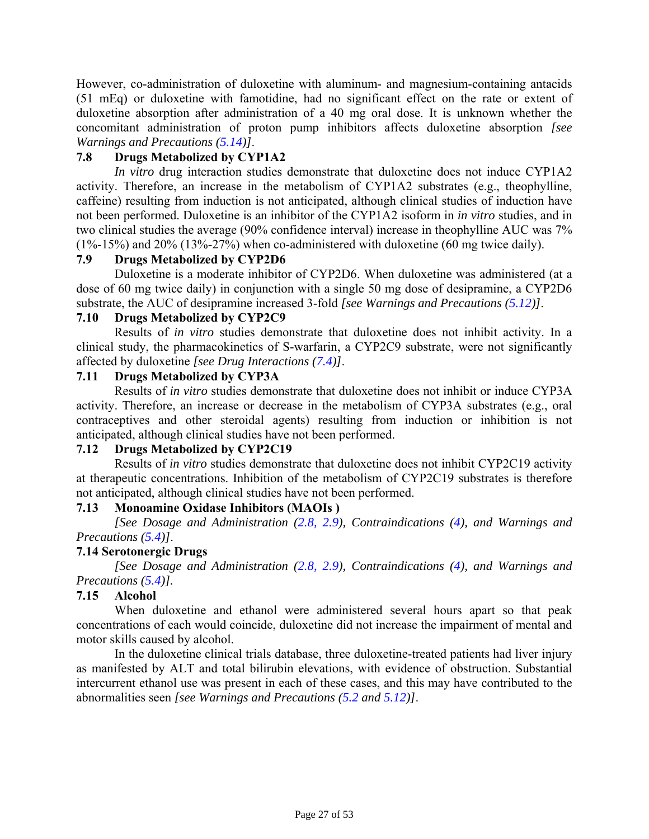However, co-administration of duloxetine with aluminum- and magnesium-containing antacids (51 mEq) or duloxetine with famotidine, had no significant effect on the rate or extent of duloxetine absorption after administration of a 40 mg oral dose. It is unknown whether the concomitant administration of proton pump inhibitors affects duloxetine absorption *[see Warnings and Precautions ([5.14\)](#page-14-1)]*.

# <span id="page-26-7"></span><span id="page-26-0"></span>**7.8 Drugs Metabolized by CYP1A2**

*In vitro* drug interaction studies demonstrate that duloxetine does not induce CYP1A2 activity. Therefore, an increase in the metabolism of CYP1A2 substrates (e.g., theophylline, caffeine) resulting from induction is not anticipated, although clinical studies of induction have not been performed. Duloxetine is an inhibitor of the CYP1A2 isoform in *in vitro* studies, and in two clinical studies the average (90% confidence interval) increase in theophylline AUC was 7% (1%-15%) and 20% (13%-27%) when co-administered with duloxetine (60 mg twice daily).

# <span id="page-26-6"></span><span id="page-26-1"></span>**7.9 Drugs Metabolized by CYP2D6**

<span id="page-26-8"></span><span id="page-26-2"></span>Duloxetine is a moderate inhibitor of CYP2D6. When duloxetine was administered (at a dose of 60 mg twice daily) in conjunction with a single 50 mg dose of desipramine, a CYP2D6 substrate, the AUC of desipramine increased 3-fold *[see Warnings and Precautions ([5.12\)](#page-13-3)]*.

# **7.10 Drugs Metabolized by CYP2C9**

<span id="page-26-9"></span><span id="page-26-3"></span>Results of *in vitro* studies demonstrate that duloxetine does not inhibit activity. In a clinical study, the pharmacokinetics of S-warfarin, a CYP2C9 substrate, were not significantly affected by duloxetine *[see Drug Interactions ([7.4\)\]](#page-25-2)*.

# **7.11 Drugs Metabolized by CYP3A**

Results of *in vitro* studies demonstrate that duloxetine does not inhibit or induce CYP3A activity. Therefore, an increase or decrease in the metabolism of CYP3A substrates (e.g., oral contraceptives and other steroidal agents) resulting from induction or inhibition is not anticipated, although clinical studies have not been performed.

# <span id="page-26-10"></span><span id="page-26-4"></span>**7.12 Drugs Metabolized by CYP2C19**

<span id="page-26-11"></span><span id="page-26-5"></span>Results of *in vitro* studies demonstrate that duloxetine does not inhibit CYP2C19 activity at therapeutic concentrations. Inhibition of the metabolism of CYP2C19 substrates is therefore not anticipated, although clinical studies have not been performed.

# **7.13 Monoamine Oxidase Inhibitors (MAOIs )**

*[See Dosage and Administration [\(2.8](#page-7-2), [2.9\),](#page-8-0) Contraindications [\(4\),](#page-8-2) and Warnings and Precautions ([5.4\)\]](#page-11-1)*.

#### **7.14 Serotonergic Drugs**

*[See Dosage and Administration [\(2.8](#page-7-2), [2.9\)](#page-8-0), Contraindications [\(4\),](#page-8-2) and Warnings and Precautions ([5.4\)\]](#page-11-1).* 

# **7.15 Alcohol**

When duloxetine and ethanol were administered several hours apart so that peak concentrations of each would coincide, duloxetine did not increase the impairment of mental and motor skills caused by alcohol.

In the duloxetine clinical trials database, three duloxetine-treated patients had liver injury as manifested by ALT and total bilirubin elevations, with evidence of obstruction. Substantial intercurrent ethanol use was present in each of these cases, and this may have contributed to the abnormalities seen *[see Warnings and Precautions [\(5.2](#page-10-0) and [5.12](#page-13-3))]*.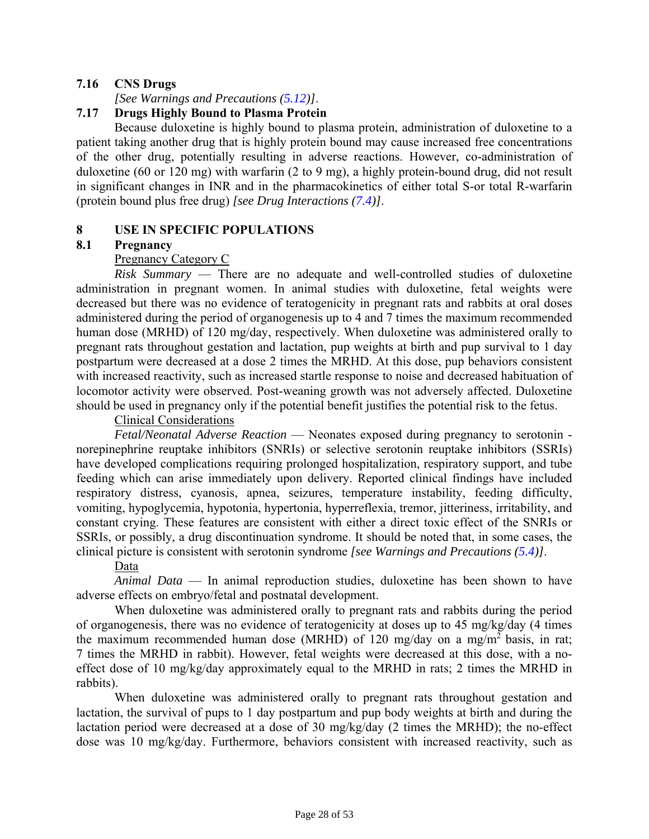# <span id="page-27-3"></span><span id="page-27-0"></span>**7.16 CNS Drugs**

*[See Warnings and Precautions [\(5.12](#page-13-3))]*.

### **7.17 Drugs Highly Bound to Plasma Protein**

Because duloxetine is highly bound to plasma protein, administration of duloxetine to a patient taking another drug that is highly protein bound may cause increased free concentrations of the other drug, potentially resulting in adverse reactions. However, co-administration of duloxetine (60 or 120 mg) with warfarin (2 to 9 mg), a highly protein-bound drug, did not result in significant changes in INR and in the pharmacokinetics of either total S-or total R-warfarin (protein bound plus free drug) *[see Drug Interactions ([7.4\)](#page-25-2)]*.

#### <span id="page-27-2"></span><span id="page-27-1"></span>**8 USE IN SPECIFIC POPULATIONS**

#### **8.1 Pregnancy**

#### Pregnancy Category C

*Risk Summary* — There are no adequate and well-controlled studies of duloxetine administration in pregnant women. In animal studies with duloxetine, fetal weights were decreased but there was no evidence of teratogenicity in pregnant rats and rabbits at oral doses administered during the period of organogenesis up to 4 and 7 times the maximum recommended human dose (MRHD) of 120 mg/day, respectively. When duloxetine was administered orally to pregnant rats throughout gestation and lactation, pup weights at birth and pup survival to 1 day postpartum were decreased at a dose 2 times the MRHD. At this dose, pup behaviors consistent with increased reactivity, such as increased startle response to noise and decreased habituation of locomotor activity were observed. Post-weaning growth was not adversely affected. Duloxetine should be used in pregnancy only if the potential benefit justifies the potential risk to the fetus.

# Clinical Considerations

*Fetal/Neonatal Adverse Reaction* — Neonates exposed during pregnancy to serotonin norepinephrine reuptake inhibitors (SNRIs) or selective serotonin reuptake inhibitors (SSRIs) have developed complications requiring prolonged hospitalization, respiratory support, and tube feeding which can arise immediately upon delivery. Reported clinical findings have included respiratory distress, cyanosis, apnea, seizures, temperature instability, feeding difficulty, vomiting, hypoglycemia, hypotonia, hypertonia, hyperreflexia, tremor, jitteriness, irritability, and constant crying. These features are consistent with either a direct toxic effect of the SNRIs or SSRIs, or possibly, a drug discontinuation syndrome. It should be noted that, in some cases, the clinical picture is consistent with serotonin syndrome *[see Warnings and Precautions ([5.4\)](#page-11-1)]*.

#### Data

*Animal Data* — In animal reproduction studies, duloxetine has been shown to have adverse effects on embryo/fetal and postnatal development.

When duloxetine was administered orally to pregnant rats and rabbits during the period of organogenesis, there was no evidence of teratogenicity at doses up to 45 mg/kg/day (4 times the maximum recommended human dose (MRHD) of 120 mg/day on a mg/m<sup>2</sup> basis, in rat; 7 times the MRHD in rabbit). However, fetal weights were decreased at this dose, with a noeffect dose of 10 mg/kg/day approximately equal to the MRHD in rats; 2 times the MRHD in rabbits).

When duloxetine was administered orally to pregnant rats throughout gestation and lactation, the survival of pups to 1 day postpartum and pup body weights at birth and during the lactation period were decreased at a dose of 30 mg/kg/day (2 times the MRHD); the no-effect dose was 10 mg/kg/day. Furthermore, behaviors consistent with increased reactivity, such as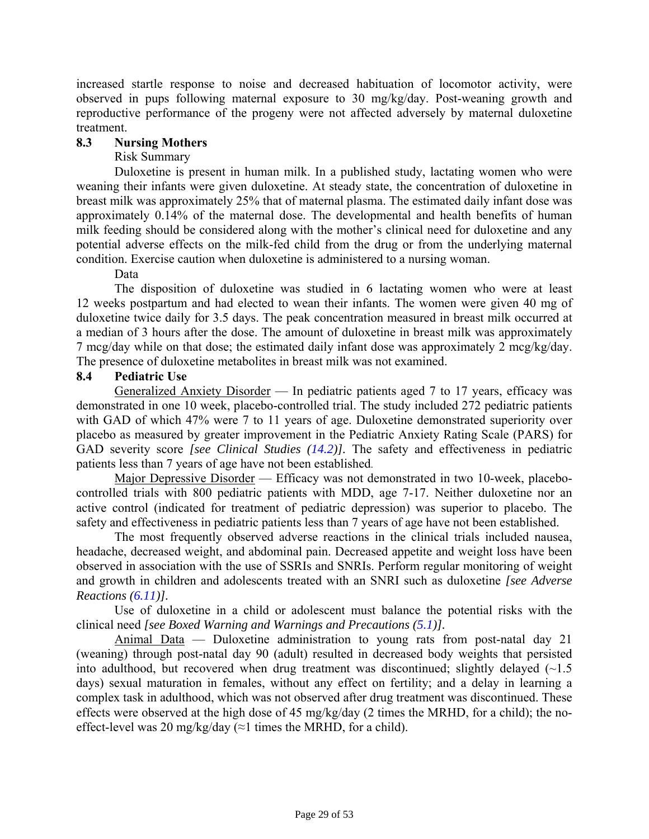increased startle response to noise and decreased habituation of locomotor activity, were observed in pups following maternal exposure to 30 mg/kg/day. Post-weaning growth and reproductive performance of the progeny were not affected adversely by maternal duloxetine treatment.

# <span id="page-28-2"></span><span id="page-28-0"></span>**8.3 Nursing Mothers**

# Risk Summary

Duloxetine is present in human milk. In a published study, lactating women who were weaning their infants were given duloxetine. At steady state, the concentration of duloxetine in breast milk was approximately 25% that of maternal plasma. The estimated daily infant dose was approximately 0.14% of the maternal dose. The developmental and health benefits of human milk feeding should be considered along with the mother's clinical need for duloxetine and any potential adverse effects on the milk-fed child from the drug or from the underlying maternal condition. Exercise caution when duloxetine is administered to a nursing woman.

Data

The disposition of duloxetine was studied in 6 lactating women who were at least 12 weeks postpartum and had elected to wean their infants. The women were given 40 mg of duloxetine twice daily for 3.5 days. The peak concentration measured in breast milk occurred at a median of 3 hours after the dose. The amount of duloxetine in breast milk was approximately 7 mcg/day while on that dose; the estimated daily infant dose was approximately 2 mcg/kg/day. The presence of duloxetine metabolites in breast milk was not examined.

# <span id="page-28-3"></span><span id="page-28-1"></span>**8.4 Pediatric Use**

 Generalized Anxiety Disorder — In pediatric patients aged 7 to 17 years, efficacy was demonstrated in one 10 week, placebo-controlled trial. The study included 272 pediatric patients with GAD of which 47% were 7 to 11 years of age. Duloxetine demonstrated superiority over placebo as measured by greater improvement in the Pediatric Anxiety Rating Scale (PARS) for GAD severity score *[see Clinical Studies ([14.2\)](#page-35-0)].* The safety and effectiveness in pediatric patients less than 7 years of age have not been established.

Major Depressive Disorder — Efficacy was not demonstrated in two 10-week, placebocontrolled trials with 800 pediatric patients with MDD, age 7-17. Neither duloxetine nor an active control (indicated for treatment of pediatric depression) was superior to placebo. The safety and effectiveness in pediatric patients less than 7 years of age have not been established.

The most frequently observed adverse reactions in the clinical trials included nausea, headache, decreased weight, and abdominal pain. Decreased appetite and weight loss have been observed in association with the use of SSRIs and SNRIs. Perform regular monitoring of weight and growth in children and adolescents treated with an SNRI such as duloxetine *[see Adverse Reactions [\(6.11](#page-23-0))].*

Use of duloxetine in a child or adolescent must balance the potential risks with the clinical need *[see Boxed Warning and Warnings and Precautions ([5.1\)\]](#page-8-2).*

Animal Data — Duloxetine administration to young rats from post-natal day 21 (weaning) through post-natal day 90 (adult) resulted in decreased body weights that persisted into adulthood, but recovered when drug treatment was discontinued; slightly delayed  $(\sim1.5$ days) sexual maturation in females, without any effect on fertility; and a delay in learning a complex task in adulthood, which was not observed after drug treatment was discontinued. These effects were observed at the high dose of 45 mg/kg/day (2 times the MRHD, for a child); the noeffect-level was 20 mg/kg/day ( $\approx$ 1 times the MRHD, for a child).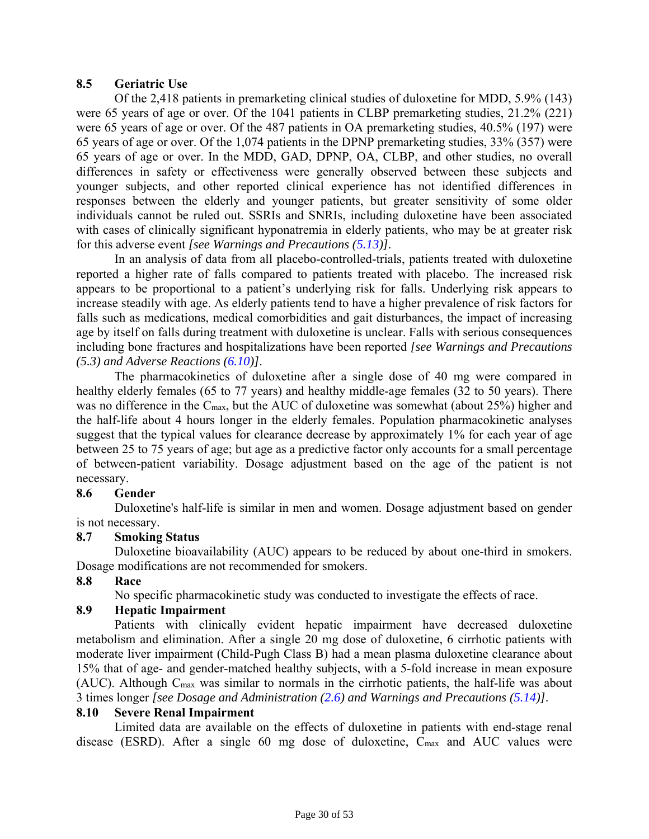# <span id="page-29-2"></span><span id="page-29-0"></span>**8.5 Geriatric Use**

Of the 2,418 patients in premarketing clinical studies of duloxetine for MDD, 5.9% (143) were 65 years of age or over. Of the 1041 patients in CLBP premarketing studies, 21.2% (221) were 65 years of age or over. Of the 487 patients in OA premarketing studies, 40.5% (197) were 65 years of age or over. Of the 1,074 patients in the DPNP premarketing studies, 33% (357) were 65 years of age or over. In the MDD, GAD, DPNP, OA, CLBP, and other studies, no overall differences in safety or effectiveness were generally observed between these subjects and younger subjects, and other reported clinical experience has not identified differences in responses between the elderly and younger patients, but greater sensitivity of some older individuals cannot be ruled out. SSRIs and SNRIs, including duloxetine have been associated with cases of clinically significant hyponatremia in elderly patients, who may be at greater risk for this adverse event *[see Warnings and Precautions ([5.13\)](#page-14-0)]*.

In an analysis of data from all placebo-controlled-trials, patients treated with duloxetine reported a higher rate of falls compared to patients treated with placebo. The increased risk appears to be proportional to a patient's underlying risk for falls. Underlying risk appears to increase steadily with age. As elderly patients tend to have a higher prevalence of risk factors for falls such as medications, medical comorbidities and gait disturbances, the impact of increasing age by itself on falls during treatment with duloxetine is unclear. Falls with serious consequences including bone fractures and hospitalizations have been reported *[see Warnings and Precautions (5.3) and Adverse Reactions ([6.10\)](#page-22-0)]*.

The pharmacokinetics of duloxetine after a single dose of 40 mg were compared in healthy elderly females (65 to 77 years) and healthy middle-age females (32 to 50 years). There was no difference in the Cmax, but the AUC of duloxetine was somewhat (about 25%) higher and the half-life about 4 hours longer in the elderly females. Population pharmacokinetic analyses suggest that the typical values for clearance decrease by approximately 1% for each year of age between 25 to 75 years of age; but age as a predictive factor only accounts for a small percentage of between-patient variability. Dosage adjustment based on the age of the patient is not necessary.

# <span id="page-29-3"></span><span id="page-29-1"></span>**8.6 Gender**

Duloxetine's half-life is similar in men and women. Dosage adjustment based on gender is not necessary.

#### **8.7 Smoking Status**

Duloxetine bioavailability (AUC) appears to be reduced by about one-third in smokers. Dosage modifications are not recommended for smokers.

# **8.8 Race**

No specific pharmacokinetic study was conducted to investigate the effects of race.

#### **8.9 Hepatic Impairment**

Patients with clinically evident hepatic impairment have decreased duloxetine metabolism and elimination. After a single 20 mg dose of duloxetine, 6 cirrhotic patients with moderate liver impairment (Child-Pugh Class B) had a mean plasma duloxetine clearance about 15% that of age- and gender-matched healthy subjects, with a 5-fold increase in mean exposure (AUC). Although Cmax was similar to normals in the cirrhotic patients, the half-life was about 3 times longer *[see Dosage and Administration [\(2.6](#page-7-2)) and Warnings and Precautions [\(5.14](#page-14-1))]*.

## **8.10 Severe Renal Impairment**

Limited data are available on the effects of duloxetine in patients with end-stage renal disease (ESRD). After a single 60 mg dose of duloxetine,  $C_{\text{max}}$  and AUC values were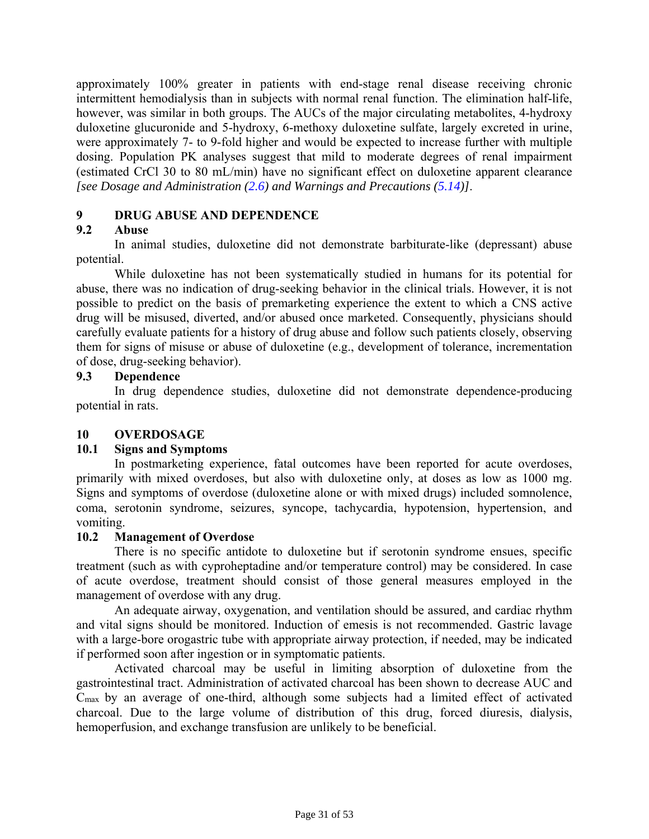approximately 100% greater in patients with end-stage renal disease receiving chronic intermittent hemodialysis than in subjects with normal renal function. The elimination half-life, however, was similar in both groups. The AUCs of the major circulating metabolites, 4-hydroxy duloxetine glucuronide and 5-hydroxy, 6-methoxy duloxetine sulfate, largely excreted in urine, were approximately 7- to 9-fold higher and would be expected to increase further with multiple dosing. Population PK analyses suggest that mild to moderate degrees of renal impairment (estimated CrCl 30 to 80 mL/min) have no significant effect on duloxetine apparent clearance *[see Dosage and Administration ([2.6\)](#page-7-2) and Warnings and Precautions [\(5.14](#page-14-1))]*.

# <span id="page-30-2"></span><span id="page-30-0"></span>**9 DRUG ABUSE AND DEPENDENCE**

# **9.2 Abuse**

In animal studies, duloxetine did not demonstrate barbiturate-like (depressant) abuse potential.

While duloxetine has not been systematically studied in humans for its potential for abuse, there was no indication of drug-seeking behavior in the clinical trials. However, it is not possible to predict on the basis of premarketing experience the extent to which a CNS active drug will be misused, diverted, and/or abused once marketed. Consequently, physicians should carefully evaluate patients for a history of drug abuse and follow such patients closely, observing them for signs of misuse or abuse of duloxetine (e.g., development of tolerance, incrementation of dose, drug-seeking behavior).

#### **9.3 Dependence**

In drug dependence studies, duloxetine did not demonstrate dependence-producing potential in rats.

#### <span id="page-30-3"></span><span id="page-30-1"></span>**10 OVERDOSAGE**

# **10.1 Signs and Symptoms**

In postmarketing experience, fatal outcomes have been reported for acute overdoses, primarily with mixed overdoses, but also with duloxetine only, at doses as low as 1000 mg. Signs and symptoms of overdose (duloxetine alone or with mixed drugs) included somnolence, coma, serotonin syndrome, seizures, syncope, tachycardia, hypotension, hypertension, and vomiting.

#### **10.2 Management of Overdose**

There is no specific antidote to duloxetine but if serotonin syndrome ensues, specific treatment (such as with cyproheptadine and/or temperature control) may be considered. In case of acute overdose, treatment should consist of those general measures employed in the management of overdose with any drug.

An adequate airway, oxygenation, and ventilation should be assured, and cardiac rhythm and vital signs should be monitored. Induction of emesis is not recommended. Gastric lavage with a large-bore orogastric tube with appropriate airway protection, if needed, may be indicated if performed soon after ingestion or in symptomatic patients.

Activated charcoal may be useful in limiting absorption of duloxetine from the gastrointestinal tract. Administration of activated charcoal has been shown to decrease AUC and Cmax by an average of one-third, although some subjects had a limited effect of activated charcoal. Due to the large volume of distribution of this drug, forced diuresis, dialysis, hemoperfusion, and exchange transfusion are unlikely to be beneficial.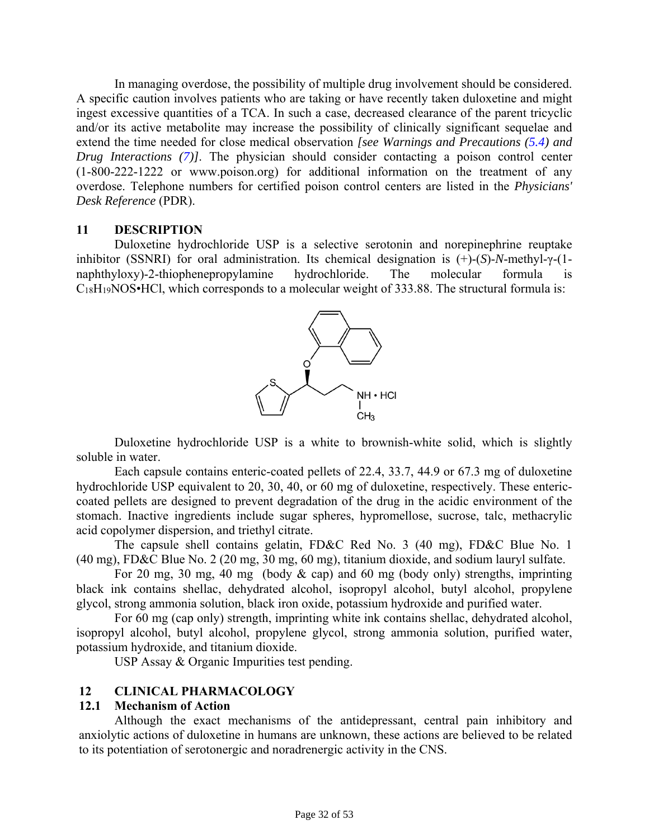In managing overdose, the possibility of multiple drug involvement should be considered. A specific caution involves patients who are taking or have recently taken duloxetine and might ingest excessive quantities of a TCA. In such a case, decreased clearance of the parent tricyclic and/or its active metabolite may increase the possibility of clinically significant sequelae and extend the time needed for close medical observation *[see Warnings and Precautions [\(5.4\)](#page-11-1) and Drug Interactions [\(7](#page-25-0))]*. The physician should consider contacting a poison control center (1-800-222-1222 or www.poison.org) for additional information on the treatment of any overdose. Telephone numbers for certified poison control centers are listed in the *Physicians' Desk Reference* (PDR).

#### <span id="page-31-2"></span><span id="page-31-0"></span>**11 DESCRIPTION**

Duloxetine hydrochloride USP is a selective serotonin and norepinephrine reuptake inhibitor (SSNRI) for oral administration. Its chemical designation is (+)-(*S*)-*N*-methyl-γ-(1 naphthyloxy)-2-thiophenepropylamine hydrochloride. The molecular formula is C18H19NOS•HCl, which corresponds to a molecular weight of 333.88. The structural formula is:



Duloxetine hydrochloride USP is a white to brownish-white solid, which is slightly soluble in water.

<span id="page-31-3"></span><span id="page-31-1"></span>Each capsule contains enteric-coated pellets of 22.4, 33.7, 44.9 or 67.3 mg of duloxetine hydrochloride USP equivalent to 20, 30, 40, or 60 mg of duloxetine, respectively. These entericcoated pellets are designed to prevent degradation of the drug in the acidic environment of the stomach. Inactive ingredients include sugar spheres, hypromellose, sucrose, talc, methacrylic acid copolymer dispersion, and triethyl citrate.

The capsule shell contains gelatin, FD&C Red No. 3 (40 mg), FD&C Blue No. 1 (40 mg), FD&C Blue No. 2 (20 mg, 30 mg, 60 mg), titanium dioxide, and sodium lauryl sulfate.

For 20 mg, 30 mg, 40 mg (body  $\&$  cap) and 60 mg (body only) strengths, imprinting black ink contains shellac, dehydrated alcohol, isopropyl alcohol, butyl alcohol, propylene glycol, strong ammonia solution, black iron oxide, potassium hydroxide and purified water.

For 60 mg (cap only) strength, imprinting white ink contains shellac, dehydrated alcohol, isopropyl alcohol, butyl alcohol, propylene glycol, strong ammonia solution, purified water, potassium hydroxide, and titanium dioxide.

USP Assay & Organic Impurities test pending.

#### **12 CLINICAL PHARMACOLOGY**

#### **12.1 Mechanism of Action**

Although the exact mechanisms of the antidepressant, central pain inhibitory and anxiolytic actions of duloxetine in humans are unknown, these actions are believed to be related to its potentiation of serotonergic and noradrenergic activity in the CNS.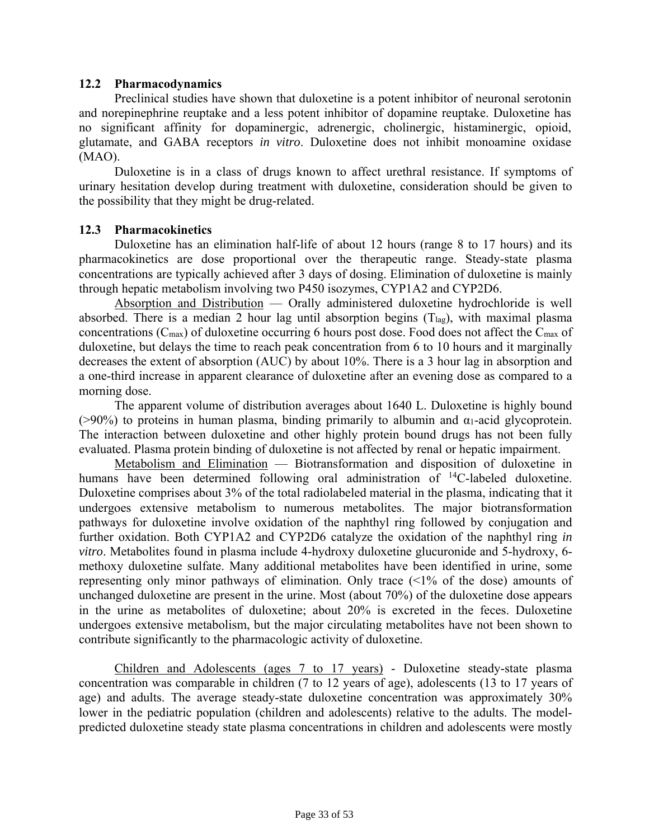### <span id="page-32-2"></span><span id="page-32-0"></span>**12.2 Pharmacodynamics**

Preclinical studies have shown that duloxetine is a potent inhibitor of neuronal serotonin and norepinephrine reuptake and a less potent inhibitor of dopamine reuptake. Duloxetine has no significant affinity for dopaminergic, adrenergic, cholinergic, histaminergic, opioid, glutamate, and GABA receptors *in vitro*. Duloxetine does not inhibit monoamine oxidase (MAO).

Duloxetine is in a class of drugs known to affect urethral resistance. If symptoms of urinary hesitation develop during treatment with duloxetine, consideration should be given to the possibility that they might be drug-related.

#### <span id="page-32-3"></span><span id="page-32-1"></span>**12.3 Pharmacokinetics**

Duloxetine has an elimination half-life of about 12 hours (range 8 to 17 hours) and its pharmacokinetics are dose proportional over the therapeutic range. Steady-state plasma concentrations are typically achieved after 3 days of dosing. Elimination of duloxetine is mainly through hepatic metabolism involving two P450 isozymes, CYP1A2 and CYP2D6.

Absorption and Distribution — Orally administered duloxetine hydrochloride is well absorbed. There is a median 2 hour lag until absorption begins  $(T<sub>lag</sub>)$ , with maximal plasma concentrations (Cmax) of duloxetine occurring 6 hours post dose. Food does not affect the Cmax of duloxetine, but delays the time to reach peak concentration from 6 to 10 hours and it marginally decreases the extent of absorption (AUC) by about 10%. There is a 3 hour lag in absorption and a one-third increase in apparent clearance of duloxetine after an evening dose as compared to a morning dose.

The apparent volume of distribution averages about 1640 L. Duloxetine is highly bound ( $>90\%$ ) to proteins in human plasma, binding primarily to albumin and  $\alpha_1$ -acid glycoprotein. The interaction between duloxetine and other highly protein bound drugs has not been fully evaluated. Plasma protein binding of duloxetine is not affected by renal or hepatic impairment.

Metabolism and Elimination — Biotransformation and disposition of duloxetine in humans have been determined following oral administration of <sup>14</sup>C-labeled duloxetine. Duloxetine comprises about 3% of the total radiolabeled material in the plasma, indicating that it undergoes extensive metabolism to numerous metabolites. The major biotransformation pathways for duloxetine involve oxidation of the naphthyl ring followed by conjugation and further oxidation. Both CYP1A2 and CYP2D6 catalyze the oxidation of the naphthyl ring *in vitro*. Metabolites found in plasma include 4-hydroxy duloxetine glucuronide and 5-hydroxy, 6 methoxy duloxetine sulfate. Many additional metabolites have been identified in urine, some representing only minor pathways of elimination. Only trace (<1% of the dose) amounts of unchanged duloxetine are present in the urine. Most (about 70%) of the duloxetine dose appears in the urine as metabolites of duloxetine; about 20% is excreted in the feces. Duloxetine undergoes extensive metabolism, but the major circulating metabolites have not been shown to contribute significantly to the pharmacologic activity of duloxetine.

Children and Adolescents (ages 7 to 17 years) - Duloxetine steady-state plasma concentration was comparable in children (7 to 12 years of age), adolescents (13 to 17 years of age) and adults. The average steady-state duloxetine concentration was approximately 30% lower in the pediatric population (children and adolescents) relative to the adults. The modelpredicted duloxetine steady state plasma concentrations in children and adolescents were mostly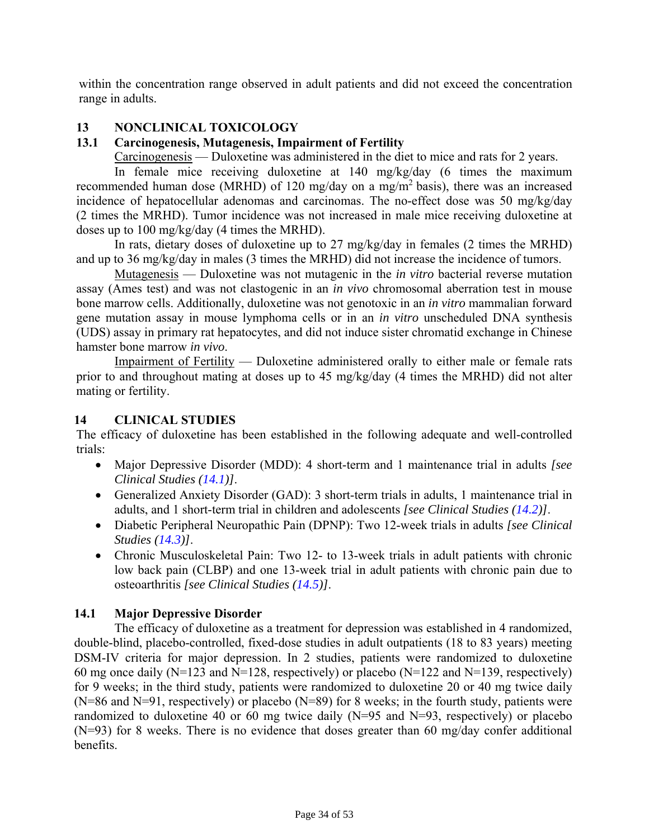within the concentration range observed in adult patients and did not exceed the concentration range in adults.

# <span id="page-33-3"></span><span id="page-33-0"></span>**13 NONCLINICAL TOXICOLOGY**

# **13.1 Carcinogenesis, Mutagenesis, Impairment of Fertility**

Carcinogenesis — Duloxetine was administered in the diet to mice and rats for 2 years.

In female mice receiving duloxetine at 140 mg/kg/day (6 times the maximum recommended human dose (MRHD) of 120 mg/day on a mg/m2 basis), there was an increased incidence of hepatocellular adenomas and carcinomas. The no-effect dose was 50 mg/kg/day (2 times the MRHD). Tumor incidence was not increased in male mice receiving duloxetine at doses up to 100 mg/kg/day (4 times the MRHD).

In rats, dietary doses of duloxetine up to 27 mg/kg/day in females (2 times the MRHD) and up to 36 mg/kg/day in males (3 times the MRHD) did not increase the incidence of tumors.

Mutagenesis — Duloxetine was not mutagenic in the *in vitro* bacterial reverse mutation assay (Ames test) and was not clastogenic in an *in vivo* chromosomal aberration test in mouse bone marrow cells. Additionally, duloxetine was not genotoxic in an *in vitro* mammalian forward gene mutation assay in mouse lymphoma cells or in an *in vitro* unscheduled DNA synthesis (UDS) assay in primary rat hepatocytes, and did not induce sister chromatid exchange in Chinese hamster bone marrow *in vivo*.

<span id="page-33-4"></span><span id="page-33-1"></span>Impairment of Fertility — Duloxetine administered orally to either male or female rats prior to and throughout mating at doses up to 45 mg/kg/day (4 times the MRHD) did not alter mating or fertility.

### **14 CLINICAL STUDIES**

<span id="page-33-5"></span><span id="page-33-2"></span>The efficacy of duloxetine has been established in the following adequate and well-controlled trials:

- Major Depressive Disorder (MDD): 4 short-term and 1 maintenance trial in adults *[see Clinical Studies [\(14.1](#page-33-2))]*.
- Generalized Anxiety Disorder (GAD): 3 short-term trials in adults, 1 maintenance trial in adults, and 1 short-term trial in children and adolescents *[see Clinical Studies ([14.2\)](#page-35-0)]*.
- Diabetic Peripheral Neuropathic Pain (DPNP): Two 12-week trials in adults *[see Clinical Studies ([14.3\)](#page-37-0)]*.
- Chronic Musculoskeletal Pain: Two 12- to 13-week trials in adult patients with chronic low back pain (CLBP) and one 13-week trial in adult patients with chronic pain due to osteoarthritis *[see Clinical Studies [\(14.5\)\]](#page-38-0)*.

#### **14.1 Major Depressive Disorder**

The efficacy of duloxetine as a treatment for depression was established in 4 randomized, double-blind, placebo-controlled, fixed-dose studies in adult outpatients (18 to 83 years) meeting DSM-IV criteria for major depression. In 2 studies, patients were randomized to duloxetine 60 mg once daily (N=123 and N=128, respectively) or placebo (N=122 and N=139, respectively) for 9 weeks; in the third study, patients were randomized to duloxetine 20 or 40 mg twice daily  $(N=86$  and N=91, respectively) or placebo  $(N=89)$  for 8 weeks; in the fourth study, patients were randomized to duloxetine 40 or 60 mg twice daily ( $N=95$  and  $N=93$ , respectively) or placebo (N=93) for 8 weeks. There is no evidence that doses greater than 60 mg/day confer additional benefits.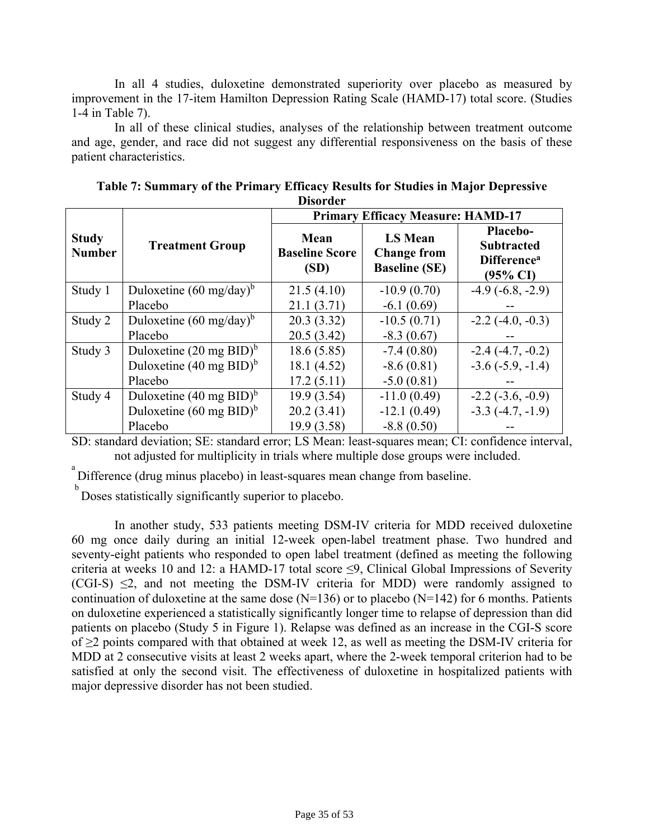In all 4 studies, duloxetine demonstrated superiority over placebo as measured by improvement in the 17-item Hamilton Depression Rating Scale (HAMD-17) total score. (Studies 1-4 in Table 7).

In all of these clinical studies, analyses of the relationship between treatment outcome and age, gender, and race did not suggest any differential responsiveness on the basis of these patient characteristics.

|                               |                                     | <b>Primary Efficacy Measure: HAMD-17</b> |                                                              |                                                                                               |  |
|-------------------------------|-------------------------------------|------------------------------------------|--------------------------------------------------------------|-----------------------------------------------------------------------------------------------|--|
| <b>Study</b><br><b>Number</b> | <b>Treatment Group</b>              | Mean<br><b>Baseline Score</b><br>(SD)    | <b>LS Mean</b><br><b>Change from</b><br><b>Baseline (SE)</b> | <b>Placebo-</b><br><b>Subtracted</b><br><b>Difference</b> <sup>a</sup><br>$(95\% \text{ CI})$ |  |
| Study 1                       | Duloxetine $(60 \text{ mg/day})^6$  | 21.5(4.10)                               | $-10.9(0.70)$                                                | $-4.9(-6.8, -2.9)$                                                                            |  |
|                               | Placebo                             | 21.1(3.71)                               | $-6.1(0.69)$                                                 |                                                                                               |  |
| Study 2                       | Duloxetine $(60 \text{ mg/day})^6$  | 20.3(3.32)                               | $-10.5(0.71)$                                                | $-2.2$ ( $-4.0, -0.3$ )                                                                       |  |
|                               | Placebo                             | 20.5(3.42)                               | $-8.3(0.67)$                                                 |                                                                                               |  |
| Study 3                       | Duloxetine $(20 \text{ mg BID})^b$  | 18.6(5.85)                               | $-7.4(0.80)$                                                 | $-2.4(-4.7, -0.2)$                                                                            |  |
|                               | Duloxetine $(40 \text{ mg BID})^b$  | 18.1(4.52)                               | $-8.6(0.81)$                                                 | $-3.6(-5.9, -1.4)$                                                                            |  |
|                               | Placebo                             | 17.2(5.11)                               | $-5.0(0.81)$                                                 |                                                                                               |  |
| Study 4                       | Duloxetine $(40 \text{ mg } BID)^b$ | 19.9(3.54)                               | $-11.0(0.49)$                                                | $-2.2$ ( $-3.6, -0.9$ )                                                                       |  |
|                               | Duloxetine $(60 \text{ mg BID})^b$  | 20.2(3.41)                               | $-12.1(0.49)$                                                | $-3.3$ $(-4.7, -1.9)$                                                                         |  |
|                               | Placebo                             | 19.9 (3.58)                              | $-8.8(0.50)$                                                 |                                                                                               |  |

**Table 7: Summary of the Primary Efficacy Results for Studies in Major Depressive Disorder** 

SD: standard deviation; SE: standard error; LS Mean: least-squares mean; CI: confidence interval, not adjusted for multiplicity in trials where multiple dose groups were included.

Difference (drug minus placebo) in least-squares mean change from baseline.

<sup>b</sup> Doses statistically significantly superior to placebo.

In another study, 533 patients meeting DSM-IV criteria for MDD received duloxetine 60 mg once daily during an initial 12-week open-label treatment phase. Two hundred and seventy-eight patients who responded to open label treatment (defined as meeting the following criteria at weeks 10 and 12: a HAMD-17 total score  $\leq$ 9, Clinical Global Impressions of Severity  $(CGI-S) \leq 2$ , and not meeting the DSM-IV criteria for MDD) were randomly assigned to continuation of duloxetine at the same dose  $(N=136)$  or to placebo  $(N=142)$  for 6 months. Patients on duloxetine experienced a statistically significantly longer time to relapse of depression than did patients on placebo (Study 5 in Figure 1). Relapse was defined as an increase in the CGI-S score of >2 points compared with that obtained at week 12, as well as meeting the DSM-IV criteria for MDD at 2 consecutive visits at least 2 weeks apart, where the 2-week temporal criterion had to be satisfied at only the second visit. The effectiveness of duloxetine in hospitalized patients with major depressive disorder has not been studied.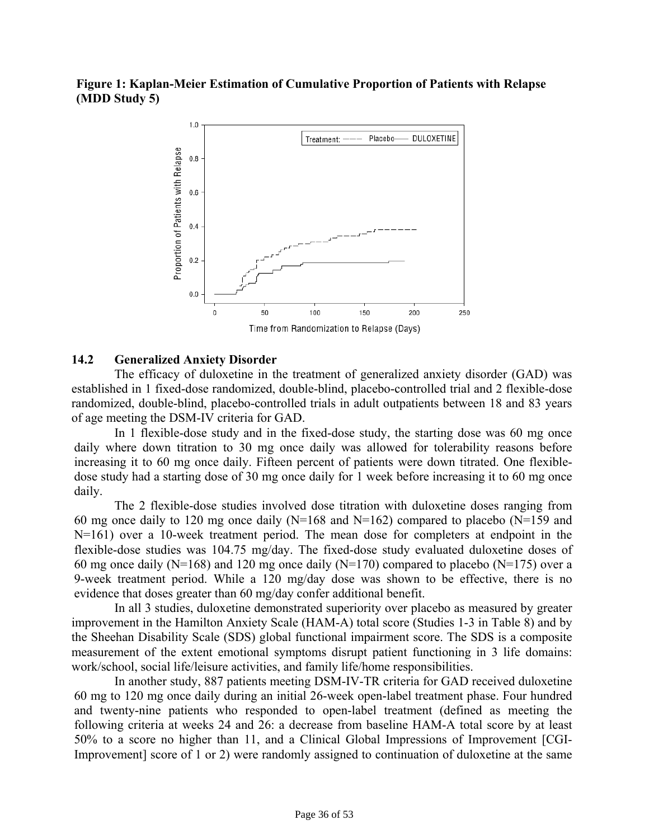#### **Figure 1: Kaplan-Meier Estimation of Cumulative Proportion of Patients with Relapse (MDD Study 5)**



#### <span id="page-35-1"></span><span id="page-35-0"></span>**14.2 Generalized Anxiety Disorder**

The efficacy of duloxetine in the treatment of generalized anxiety disorder (GAD) was established in 1 fixed-dose randomized, double-blind, placebo-controlled trial and 2 flexible-dose randomized, double-blind, placebo-controlled trials in adult outpatients between 18 and 83 years of age meeting the DSM-IV criteria for GAD.

In 1 flexible-dose study and in the fixed-dose study, the starting dose was 60 mg once daily where down titration to 30 mg once daily was allowed for tolerability reasons before increasing it to 60 mg once daily. Fifteen percent of patients were down titrated. One flexibledose study had a starting dose of 30 mg once daily for 1 week before increasing it to 60 mg once daily.

The 2 flexible-dose studies involved dose titration with duloxetine doses ranging from 60 mg once daily to 120 mg once daily ( $N=168$  and  $N=162$ ) compared to placebo ( $N=159$  and N=161) over a 10-week treatment period. The mean dose for completers at endpoint in the flexible-dose studies was 104.75 mg/day. The fixed-dose study evaluated duloxetine doses of 60 mg once daily (N=168) and 120 mg once daily (N=170) compared to placebo (N=175) over a 9-week treatment period. While a 120 mg/day dose was shown to be effective, there is no evidence that doses greater than 60 mg/day confer additional benefit.

In all 3 studies, duloxetine demonstrated superiority over placebo as measured by greater improvement in the Hamilton Anxiety Scale (HAM-A) total score (Studies 1-3 in Table 8) and by the Sheehan Disability Scale (SDS) global functional impairment score. The SDS is a composite measurement of the extent emotional symptoms disrupt patient functioning in 3 life domains: work/school, social life/leisure activities, and family life/home responsibilities.

In another study, 887 patients meeting DSM-IV-TR criteria for GAD received duloxetine 60 mg to 120 mg once daily during an initial 26-week open-label treatment phase. Four hundred and twenty-nine patients who responded to open-label treatment (defined as meeting the following criteria at weeks 24 and 26: a decrease from baseline HAM-A total score by at least 50% to a score no higher than 11, and a Clinical Global Impressions of Improvement [CGI-Improvement] score of 1 or 2) were randomly assigned to continuation of duloxetine at the same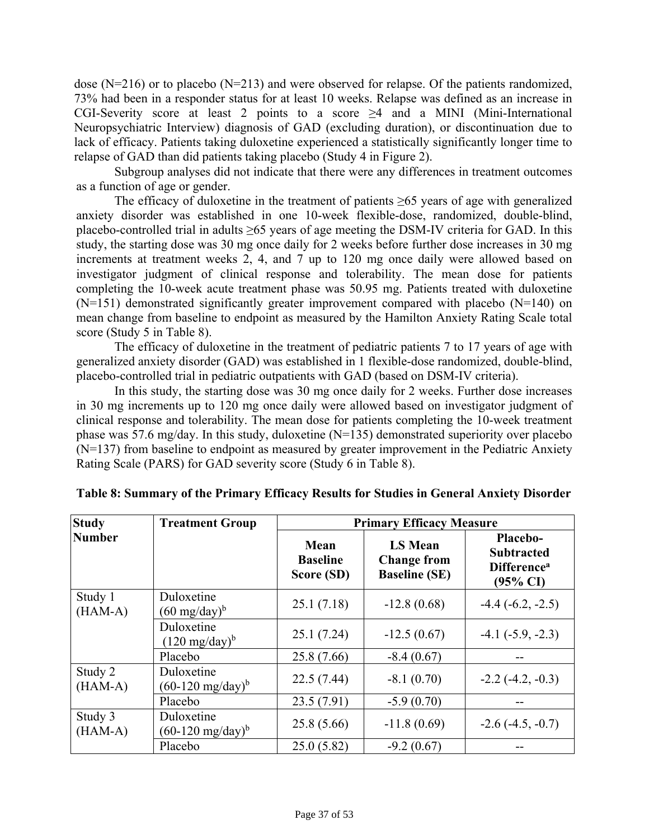dose ( $N=216$ ) or to placebo ( $N=213$ ) and were observed for relapse. Of the patients randomized, 73% had been in a responder status for at least 10 weeks. Relapse was defined as an increase in CGI-Severity score at least 2 points to a score  $\geq$ 4 and a MINI (Mini-International Neuropsychiatric Interview) diagnosis of GAD (excluding duration), or discontinuation due to lack of efficacy. Patients taking duloxetine experienced a statistically significantly longer time to relapse of GAD than did patients taking placebo (Study 4 in Figure 2).

Subgroup analyses did not indicate that there were any differences in treatment outcomes as a function of age or gender.

The efficacy of duloxetine in the treatment of patients ≥65 years of age with generalized anxiety disorder was established in one 10-week flexible-dose, randomized, double-blind, placebo-controlled trial in adults ≥65 years of age meeting the DSM-IV criteria for GAD. In this study, the starting dose was 30 mg once daily for 2 weeks before further dose increases in 30 mg increments at treatment weeks 2, 4, and 7 up to 120 mg once daily were allowed based on investigator judgment of clinical response and tolerability. The mean dose for patients completing the 10-week acute treatment phase was 50.95 mg. Patients treated with duloxetine (N=151) demonstrated significantly greater improvement compared with placebo (N=140) on mean change from baseline to endpoint as measured by the Hamilton Anxiety Rating Scale total score (Study 5 in Table 8).

The efficacy of duloxetine in the treatment of pediatric patients 7 to 17 years of age with generalized anxiety disorder (GAD) was established in 1 flexible-dose randomized, double-blind, placebo-controlled trial in pediatric outpatients with GAD (based on DSM-IV criteria).

In this study, the starting dose was 30 mg once daily for 2 weeks. Further dose increases in 30 mg increments up to 120 mg once daily were allowed based on investigator judgment of clinical response and tolerability. The mean dose for patients completing the 10-week treatment phase was 57.6 mg/day. In this study, duloxetine (N=135) demonstrated superiority over placebo (N=137) from baseline to endpoint as measured by greater improvement in the Pediatric Anxiety Rating Scale (PARS) for GAD severity score (Study 6 in Table 8).

| <b>Study</b>         | <b>Treatment Group</b>                    | <b>Primary Efficacy Measure</b>       |                                                              |                                                                                               |
|----------------------|-------------------------------------------|---------------------------------------|--------------------------------------------------------------|-----------------------------------------------------------------------------------------------|
| <b>Number</b>        |                                           | Mean<br><b>Baseline</b><br>Score (SD) | <b>LS Mean</b><br><b>Change from</b><br><b>Baseline (SE)</b> | <b>Placebo-</b><br><b>Subtracted</b><br><b>Difference</b> <sup>a</sup><br>$(95\% \text{ CI})$ |
| Study 1<br>$(HAM-A)$ | Duloxetine<br>$(60 \text{ mg/day})^b$     | 25.1(7.18)                            | $-12.8(0.68)$                                                | $-4.4$ $(-6.2, -2.5)$                                                                         |
|                      | Duloxetine<br>$(120 \text{ mg/day})^b$    | 25.1(7.24)                            | $-12.5(0.67)$                                                | $-4.1$ $(-5.9, -2.3)$                                                                         |
|                      | Placebo                                   | 25.8 (7.66)                           | $-8.4(0.67)$                                                 | --                                                                                            |
| Study 2<br>$(HAM-A)$ | Duloxetine<br>$(60-120 \text{ mg/day})^b$ | 22.5(7.44)                            | $-8.1(0.70)$                                                 | $-2.2$ $(-4.2, -0.3)$                                                                         |
|                      | Placebo                                   | 23.5(7.91)                            | $-5.9(0.70)$                                                 | --                                                                                            |
| Study 3<br>$(HAM-A)$ | Duloxetine<br>$(60-120 \text{ mg/day})^b$ | 25.8(5.66)                            | $-11.8(0.69)$                                                | $-2.6$ $(-4.5, -0.7)$                                                                         |
|                      | Placebo                                   | 25.0(5.82)                            | $-9.2(0.67)$                                                 |                                                                                               |

#### **Table 8: Summary of the Primary Efficacy Results for Studies in General Anxiety Disorder**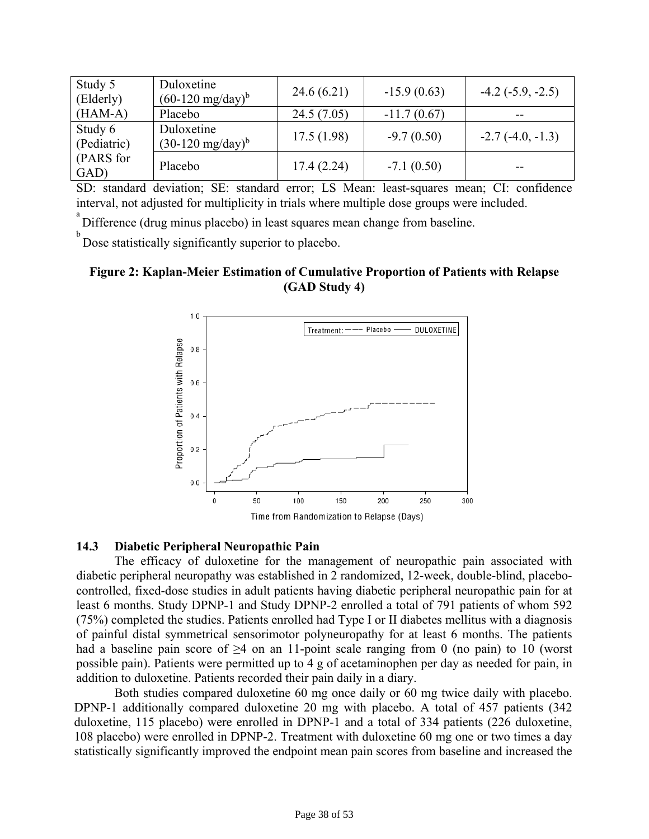| Study 5<br>(Elderly)   | Duloxetine<br>$(60-120 \text{ mg/day})^b$ | 24.6(6.21) | $-15.9(0.63)$ | $-4.2$ ( $-5.9$ , $-2.5$ ) |
|------------------------|-------------------------------------------|------------|---------------|----------------------------|
| $(HAM-A)$              | Placebo                                   | 24.5(7.05) | $-11.7(0.67)$ | $- -$                      |
| Study 6<br>(Pediatric) | Duloxetine<br>$(30-120 \text{ mg/day})^b$ | 17.5(1.98) | $-9.7(0.50)$  | $-2.7(-4.0, -1.3)$         |
| (PARS for<br>GAD)      | Placebo                                   | 17.4(2.24) | $-7.1(0.50)$  | $- -$                      |

SD: standard deviation; SE: standard error; LS Mean: least-squares mean; CI: confidence interval, not adjusted for multiplicity in trials where multiple dose groups were included.

<sup>a</sup> Difference (drug minus placebo) in least squares mean change from baseline.

b Dose statistically significantly superior to placebo.

#### **Figure 2: Kaplan-Meier Estimation of Cumulative Proportion of Patients with Relapse (GAD Study 4)**



#### <span id="page-37-1"></span><span id="page-37-0"></span>**14.3 Diabetic Peripheral Neuropathic Pain**

The efficacy of duloxetine for the management of neuropathic pain associated with diabetic peripheral neuropathy was established in 2 randomized, 12-week, double-blind, placebocontrolled, fixed-dose studies in adult patients having diabetic peripheral neuropathic pain for at least 6 months. Study DPNP-1 and Study DPNP-2 enrolled a total of 791 patients of whom 592 (75%) completed the studies. Patients enrolled had Type I or II diabetes mellitus with a diagnosis of painful distal symmetrical sensorimotor polyneuropathy for at least 6 months. The patients had a baseline pain score of  $\geq 4$  on an 11-point scale ranging from 0 (no pain) to 10 (worst possible pain). Patients were permitted up to 4 g of acetaminophen per day as needed for pain, in addition to duloxetine. Patients recorded their pain daily in a diary.

Both studies compared duloxetine 60 mg once daily or 60 mg twice daily with placebo. DPNP-1 additionally compared duloxetine 20 mg with placebo. A total of 457 patients (342 duloxetine, 115 placebo) were enrolled in DPNP-1 and a total of 334 patients (226 duloxetine, 108 placebo) were enrolled in DPNP-2. Treatment with duloxetine 60 mg one or two times a day statistically significantly improved the endpoint mean pain scores from baseline and increased the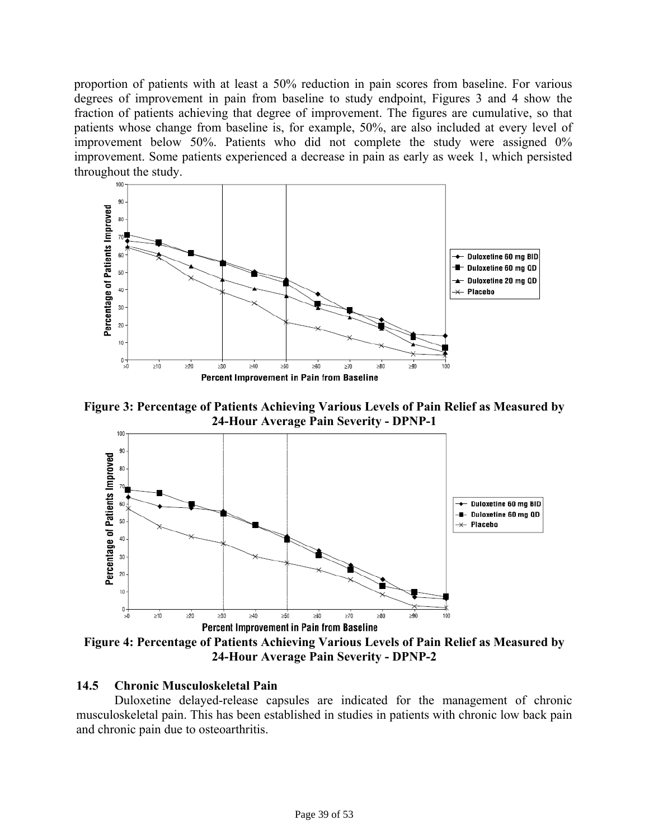proportion of patients with at least a 50% reduction in pain scores from baseline. For various degrees of improvement in pain from baseline to study endpoint, Figures 3 and 4 show the fraction of patients achieving that degree of improvement. The figures are cumulative, so that patients whose change from baseline is, for example, 50%, are also included at every level of improvement below 50%. Patients who did not complete the study were assigned 0% improvement. Some patients experienced a decrease in pain as early as week 1, which persisted throughout the study.



<span id="page-38-1"></span><span id="page-38-0"></span>**Figure 3: Percentage of Patients Achieving Various Levels of Pain Relief as Measured by 24-Hour Average Pain Severity - DPNP-1** 



**Figure 4: Percentage of Patients Achieving Various Levels of Pain Relief as Measured by 24-Hour Average Pain Severity - DPNP-2** 

#### **14.5 Chronic Musculoskeletal Pain**

Duloxetine delayed-release capsules are indicated for the management of chronic musculoskeletal pain. This has been established in studies in patients with chronic low back pain and chronic pain due to osteoarthritis.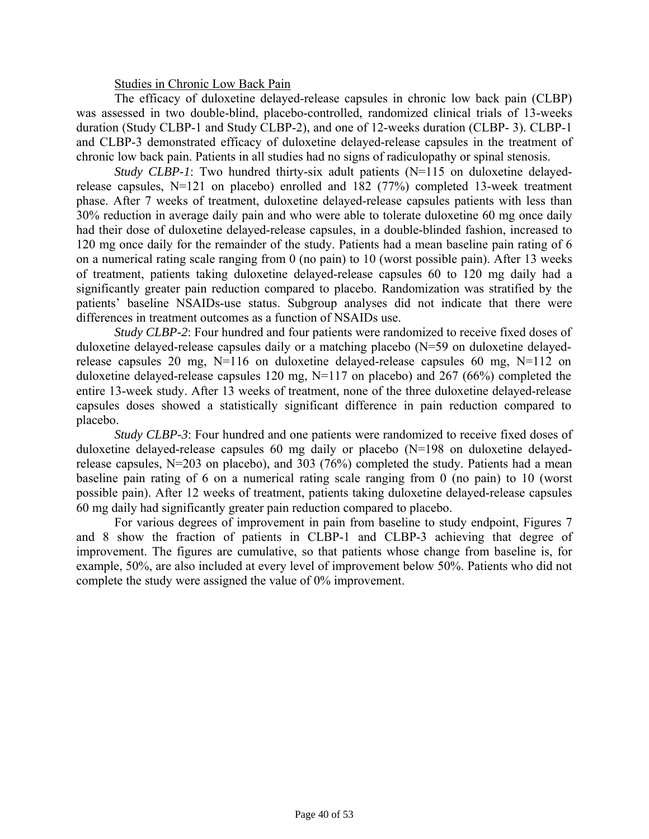Studies in Chronic Low Back Pain

The efficacy of duloxetine delayed-release capsules in chronic low back pain (CLBP) was assessed in two double-blind, placebo-controlled, randomized clinical trials of 13-weeks duration (Study CLBP-1 and Study CLBP-2), and one of 12-weeks duration (CLBP- 3). CLBP-1 and CLBP-3 demonstrated efficacy of duloxetine delayed-release capsules in the treatment of chronic low back pain. Patients in all studies had no signs of radiculopathy or spinal stenosis.

*Study CLBP-1*: Two hundred thirty-six adult patients (N=115 on duloxetine delayedrelease capsules, N=121 on placebo) enrolled and 182 (77%) completed 13-week treatment phase. After 7 weeks of treatment, duloxetine delayed-release capsules patients with less than 30% reduction in average daily pain and who were able to tolerate duloxetine 60 mg once daily had their dose of duloxetine delayed-release capsules, in a double-blinded fashion, increased to 120 mg once daily for the remainder of the study. Patients had a mean baseline pain rating of 6 on a numerical rating scale ranging from 0 (no pain) to 10 (worst possible pain). After 13 weeks of treatment, patients taking duloxetine delayed-release capsules 60 to 120 mg daily had a significantly greater pain reduction compared to placebo. Randomization was stratified by the patients' baseline NSAIDs-use status. Subgroup analyses did not indicate that there were differences in treatment outcomes as a function of NSAIDs use.

*Study CLBP-2*: Four hundred and four patients were randomized to receive fixed doses of duloxetine delayed-release capsules daily or a matching placebo (N=59 on duloxetine delayedrelease capsules 20 mg, N=116 on duloxetine delayed-release capsules 60 mg, N=112 on duloxetine delayed-release capsules 120 mg, N=117 on placebo) and 267 (66%) completed the entire 13-week study. After 13 weeks of treatment, none of the three duloxetine delayed-release capsules doses showed a statistically significant difference in pain reduction compared to placebo.

*Study CLBP-3*: Four hundred and one patients were randomized to receive fixed doses of duloxetine delayed-release capsules 60 mg daily or placebo (N=198 on duloxetine delayedrelease capsules, N=203 on placebo), and 303 (76%) completed the study. Patients had a mean baseline pain rating of 6 on a numerical rating scale ranging from 0 (no pain) to 10 (worst possible pain). After 12 weeks of treatment, patients taking duloxetine delayed-release capsules 60 mg daily had significantly greater pain reduction compared to placebo.

For various degrees of improvement in pain from baseline to study endpoint, Figures 7 and 8 show the fraction of patients in CLBP-1 and CLBP-3 achieving that degree of improvement. The figures are cumulative, so that patients whose change from baseline is, for example, 50%, are also included at every level of improvement below 50%. Patients who did not complete the study were assigned the value of 0% improvement.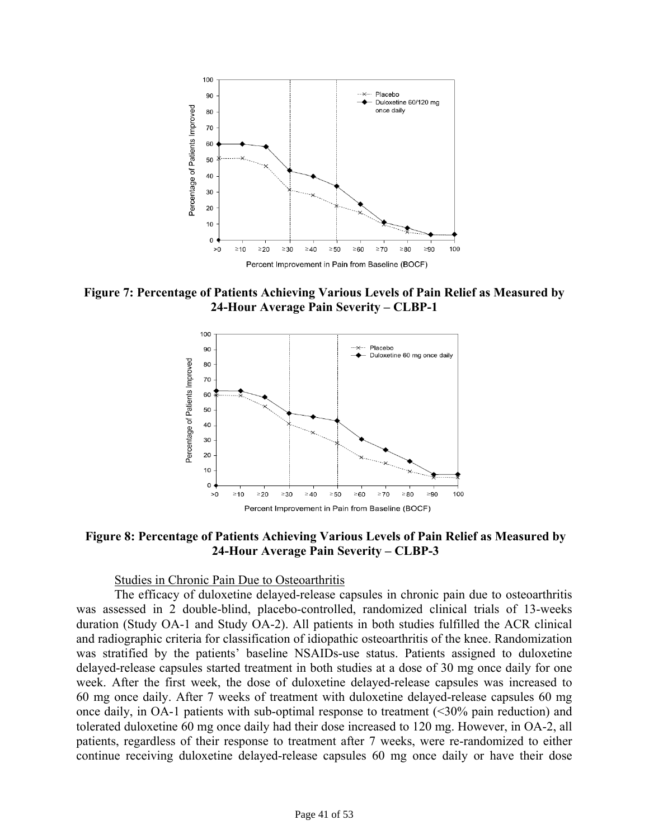

**Figure 7: Percentage of Patients Achieving Various Levels of Pain Relief as Measured by 24-Hour Average Pain Severity – CLBP-1** 



**Figure 8: Percentage of Patients Achieving Various Levels of Pain Relief as Measured by 24-Hour Average Pain Severity – CLBP-3** 

#### Studies in Chronic Pain Due to Osteoarthritis

The efficacy of duloxetine delayed-release capsules in chronic pain due to osteoarthritis was assessed in 2 double-blind, placebo-controlled, randomized clinical trials of 13-weeks duration (Study OA-1 and Study OA-2). All patients in both studies fulfilled the ACR clinical and radiographic criteria for classification of idiopathic osteoarthritis of the knee. Randomization was stratified by the patients' baseline NSAIDs-use status. Patients assigned to duloxetine delayed-release capsules started treatment in both studies at a dose of 30 mg once daily for one week. After the first week, the dose of duloxetine delayed-release capsules was increased to 60 mg once daily. After 7 weeks of treatment with duloxetine delayed-release capsules 60 mg once daily, in OA-1 patients with sub-optimal response to treatment  $(\leq 30\%$  pain reduction) and tolerated duloxetine 60 mg once daily had their dose increased to 120 mg. However, in OA-2, all patients, regardless of their response to treatment after 7 weeks, were re-randomized to either continue receiving duloxetine delayed-release capsules 60 mg once daily or have their dose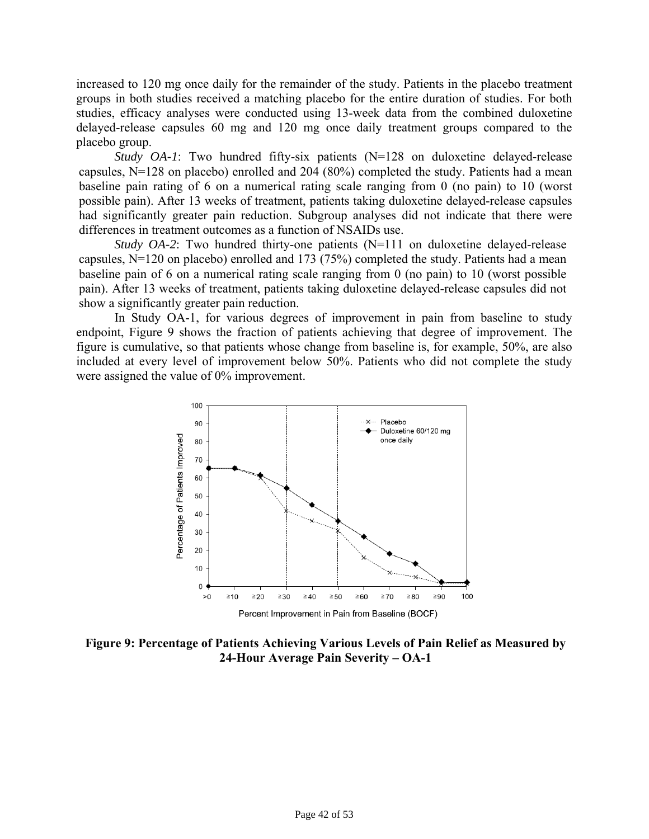increased to 120 mg once daily for the remainder of the study. Patients in the placebo treatment groups in both studies received a matching placebo for the entire duration of studies. For both studies, efficacy analyses were conducted using 13-week data from the combined duloxetine delayed-release capsules 60 mg and 120 mg once daily treatment groups compared to the placebo group.

*Study OA-1*: Two hundred fifty-six patients (N=128 on duloxetine delayed-release capsules, N=128 on placebo) enrolled and 204 (80%) completed the study. Patients had a mean baseline pain rating of 6 on a numerical rating scale ranging from 0 (no pain) to 10 (worst possible pain). After 13 weeks of treatment, patients taking duloxetine delayed-release capsules had significantly greater pain reduction. Subgroup analyses did not indicate that there were differences in treatment outcomes as a function of NSAIDs use.

*Study OA-2*: Two hundred thirty-one patients (N=111 on duloxetine delayed-release capsules, N=120 on placebo) enrolled and 173 (75%) completed the study. Patients had a mean baseline pain of 6 on a numerical rating scale ranging from 0 (no pain) to 10 (worst possible pain). After 13 weeks of treatment, patients taking duloxetine delayed-release capsules did not show a significantly greater pain reduction.

In Study OA-1, for various degrees of improvement in pain from baseline to study endpoint, Figure 9 shows the fraction of patients achieving that degree of improvement. The figure is cumulative, so that patients whose change from baseline is, for example, 50%, are also included at every level of improvement below 50%. Patients who did not complete the study were assigned the value of 0% improvement.



**Figure 9: Percentage of Patients Achieving Various Levels of Pain Relief as Measured by 24-Hour Average Pain Severity – OA-1**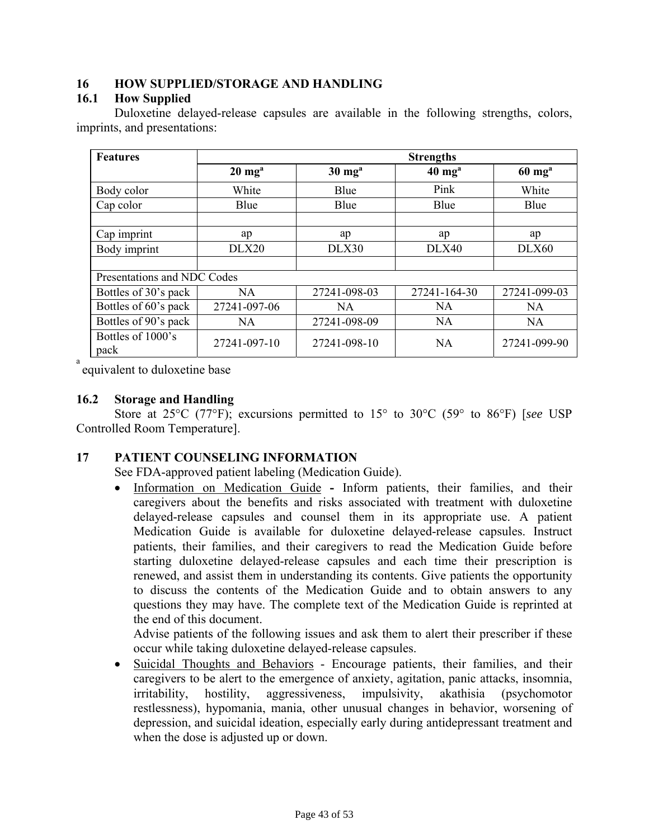# <span id="page-42-2"></span><span id="page-42-0"></span>**16 HOW SUPPLIED/STORAGE AND HANDLING**

# **16.1 How Supplied**

Duloxetine delayed-release capsules are available in the following strengths, colors, imprints, and presentations:

| <b>Features</b>             | <b>Strengths</b>           |                            |                            |                            |
|-----------------------------|----------------------------|----------------------------|----------------------------|----------------------------|
|                             | $20 \text{ mg}^{\text{a}}$ | $30 \text{ mg}^{\text{a}}$ | $40 \text{ mg}^{\text{a}}$ | $60 \text{ mg}^{\text{a}}$ |
| Body color                  | White                      | Blue                       | Pink                       | White                      |
| Cap color                   | Blue                       | Blue                       | Blue                       | Blue                       |
|                             |                            |                            |                            |                            |
| Cap imprint                 | ap                         | ap                         | ap                         | ap                         |
| Body imprint                | DLX20                      | DLX30                      | DLX40                      | DLX60                      |
|                             |                            |                            |                            |                            |
| Presentations and NDC Codes |                            |                            |                            |                            |
| Bottles of 30's pack        | <b>NA</b>                  | 27241-098-03               | 27241-164-30               | 27241-099-03               |
| Bottles of 60's pack        | 27241-097-06               | <b>NA</b>                  | <b>NA</b>                  | <b>NA</b>                  |
| Bottles of 90's pack        | <b>NA</b>                  | 27241-098-09               | <b>NA</b>                  | <b>NA</b>                  |
| Bottles of 1000's           | 27241-097-10               | 27241-098-10               | <b>NA</b>                  | 27241-099-90               |
| pack                        |                            |                            |                            |                            |

<span id="page-42-3"></span><span id="page-42-1"></span><sup>a</sup> equivalent to duloxetine base

# **16.2 Storage and Handling**

Store at 25°C (77°F); excursions permitted to 15° to 30°C (59° to 86°F) [*see* USP Controlled Room Temperature].

# **17 PATIENT COUNSELING INFORMATION**

See FDA-approved patient labeling (Medication Guide).

 Information on Medication Guide **-** Inform patients, their families, and their caregivers about the benefits and risks associated with treatment with duloxetine delayed-release capsules and counsel them in its appropriate use. A patient Medication Guide is available for duloxetine delayed-release capsules. Instruct patients, their families, and their caregivers to read the Medication Guide before starting duloxetine delayed-release capsules and each time their prescription is renewed, and assist them in understanding its contents. Give patients the opportunity to discuss the contents of the Medication Guide and to obtain answers to any questions they may have. The complete text of the Medication Guide is reprinted at the end of this document.

Advise patients of the following issues and ask them to alert their prescriber if these occur while taking duloxetine delayed-release capsules.

 Suicidal Thoughts and Behaviors - Encourage patients, their families, and their caregivers to be alert to the emergence of anxiety, agitation, panic attacks, insomnia, irritability, hostility, aggressiveness, impulsivity, akathisia (psychomotor restlessness), hypomania, mania, other unusual changes in behavior, worsening of depression, and suicidal ideation, especially early during antidepressant treatment and when the dose is adjusted up or down.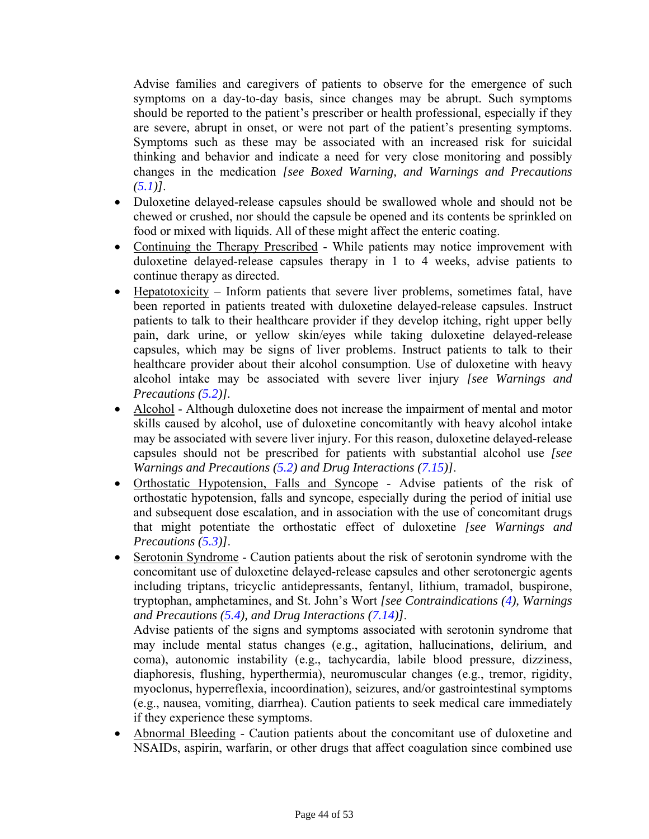Advise families and caregivers of patients to observe for the emergence of such symptoms on a day-to-day basis, since changes may be abrupt. Such symptoms should be reported to the patient's prescriber or health professional, especially if they are severe, abrupt in onset, or were not part of the patient's presenting symptoms. Symptoms such as these may be associated with an increased risk for suicidal thinking and behavior and indicate a need for very close monitoring and possibly changes in the medication *[see Boxed Warning, and Warnings and Precautions ([5.1](#page-8-2))]*.

- Duloxetine delayed-release capsules should be swallowed whole and should not be chewed or crushed, nor should the capsule be opened and its contents be sprinkled on food or mixed with liquids. All of these might affect the enteric coating.
- Continuing the Therapy Prescribed While patients may notice improvement with duloxetine delayed-release capsules therapy in 1 to 4 weeks, advise patients to continue therapy as directed.
- Hepatotoxicity Inform patients that severe liver problems, sometimes fatal, have been reported in patients treated with duloxetine delayed-release capsules. Instruct patients to talk to their healthcare provider if they develop itching, right upper belly pain, dark urine, or yellow skin/eyes while taking duloxetine delayed-release capsules, which may be signs of liver problems. Instruct patients to talk to their healthcare provider about their alcohol consumption. Use of duloxetine with heavy alcohol intake may be associated with severe liver injury *[see Warnings and Precautions ([5.2\)\]](#page-10-0).*
- Alcohol Although duloxetine does not increase the impairment of mental and motor skills caused by alcohol, use of duloxetine concomitantly with heavy alcohol intake may be associated with severe liver injury. For this reason, duloxetine delayed-release capsules should not be prescribed for patients with substantial alcohol use *[see Warnings and Precautions [\(5.2\)](#page-10-0) and Drug Interactions ([7.15\)](#page-26-5)]*.
- Orthostatic Hypotension, Falls and Syncope Advise patients of the risk of orthostatic hypotension, falls and syncope, especially during the period of initial use and subsequent dose escalation, and in association with the use of concomitant drugs that might potentiate the orthostatic effect of duloxetine *[see Warnings and Precautions [\(5.3\)](#page-11-0)]*.
- Serotonin Syndrome Caution patients about the risk of serotonin syndrome with the concomitant use of duloxetine delayed-release capsules and other serotonergic agents including triptans, tricyclic antidepressants, fentanyl, lithium, tramadol, buspirone, tryptophan, amphetamines, and St. John's Wort *[see Contraindications [\(4\)](#page-8-2), Warnings and Precautions ([5.4\)](#page-11-1), and Drug Interactions [\(7.14\)](#page-26-5)]*.

Advise patients of the signs and symptoms associated with serotonin syndrome that may include mental status changes (e.g., agitation, hallucinations, delirium, and coma), autonomic instability (e.g., tachycardia, labile blood pressure, dizziness, diaphoresis, flushing, hyperthermia), neuromuscular changes (e.g., tremor, rigidity, myoclonus, hyperreflexia, incoordination), seizures, and/or gastrointestinal symptoms (e.g., nausea, vomiting, diarrhea). Caution patients to seek medical care immediately if they experience these symptoms.

 Abnormal Bleeding - Caution patients about the concomitant use of duloxetine and NSAIDs, aspirin, warfarin, or other drugs that affect coagulation since combined use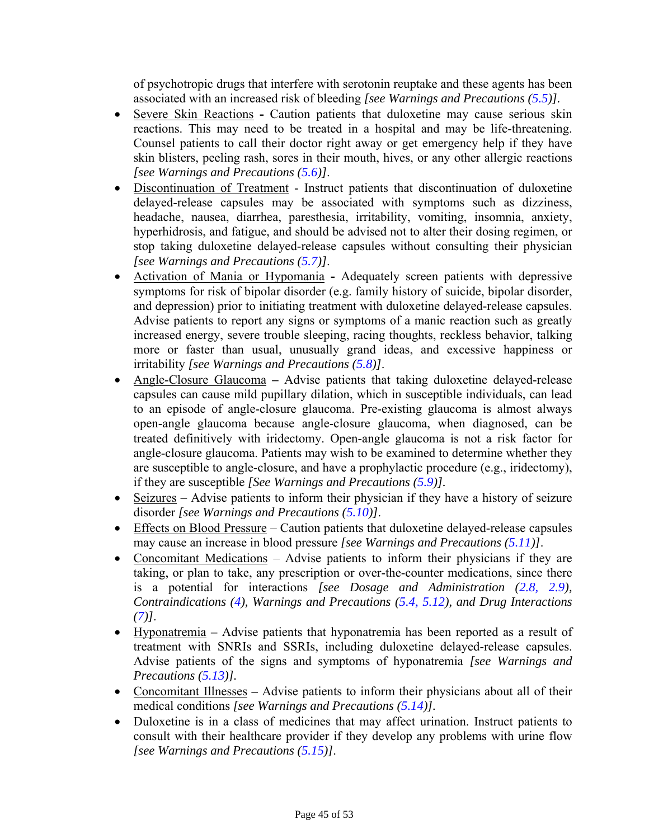of psychotropic drugs that interfere with serotonin reuptake and these agents has been associated with an increased risk of bleeding *[see Warnings and Precautions [\(5.5\)](#page-12-0)].* 

- Severe Skin ReactionsCaution patients that duloxetine may cause serious skin reactions. This may need to be treated in a hospital and may be life-threatening. Counsel patients to call their doctor right away or get emergency help if they have skin blisters, peeling rash, sores in their mouth, hives, or any other allergic reactions *[see Warnings and Precautions ([5.6\)](#page-12-1)]*.
- Discontinuation of Treatment Instruct patients that discontinuation of duloxetine delayed-release capsules may be associated with symptoms such as dizziness, headache, nausea, diarrhea, paresthesia, irritability, vomiting, insomnia, anxiety, hyperhidrosis, and fatigue, and should be advised not to alter their dosing regimen, or stop taking duloxetine delayed-release capsules without consulting their physician *[see Warnings and Precautions ([5.7\)](#page-12-2)]*.
- Activation of Mania or HypomaniaAdequately screen patients with depressive symptoms for risk of bipolar disorder (e.g. family history of suicide, bipolar disorder, and depression) prior to initiating treatment with duloxetine delayed-release capsules. Advise patients to report any signs or symptoms of a manic reaction such as greatly increased energy, severe trouble sleeping, racing thoughts, reckless behavior, talking more or faster than usual, unusually grand ideas, and excessive happiness or irritability *[see Warnings and Precautions [\(5.8\)\]](#page-13-0)*.
- Angle-Closure GlaucomaAdvise patients that taking duloxetine delayed-release capsules can cause mild pupillary dilation, which in susceptible individuals, can lead to an episode of angle-closure glaucoma. Pre-existing glaucoma is almost always open-angle glaucoma because angle-closure glaucoma, when diagnosed, can be treated definitively with iridectomy. Open-angle glaucoma is not a risk factor for angle-closure glaucoma. Patients may wish to be examined to determine whether they are susceptible to angle-closure, and have a prophylactic procedure (e.g., iridectomy), if they are susceptible *[See Warnings and Precautions ([5.9\)](#page-13-1)].*
- Seizures Advise patients to inform their physician if they have a history of seizure disorder *[see Warnings and Precautions ([5.10\)](#page-13-1)]*.
- Effects on Blood Pressure Caution patients that duloxetine delayed-release capsules may cause an increase in blood pressure *[see Warnings and Precautions [\(5.11\)](#page-13-2)]*.
- Concomitant Medications Advise patients to inform their physicians if they are taking, or plan to take, any prescription or over-the-counter medications, since there is a potential for interactions *[see Dosage and Administration [\(2.8,](#page-7-2) [2.9\),](#page-8-0) Contraindications [\(4\),](#page-8-2) Warnings and Precautions ([5.4,](#page-11-1) [5.12\)](#page-13-3), and Drug Interactions [\(7\)](#page-25-0)]*.
- HyponatremiaAdvise patients that hyponatremia has been reported as a result of treatment with SNRIs and SSRIs, including duloxetine delayed-release capsules. Advise patients of the signs and symptoms of hyponatremia *[see Warnings and Precautions ([5.13\)\]](#page-14-0).*
- Concomitant IllnessesAdvise patients to inform their physicians about all of their medical conditions *[see Warnings and Precautions ([5.14\)](#page-14-1)].*
- Duloxetine is in a class of medicines that may affect urination. Instruct patients to consult with their healthcare provider if they develop any problems with urine flow *[see Warnings and Precautions ([5.15\)](#page-15-0)]*.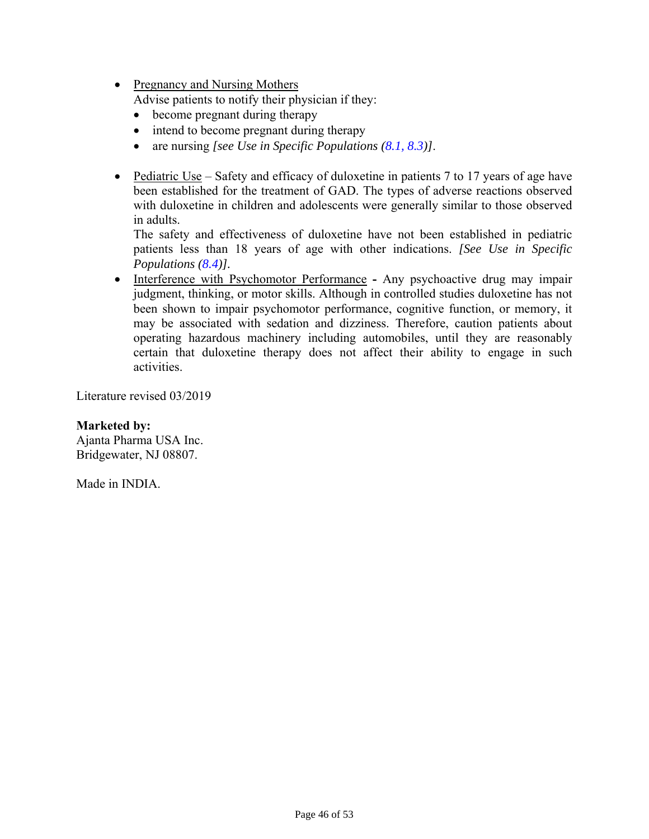• Pregnancy and Nursing Mothers

Advise patients to notify their physician if they:

- become pregnant during therapy
- intend to become pregnant during therapy
- are nursing *[see Use in Specific Populations ([8.1,](#page-27-1) [8.3\)](#page-28-0)]*.
- Pediatric Use Safety and efficacy of duloxetine in patients 7 to 17 years of age have been established for the treatment of GAD. The types of adverse reactions observed with duloxetine in children and adolescents were generally similar to those observed in adults.

The safety and effectiveness of duloxetine have not been established in pediatric patients less than 18 years of age with other indications. *[See Use in Specific Populations ([8.4\)](#page-28-1)].* 

• Interference with Psychomotor Performance - Any psychoactive drug may impair judgment, thinking, or motor skills. Although in controlled studies duloxetine has not been shown to impair psychomotor performance, cognitive function, or memory, it may be associated with sedation and dizziness. Therefore, caution patients about operating hazardous machinery including automobiles, until they are reasonably certain that duloxetine therapy does not affect their ability to engage in such activities.

Literature revised 03/2019

#### **Marketed by:**

Ajanta Pharma USA Inc. Bridgewater, NJ 08807.

Made in INDIA.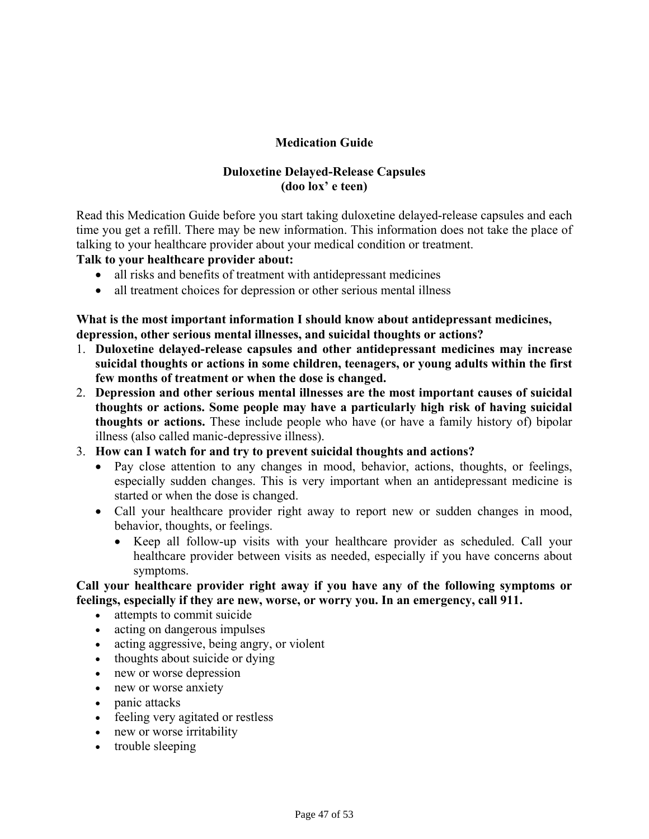# **Medication Guide**

# **Duloxetine Delayed-Release Capsules (doo lox' e teen)**

<span id="page-46-0"></span>Read this Medication Guide before you start taking duloxetine delayed-release capsules and each time you get a refill. There may be new information. This information does not take the place of talking to your healthcare provider about your medical condition or treatment.

**Talk to your healthcare provider about:** 

- all risks and benefits of treatment with antidepressant medicines
- all treatment choices for depression or other serious mental illness

**What is the most important information I should know about antidepressant medicines, depression, other serious mental illnesses, and suicidal thoughts or actions?** 

- 1. **Duloxetine delayed-release capsules and other antidepressant medicines may increase suicidal thoughts or actions in some children, teenagers, or young adults within the first few months of treatment or when the dose is changed.**
- 2. **Depression and other serious mental illnesses are the most important causes of suicidal thoughts or actions. Some people may have a particularly high risk of having suicidal thoughts or actions.** These include people who have (or have a family history of) bipolar illness (also called manic-depressive illness).
- 3. **How can I watch for and try to prevent suicidal thoughts and actions?** 
	- Pay close attention to any changes in mood, behavior, actions, thoughts, or feelings, especially sudden changes. This is very important when an antidepressant medicine is started or when the dose is changed.
	- Call your healthcare provider right away to report new or sudden changes in mood, behavior, thoughts, or feelings.
		- Keep all follow-up visits with your healthcare provider as scheduled. Call your healthcare provider between visits as needed, especially if you have concerns about symptoms.

**Call your healthcare provider right away if you have any of the following symptoms or feelings, especially if they are new, worse, or worry you. In an emergency, call 911.** 

- attempts to commit suicide
- acting on dangerous impulses
- acting aggressive, being angry, or violent
- thoughts about suicide or dying
- new or worse depression
- new or worse anxiety
- panic attacks
- feeling very agitated or restless
- new or worse irritability
- trouble sleeping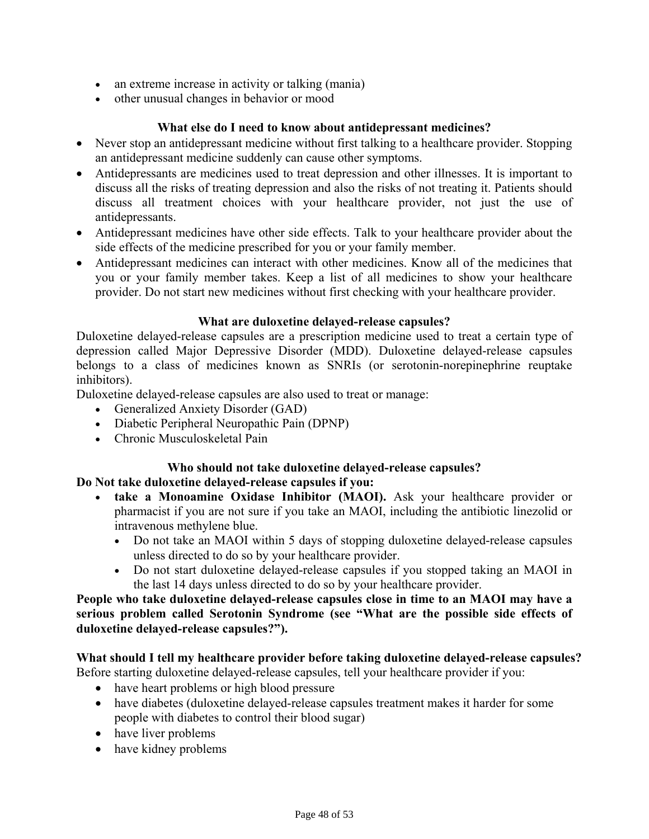- an extreme increase in activity or talking (mania)
- other unusual changes in behavior or mood

# **What else do I need to know about antidepressant medicines?**

- Never stop an antidepressant medicine without first talking to a healthcare provider. Stopping an antidepressant medicine suddenly can cause other symptoms.
- Antidepressants are medicines used to treat depression and other illnesses. It is important to discuss all the risks of treating depression and also the risks of not treating it. Patients should discuss all treatment choices with your healthcare provider, not just the use of antidepressants.
- Antidepressant medicines have other side effects. Talk to your healthcare provider about the side effects of the medicine prescribed for you or your family member.
- Antidepressant medicines can interact with other medicines. Know all of the medicines that you or your family member takes. Keep a list of all medicines to show your healthcare provider. Do not start new medicines without first checking with your healthcare provider.

#### **What are duloxetine delayed-release capsules?**

Duloxetine delayed-release capsules are a prescription medicine used to treat a certain type of depression called Major Depressive Disorder (MDD). Duloxetine delayed-release capsules belongs to a class of medicines known as SNRIs (or serotonin-norepinephrine reuptake inhibitors).

Duloxetine delayed-release capsules are also used to treat or manage:

- Generalized Anxiety Disorder (GAD)
- Diabetic Peripheral Neuropathic Pain (DPNP)
- Chronic Musculoskeletal Pain

#### **Who should not take duloxetine delayed-release capsules?**

#### **Do Not take duloxetine delayed-release capsules if you:**

- take a Monoamine Oxidase Inhibitor (MAOI). Ask your healthcare provider or pharmacist if you are not sure if you take an MAOI, including the antibiotic linezolid or intravenous methylene blue.
	- Do not take an MAOI within 5 days of stopping duloxetine delayed-release capsules unless directed to do so by your healthcare provider.
	- Do not start duloxetine delayed-release capsules if you stopped taking an MAOI in the last 14 days unless directed to do so by your healthcare provider.

# **People who take duloxetine delayed-release capsules close in time to an MAOI may have a serious problem called Serotonin Syndrome (see "What are the possible side effects of duloxetine delayed-release capsules?").**

# **What should I tell my healthcare provider before taking duloxetine delayed-release capsules?**  Before starting duloxetine delayed-release capsules, tell your healthcare provider if you:

- have heart problems or high blood pressure
- have diabetes (duloxetine delayed-release capsules treatment makes it harder for some people with diabetes to control their blood sugar)
- have liver problems
- have kidney problems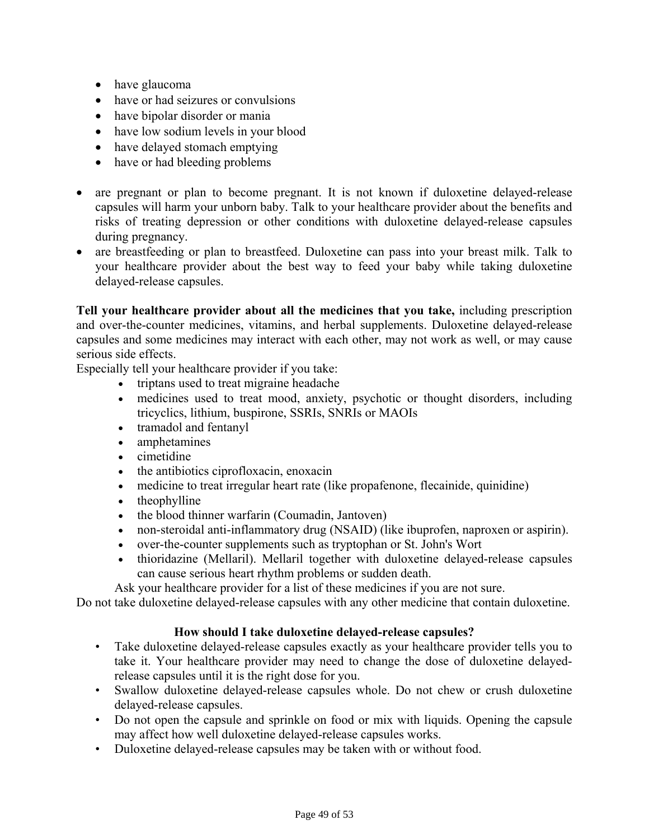- have glaucoma
- have or had seizures or convulsions
- have bipolar disorder or mania
- have low sodium levels in your blood
- have delayed stomach emptying
- have or had bleeding problems
- are pregnant or plan to become pregnant. It is not known if duloxetine delayed-release capsules will harm your unborn baby. Talk to your healthcare provider about the benefits and risks of treating depression or other conditions with duloxetine delayed-release capsules during pregnancy.
- are breastfeeding or plan to breastfeed. Duloxetine can pass into your breast milk. Talk to your healthcare provider about the best way to feed your baby while taking duloxetine delayed-release capsules.

**Tell your healthcare provider about all the medicines that you take,** including prescription and over-the-counter medicines, vitamins, and herbal supplements. Duloxetine delayed-release capsules and some medicines may interact with each other, may not work as well, or may cause serious side effects.

Especially tell your healthcare provider if you take:

- triptans used to treat migraine headache
- medicines used to treat mood, anxiety, psychotic or thought disorders, including tricyclics, lithium, buspirone, SSRIs, SNRIs or MAOIs
- tramadol and fentanyl
- amphetamines
- cimetidine
- the antibiotics ciprofloxacin, enoxacin
- medicine to treat irregular heart rate (like propafenone, flecainide, quinidine)
- theophylline
- the blood thinner warfarin (Coumadin, Jantoven)
- non-steroidal anti-inflammatory drug (NSAID) (like ibuprofen, naproxen or aspirin).
- over-the-counter supplements such as tryptophan or St. John's Wort
- thioridazine (Mellaril). Mellaril together with duloxetine delayed-release capsules can cause serious heart rhythm problems or sudden death.
- Ask your healthcare provider for a list of these medicines if you are not sure.

Do not take duloxetine delayed-release capsules with any other medicine that contain duloxetine.

# **How should I take duloxetine delayed-release capsules?**

- Take duloxetine delayed-release capsules exactly as your healthcare provider tells you to take it. Your healthcare provider may need to change the dose of duloxetine delayedrelease capsules until it is the right dose for you.
- Swallow duloxetine delayed-release capsules whole. Do not chew or crush duloxetine delayed-release capsules.
- Do not open the capsule and sprinkle on food or mix with liquids. Opening the capsule may affect how well duloxetine delayed-release capsules works.
- Duloxetine delayed-release capsules may be taken with or without food.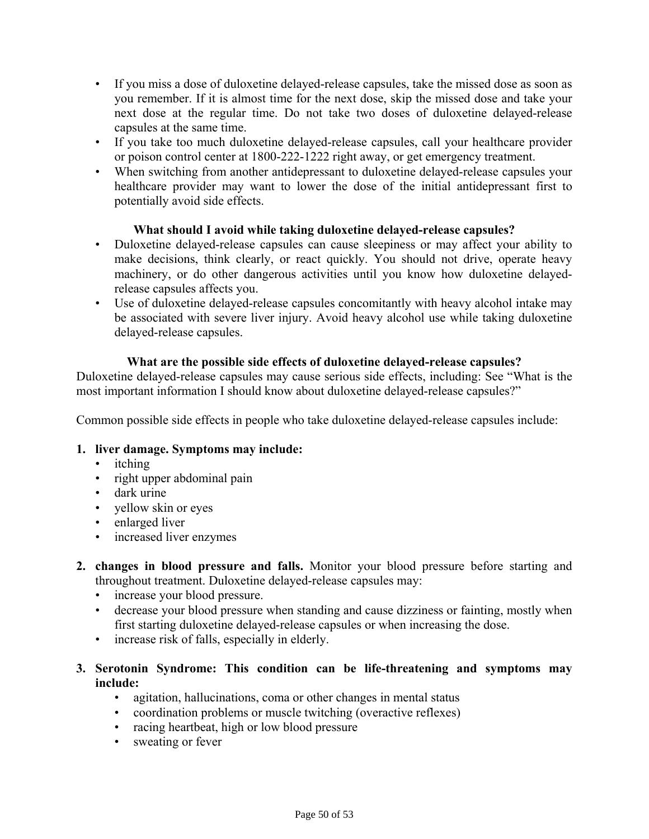- If you miss a dose of duloxetine delayed-release capsules, take the missed dose as soon as you remember. If it is almost time for the next dose, skip the missed dose and take your next dose at the regular time. Do not take two doses of duloxetine delayed-release capsules at the same time.
- If you take too much duloxetine delayed-release capsules, call your healthcare provider or poison control center at 1800-222-1222 right away, or get emergency treatment.
- When switching from another antidepressant to duloxetine delayed-release capsules your healthcare provider may want to lower the dose of the initial antidepressant first to potentially avoid side effects.

# **What should I avoid while taking duloxetine delayed-release capsules?**

- Duloxetine delayed-release capsules can cause sleepiness or may affect your ability to make decisions, think clearly, or react quickly. You should not drive, operate heavy machinery, or do other dangerous activities until you know how duloxetine delayedrelease capsules affects you.
- Use of duloxetine delayed-release capsules concomitantly with heavy alcohol intake may be associated with severe liver injury. Avoid heavy alcohol use while taking duloxetine delayed-release capsules.

#### **What are the possible side effects of duloxetine delayed-release capsules?**

Duloxetine delayed-release capsules may cause serious side effects, including: See "What is the most important information I should know about duloxetine delayed-release capsules?"

Common possible side effects in people who take duloxetine delayed-release capsules include:

#### **1. liver damage. Symptoms may include:**

- itching
- right upper abdominal pain
- dark urine
- yellow skin or eyes
- enlarged liver
- increased liver enzymes
- **2. changes in blood pressure and falls.** Monitor your blood pressure before starting and throughout treatment. Duloxetine delayed-release capsules may:
	- increase your blood pressure.
	- decrease your blood pressure when standing and cause dizziness or fainting, mostly when first starting duloxetine delayed-release capsules or when increasing the dose.
	- increase risk of falls, especially in elderly.

# **3. Serotonin Syndrome: This condition can be life-threatening and symptoms may include:**

- agitation, hallucinations, coma or other changes in mental status
- coordination problems or muscle twitching (overactive reflexes)
- racing heartbeat, high or low blood pressure
- sweating or fever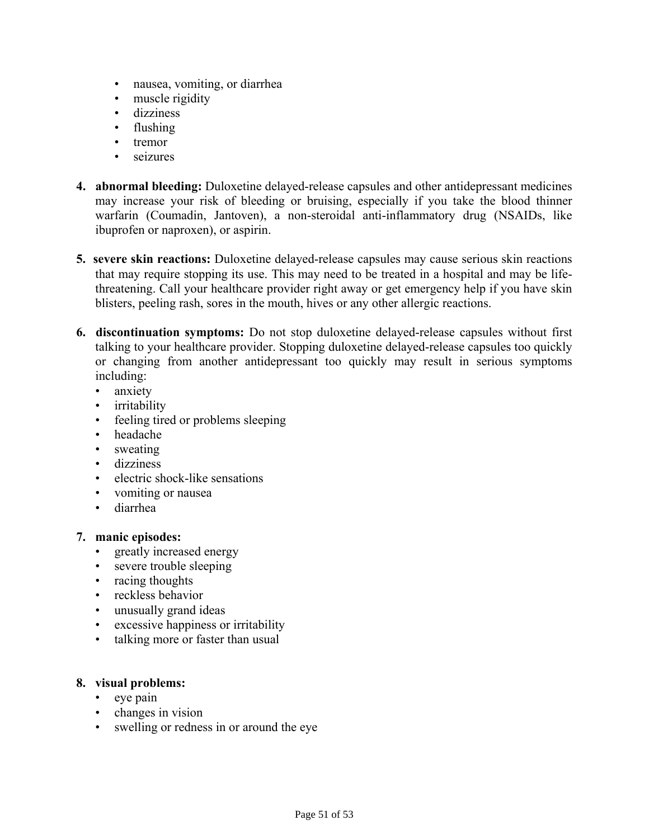- nausea, vomiting, or diarrhea
- muscle rigidity
- dizziness
- flushing
- tremor
- seizures
- **4. abnormal bleeding:** Duloxetine delayed-release capsules and other antidepressant medicines may increase your risk of bleeding or bruising, especially if you take the blood thinner warfarin (Coumadin, Jantoven), a non-steroidal anti-inflammatory drug (NSAIDs, like ibuprofen or naproxen), or aspirin.
- **5. severe skin reactions:** Duloxetine delayed-release capsules may cause serious skin reactions that may require stopping its use. This may need to be treated in a hospital and may be lifethreatening. Call your healthcare provider right away or get emergency help if you have skin blisters, peeling rash, sores in the mouth, hives or any other allergic reactions.
- **6. discontinuation symptoms:** Do not stop duloxetine delayed-release capsules without first talking to your healthcare provider. Stopping duloxetine delayed-release capsules too quickly or changing from another antidepressant too quickly may result in serious symptoms including:
	- anxiety
	- irritability
	- feeling tired or problems sleeping
	- headache
	- sweating
	- dizziness
	- electric shock-like sensations
	- vomiting or nausea
	- diarrhea

# **7. manic episodes:**

- greatly increased energy
- severe trouble sleeping
- racing thoughts
- reckless behavior
- unusually grand ideas
- excessive happiness or irritability
- talking more or faster than usual

# **8. visual problems:**

- eye pain
- changes in vision
- swelling or redness in or around the eye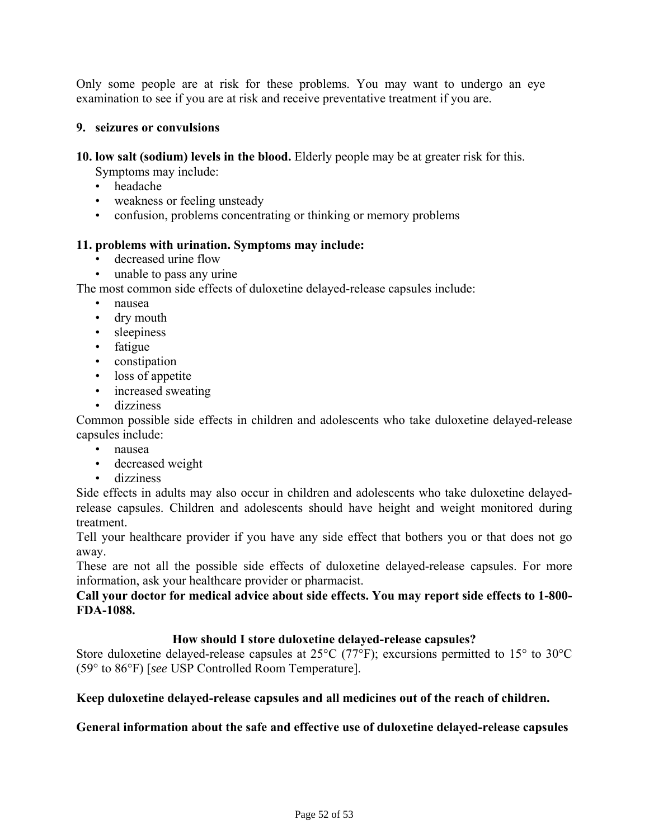Only some people are at risk for these problems. You may want to undergo an eye examination to see if you are at risk and receive preventative treatment if you are.

#### **9. seizures or convulsions**

- **10. low salt (sodium) levels in the blood.** Elderly people may be at greater risk for this.
	- Symptoms may include:
	- headache
	- weakness or feeling unsteady
	- confusion, problems concentrating or thinking or memory problems

#### **11. problems with urination. Symptoms may include:**

- decreased urine flow
- unable to pass any urine

The most common side effects of duloxetine delayed-release capsules include:

- nausea
- dry mouth
- sleepiness
- fatigue
- constipation
- loss of appetite
- increased sweating
- dizziness

Common possible side effects in children and adolescents who take duloxetine delayed-release capsules include:

- nausea
- decreased weight
- dizziness

Side effects in adults may also occur in children and adolescents who take duloxetine delayedrelease capsules. Children and adolescents should have height and weight monitored during treatment.

Tell your healthcare provider if you have any side effect that bothers you or that does not go away.

These are not all the possible side effects of duloxetine delayed-release capsules. For more information, ask your healthcare provider or pharmacist.

**Call your doctor for medical advice about side effects. You may report side effects to 1-800- FDA-1088.** 

# **How should I store duloxetine delayed-release capsules?**

Store duloxetine delayed-release capsules at 25°C (77°F); excursions permitted to 15° to 30°C (59° to 86°F) [*see* USP Controlled Room Temperature].

#### **Keep duloxetine delayed-release capsules and all medicines out of the reach of children.**

#### **General information about the safe and effective use of duloxetine delayed-release capsules**